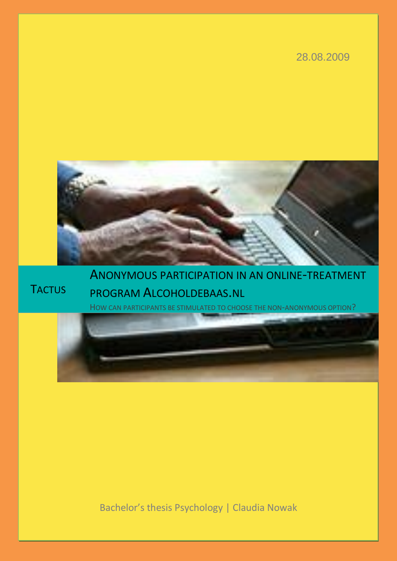# 28.08.2009



# **TACTUS**

ANONYMOUS PARTICIPATION IN AN ONLINE-TREATMENT PROGRAM ALCOHOLDEBAAS.NL

HOW CAN PARTICIPANTS BE STIMULATED TO CHOOSE THE NON-ANONYMOUS OPTION?

Bachelor's thesis Psychology | Claudia Nowak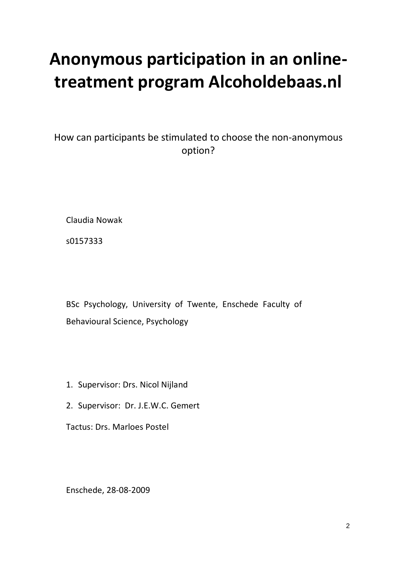# **Anonymous participation in an onlinetreatment program Alcoholdebaas.nl**

How can participants be stimulated to choose the non-anonymous option?

Claudia Nowak

s0157333

BSc Psychology, University of Twente, Enschede Faculty of Behavioural Science, Psychology

- 1. Supervisor: Drs. Nicol Nijland
- 2. Supervisor: Dr. J.E.W.C. Gemert

Tactus: Drs. Marloes Postel

Enschede, 28-08-2009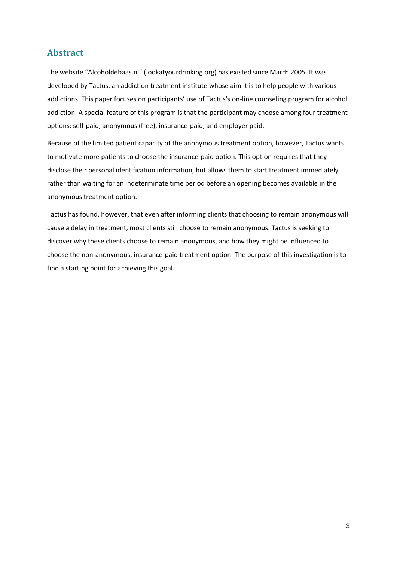# **Abstract**

The website "Alcoholdebaas.nl" (lookatyourdrinking.org) has existed since March 2005. It was developed by Tactus, an addiction treatment institute whose aim it is to help people with various addictions. This paper focuses on participants' use of Tactus's on-line counseling program for alcohol addiction. A special feature of this program is that the participant may choose among four treatment options: self-paid, anonymous (free), insurance-paid, and employer paid.

Because of the limited patient capacity of the anonymous treatment option, however, Tactus wants to motivate more patients to choose the insurance-paid option. This option requires that they disclose their personal identification information, but allows them to start treatment immediately rather than waiting for an indeterminate time period before an opening becomes available in the anonymous treatment option.

Tactus has found, however, that even after informing clients that choosing to remain anonymous will cause a delay in treatment, most clients still choose to remain anonymous. Tactus is seeking to discover why these clients choose to remain anonymous, and how they might be influenced to choose the non-anonymous, insurance-paid treatment option. The purpose of this investigation is to find a starting point for achieving this goal.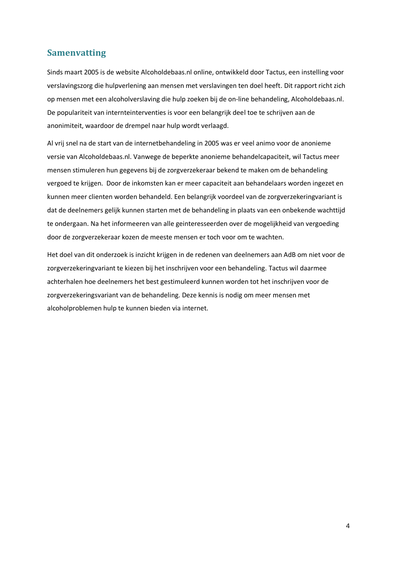# **Samenvatting**

Sinds maart 2005 is de website Alcoholdebaas.nl online, ontwikkeld door Tactus, een instelling voor verslavingszorg die hulpverlening aan mensen met verslavingen ten doel heeft. Dit rapport richt zich op mensen met een alcoholverslaving die hulp zoeken bij de on-line behandeling, Alcoholdebaas.nl. De populariteit van internteinterventies is voor een belangrijk deel toe te schrijven aan de anonimiteit, waardoor de drempel naar hulp wordt verlaagd.

Al vrij snel na de start van de internetbehandeling in 2005 was er veel animo voor de anonieme versie van Alcoholdebaas.nl. Vanwege de beperkte anonieme behandelcapaciteit, wil Tactus meer mensen stimuleren hun gegevens bij de zorgverzekeraar bekend te maken om de behandeling vergoed te krijgen. Door de inkomsten kan er meer capaciteit aan behandelaars worden ingezet en kunnen meer clienten worden behandeld. Een belangrijk voordeel van de zorgverzekeringvariant is dat de deelnemers gelijk kunnen starten met de behandeling in plaats van een onbekende wachttijd te ondergaan. Na het informeeren van alle geinteresseerden over de mogelijkheid van vergoeding door de zorgverzekeraar kozen de meeste mensen er toch voor om te wachten.

Het doel van dit onderzoek is inzicht krijgen in de redenen van deelnemers aan AdB om niet voor de zorgverzekeringvariant te kiezen bij het inschrijven voor een behandeling. Tactus wil daarmee achterhalen hoe deelnemers het best gestimuleerd kunnen worden tot het inschrijven voor de zorgverzekeringsvariant van de behandeling. Deze kennis is nodig om meer mensen met alcoholproblemen hulp te kunnen bieden via internet.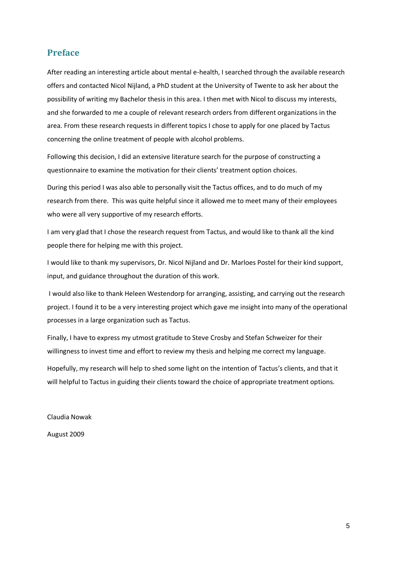# **Preface**

After reading an interesting article about mental e-health, I searched through the available research offers and contacted Nicol Nijland, a PhD student at the University of Twente to ask her about the possibility of writing my Bachelor thesis in this area. I then met with Nicol to discuss my interests, and she forwarded to me a couple of relevant research orders from different organizations in the area. From these research requests in different topics I chose to apply for one placed by Tactus concerning the online treatment of people with alcohol problems.

Following this decision, I did an extensive literature search for the purpose of constructing a questionnaire to examine the motivation for their clients' treatment option choices.

During this period I was also able to personally visit the Tactus offices, and to do much of my research from there. This was quite helpful since it allowed me to meet many of their employees who were all very supportive of my research efforts.

I am very glad that I chose the research request from Tactus, and would like to thank all the kind people there for helping me with this project.

I would like to thank my supervisors, Dr. Nicol Nijland and Dr. Marloes Postel for their kind support, input, and guidance throughout the duration of this work.

I would also like to thank Heleen Westendorp for arranging, assisting, and carrying out the research project. I found it to be a very interesting project which gave me insight into many of the operational processes in a large organization such as Tactus.

Finally, I have to express my utmost gratitude to Steve Crosby and Stefan Schweizer for their willingness to invest time and effort to review my thesis and helping me correct my language.

Hopefully, my research will help to shed some light on the intention of Tactus's clients, and that it will helpful to Tactus in guiding their clients toward the choice of appropriate treatment options.

Claudia Nowak

August 2009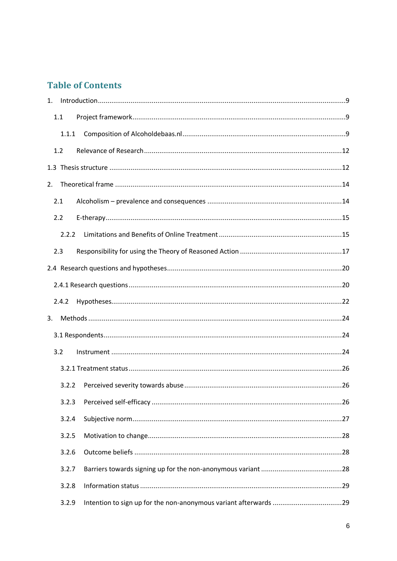# **Table of Contents**

| 1. |       |  |
|----|-------|--|
|    | 1.1   |  |
|    | 1.1.1 |  |
|    | 1.2   |  |
|    |       |  |
| 2. |       |  |
|    | 2.1   |  |
|    | 2.2   |  |
|    | 2.2.2 |  |
|    | 2.3   |  |
|    |       |  |
|    |       |  |
|    | 2.4.2 |  |
|    |       |  |
| 3. |       |  |
|    |       |  |
|    | 3.2   |  |
|    |       |  |
|    | 3.2.2 |  |
|    | 3.2.3 |  |
|    | 3.2.4 |  |
|    | 3.2.5 |  |
|    | 3.2.6 |  |
|    | 3.2.7 |  |
|    | 3.2.8 |  |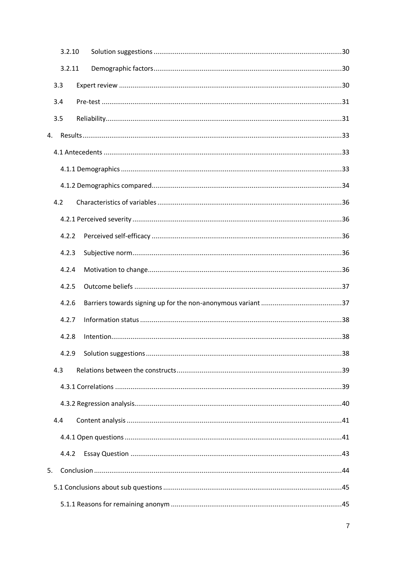|    | 3.2.10 |  |  |
|----|--------|--|--|
|    | 3.2.11 |  |  |
|    | 3.3    |  |  |
|    | 3.4    |  |  |
|    | 3.5    |  |  |
| 4. |        |  |  |
|    |        |  |  |
|    |        |  |  |
|    |        |  |  |
|    | 4.2    |  |  |
|    |        |  |  |
|    | 4.2.2  |  |  |
|    | 4.2.3  |  |  |
|    | 4.2.4  |  |  |
|    | 4.2.5  |  |  |
|    | 4.2.6  |  |  |
|    | 4.2.7  |  |  |
|    | 4.2.8  |  |  |
|    | 4.2.9  |  |  |
|    | 4.3    |  |  |
|    |        |  |  |
|    |        |  |  |
|    | 4.4    |  |  |
|    |        |  |  |
|    | 4.4.2  |  |  |
| 5. |        |  |  |
|    |        |  |  |
|    |        |  |  |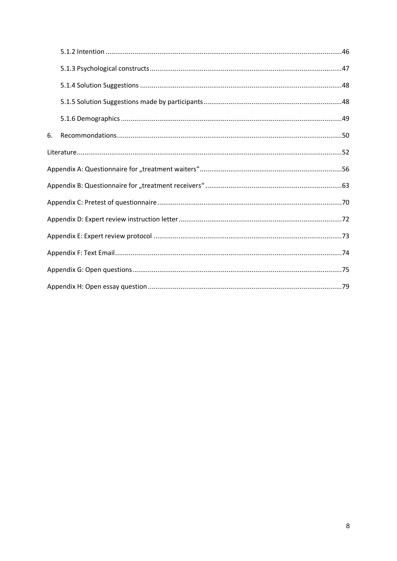| 6. |  |  |  |  |  |
|----|--|--|--|--|--|
|    |  |  |  |  |  |
|    |  |  |  |  |  |
|    |  |  |  |  |  |
|    |  |  |  |  |  |
|    |  |  |  |  |  |
|    |  |  |  |  |  |
|    |  |  |  |  |  |
|    |  |  |  |  |  |
|    |  |  |  |  |  |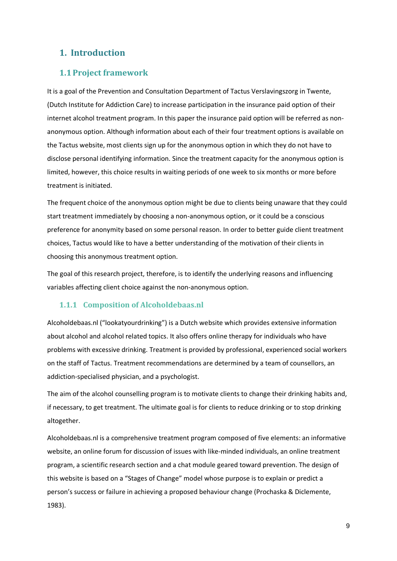# **1. Introduction**

#### **1.1Project framework**

It is a goal of the Prevention and Consultation Department of Tactus Verslavingszorg in Twente, (Dutch Institute for Addiction Care) to increase participation in the insurance paid option of their internet alcohol treatment program. In this paper the insurance paid option will be referred as nonanonymous option. Although information about each of their four treatment options is available on the Tactus website, most clients sign up for the anonymous option in which they do not have to disclose personal identifying information. Since the treatment capacity for the anonymous option is limited, however, this choice results in waiting periods of one week to six months or more before treatment is initiated.

The frequent choice of the anonymous option might be due to clients being unaware that they could start treatment immediately by choosing a non-anonymous option, or it could be a conscious preference for anonymity based on some personal reason. In order to better guide client treatment choices, Tactus would like to have a better understanding of the motivation of their clients in choosing this anonymous treatment option.

The goal of this research project, therefore, is to identify the underlying reasons and influencing variables affecting client choice against the non-anonymous option.

#### **1.1.1 Composition of Alcoholdebaas.nl**

Alcoholdebaas.nl ("lookatyourdrinking") is a Dutch website which provides extensive information about alcohol and alcohol related topics. It also offers online therapy for individuals who have problems with excessive drinking. Treatment is provided by professional, experienced social workers on the staff of Tactus. Treatment recommendations are determined by a team of counsellors, an addiction-specialised physician, and a psychologist.

The aim of the alcohol counselling program is to motivate clients to change their drinking habits and, if necessary, to get treatment. The ultimate goal is for clients to reduce drinking or to stop drinking altogether.

Alcoholdebaas.nl is a comprehensive treatment program composed of five elements: an informative website, an online forum for discussion of issues with like-minded individuals, an online treatment program, a scientific research section and a chat module geared toward prevention. The design of this website is based on a "Stages of Change" model whose purpose is to explain or predict a person's success or failure in achieving a proposed behaviour change (Prochaska & Diclemente, 1983).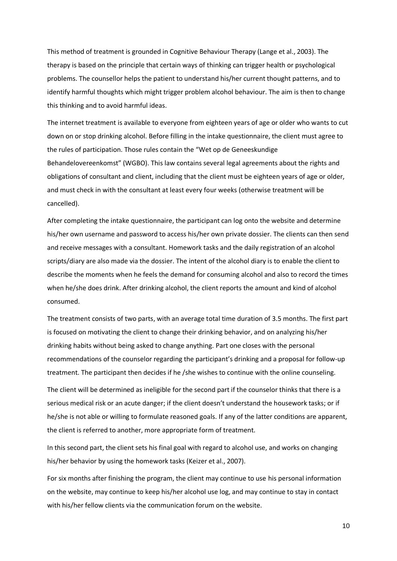This method of treatment is grounded in Cognitive Behaviour Therapy (Lange et al., 2003). The therapy is based on the principle that certain ways of thinking can trigger health or psychological problems. The counsellor helps the patient to understand his/her current thought patterns, and to identify harmful thoughts which might trigger problem alcohol behaviour. The aim is then to change this thinking and to avoid harmful ideas.

The internet treatment is available to everyone from eighteen years of age or older who wants to cut down on or stop drinking alcohol. Before filling in the intake questionnaire, the client must agree to the rules of participation. Those rules contain the "Wet op de Geneeskundige Behandelovereenkomst" (WGBO). This law contains several legal agreements about the rights and obligations of consultant and client, including that the client must be eighteen years of age or older, and must check in with the consultant at least every four weeks (otherwise treatment will be cancelled).

After completing the intake questionnaire, the participant can log onto the website and determine his/her own username and password to access his/her own private dossier. The clients can then send and receive messages with a consultant. Homework tasks and the daily registration of an alcohol scripts/diary are also made via the dossier. The intent of the alcohol diary is to enable the client to describe the moments when he feels the demand for consuming alcohol and also to record the times when he/she does drink. After drinking alcohol, the client reports the amount and kind of alcohol consumed.

The treatment consists of two parts, with an average total time duration of 3.5 months. The first part is focused on motivating the client to change their drinking behavior, and on analyzing his/her drinking habits without being asked to change anything. Part one closes with the personal recommendations of the counselor regarding the participant's drinking and a proposal for follow-up treatment. The participant then decides if he /she wishes to continue with the online counseling.

The client will be determined as ineligible for the second part if the counselor thinks that there is a serious medical risk or an acute danger; if the client doesn't understand the housework tasks; or if he/she is not able or willing to formulate reasoned goals. If any of the latter conditions are apparent, the client is referred to another, more appropriate form of treatment.

In this second part, the client sets his final goal with regard to alcohol use, and works on changing his/her behavior by using the homework tasks (Keizer et al., 2007).

For six months after finishing the program, the client may continue to use his personal information on the website, may continue to keep his/her alcohol use log, and may continue to stay in contact with his/her fellow clients via the communication forum on the website.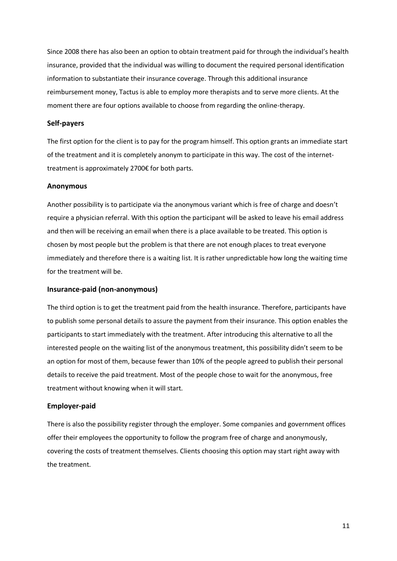Since 2008 there has also been an option to obtain treatment paid for through the individual's health insurance, provided that the individual was willing to document the required personal identification information to substantiate their insurance coverage. Through this additional insurance reimbursement money, Tactus is able to employ more therapists and to serve more clients. At the moment there are four options available to choose from regarding the online-therapy.

#### **Self-payers**

The first option for the client is to pay for the program himself. This option grants an immediate start of the treatment and it is completely anonym to participate in this way. The cost of the internettreatment is approximately 2700€ for both parts.

#### **Anonymous**

Another possibility is to participate via the anonymous variant which is free of charge and doesn't require a physician referral. With this option the participant will be asked to leave his email address and then will be receiving an email when there is a place available to be treated. This option is chosen by most people but the problem is that there are not enough places to treat everyone immediately and therefore there is a waiting list. It is rather unpredictable how long the waiting time for the treatment will be.

#### **Insurance-paid (non-anonymous)**

The third option is to get the treatment paid from the health insurance. Therefore, participants have to publish some personal details to assure the payment from their insurance. This option enables the participants to start immediately with the treatment. After introducing this alternative to all the interested people on the waiting list of the anonymous treatment, this possibility didn't seem to be an option for most of them, because fewer than 10% of the people agreed to publish their personal details to receive the paid treatment. Most of the people chose to wait for the anonymous, free treatment without knowing when it will start.

#### **Employer-paid**

There is also the possibility register through the employer. Some companies and government offices offer their employees the opportunity to follow the program free of charge and anonymously, covering the costs of treatment themselves. Clients choosing this option may start right away with the treatment.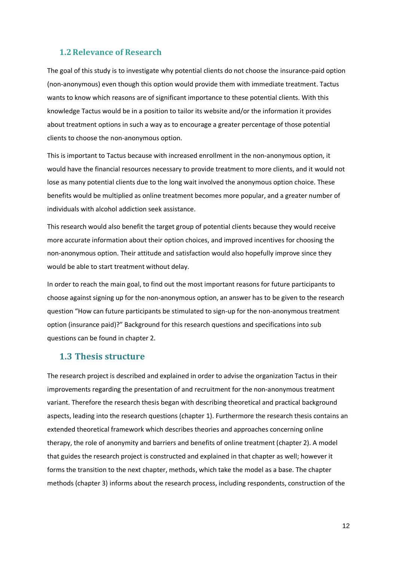#### **1.2Relevance of Research**

The goal of this study is to investigate why potential clients do not choose the insurance-paid option (non-anonymous) even though this option would provide them with immediate treatment. Tactus wants to know which reasons are of significant importance to these potential clients. With this knowledge Tactus would be in a position to tailor its website and/or the information it provides about treatment options in such a way as to encourage a greater percentage of those potential clients to choose the non-anonymous option.

This is important to Tactus because with increased enrollment in the non-anonymous option, it would have the financial resources necessary to provide treatment to more clients, and it would not lose as many potential clients due to the long wait involved the anonymous option choice. These benefits would be multiplied as online treatment becomes more popular, and a greater number of individuals with alcohol addiction seek assistance.

This research would also benefit the target group of potential clients because they would receive more accurate information about their option choices, and improved incentives for choosing the non-anonymous option. Their attitude and satisfaction would also hopefully improve since they would be able to start treatment without delay.

In order to reach the main goal, to find out the most important reasons for future participants to choose against signing up for the non-anonymous option, an answer has to be given to the research question "How can future participants be stimulated to sign-up for the non-anonymous treatment option (insurance paid)?" Background for this research questions and specifications into sub questions can be found in chapter 2.

#### **1.3 Thesis structure**

The research project is described and explained in order to advise the organization Tactus in their improvements regarding the presentation of and recruitment for the non-anonymous treatment variant. Therefore the research thesis began with describing theoretical and practical background aspects, leading into the research questions (chapter 1). Furthermore the research thesis contains an extended theoretical framework which describes theories and approaches concerning online therapy, the role of anonymity and barriers and benefits of online treatment (chapter 2). A model that guides the research project is constructed and explained in that chapter as well; however it forms the transition to the next chapter, methods, which take the model as a base. The chapter methods (chapter 3) informs about the research process, including respondents, construction of the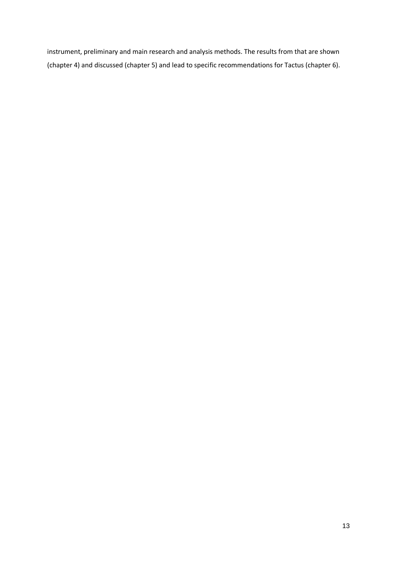instrument, preliminary and main research and analysis methods. The results from that are shown (chapter 4) and discussed (chapter 5) and lead to specific recommendations for Tactus (chapter 6).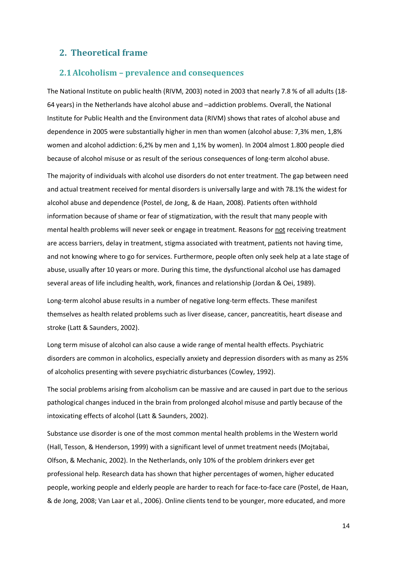# **2. Theoretical frame**

#### **2.1Alcoholism – prevalence and consequences**

The National Institute on public health (RIVM, 2003) noted in 2003 that nearly 7.8 % of all adults (18- 64 years) in the Netherlands have alcohol abuse and –addiction problems. Overall, the National Institute for Public Health and the Environment data (RIVM) shows that rates of alcohol abuse and dependence in 2005 were substantially higher in men than women (alcohol abuse: 7,3% men, 1,8% women and alcohol addiction: 6,2% by men and 1,1% by women). In 2004 almost 1.800 people died because of alcohol misuse or as result of the serious consequences of long-term alcohol abuse.

The majority of individuals with alcohol use disorders do not enter treatment. The gap between need and actual treatment received for mental disorders is universally large and with 78.1% the widest for alcohol abuse and dependence (Postel, de Jong, & de Haan, 2008). Patients often withhold information because of shame or fear of stigmatization, with the result that many people with mental health problems will never seek or engage in treatment. Reasons for not receiving treatment are access barriers, delay in treatment, stigma associated with treatment, patients not having time, and not knowing where to go for services. Furthermore, people often only seek help at a late stage of abuse, usually after 10 years or more. During this time, the dysfunctional alcohol use has damaged several areas of life including health, work, finances and relationship (Jordan & Oei, 1989).

Long-term alcohol abuse results in a number of negative long-term effects. These manifest themselves as health related problems such as liver disease, cancer, pancreatitis, heart disease and stroke (Latt & Saunders, 2002).

Long term misuse of alcohol can also cause a wide range of mental health effects. Psychiatric disorders are common in alcoholics, especially anxiety and depression disorders with as many as 25% of alcoholics presenting with severe psychiatric disturbances (Cowley, 1992).

The social problems arising from alcoholism can be massive and are caused in part due to the serious pathological changes induced in the brain from prolonged alcohol misuse and partly because of the intoxicating effects of alcohol (Latt & Saunders, 2002).

Substance use disorder is one of the most common mental health problems in the Western world (Hall, Tesson, & Henderson, 1999) with a significant level of unmet treatment needs (Mojtabai, Olfson, & Mechanic, 2002). In the Netherlands, only 10% of the problem drinkers ever get professional help. Research data has shown that higher percentages of women, higher educated people, working people and elderly people are harder to reach for face-to-face care (Postel, de Haan, & de Jong, 2008; Van Laar et al., 2006). Online clients tend to be younger, more educated, and more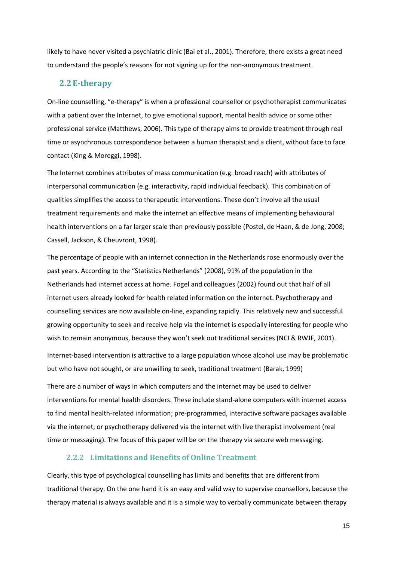likely to have never visited a psychiatric clinic (Bai et al., 2001). Therefore, there exists a great need to understand the people's reasons for not signing up for the non-anonymous treatment.

#### **2.2E-therapy**

On-line counselling, "e-therapy" is when a professional counsellor or psychotherapist communicates with a patient over the Internet, to give emotional support, mental health advice or some other professional service (Matthews, 2006). This type of therapy aims to provide treatment through real time or asynchronous correspondence between a human therapist and a client, without face to face contact (King & Moreggi, 1998).

The Internet combines attributes of mass communication (e.g. broad reach) with attributes of interpersonal communication (e.g. interactivity, rapid individual feedback). This combination of qualities simplifies the access to therapeutic interventions. These don't involve all the usual treatment requirements and make the internet an effective means of implementing behavioural health interventions on a far larger scale than previously possible (Postel, de Haan, & de Jong, 2008; Cassell, Jackson, & Cheuvront, 1998).

The percentage of people with an internet connection in the Netherlands rose enormously over the past years. According to the "Statistics Netherlands" (2008), 91% of the population in the Netherlands had internet access at home. Fogel and colleagues (2002) found out that half of all internet users already looked for health related information on the internet. Psychotherapy and counselling services are now available on-line, expanding rapidly. This relatively new and successful growing opportunity to seek and receive help via the internet is especially interesting for people who wish to remain anonymous, because they won't seek out traditional services (NCI & RWJF, 2001).

Internet-based intervention is attractive to a large population whose alcohol use may be problematic but who have not sought, or are unwilling to seek, traditional treatment (Barak, 1999)

There are a number of ways in which computers and the internet may be used to deliver interventions for mental health disorders. These include stand-alone computers with internet access to find mental health-related information; pre-programmed, interactive software packages available via the internet; or psychotherapy delivered via the internet with live therapist involvement (real time or messaging). The focus of this paper will be on the therapy via secure web messaging.

#### **2.2.2 Limitations and Benefits of Online Treatment**

Clearly, this type of psychological counselling has limits and benefits that are different from traditional therapy. On the one hand it is an easy and valid way to supervise counsellors, because the therapy material is always available and it is a simple way to verbally communicate between therapy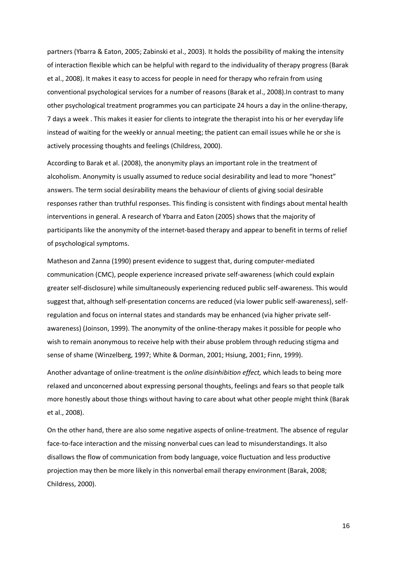partners (Ybarra & Eaton, 2005; Zabinski et al., 2003). It holds the possibility of making the intensity of interaction flexible which can be helpful with regard to the individuality of therapy progress (Barak et al., 2008). It makes it easy to access for people in need for therapy who refrain from using conventional psychological services for a number of reasons (Barak et al., 2008).In contrast to many other psychological treatment programmes you can participate 24 hours a day in the online-therapy, 7 days a week . This makes it easier for clients to integrate the therapist into his or her everyday life instead of waiting for the weekly or annual meeting; the patient can email issues while he or she is actively processing thoughts and feelings (Childress, 2000).

According to Barak et al. (2008), the anonymity plays an important role in the treatment of alcoholism. Anonymity is usually assumed to reduce social desirability and lead to more "honest" answers. The term social desirability means the behaviour of clients of giving social desirable responses rather than truthful responses. This finding is consistent with findings about mental health interventions in general. A research of Ybarra and Eaton (2005) shows that the majority of participants like the anonymity of the internet-based therapy and appear to benefit in terms of relief of psychological symptoms.

Matheson and Zanna (1990) present evidence to suggest that, during computer-mediated communication (CMC), people experience increased private self-awareness (which could explain greater self-disclosure) while simultaneously experiencing reduced public self-awareness. This would suggest that, although self-presentation concerns are reduced (via lower public self-awareness), selfregulation and focus on internal states and standards may be enhanced (via higher private selfawareness) (Joinson, 1999). The anonymity of the online-therapy makes it possible for people who wish to remain anonymous to receive help with their abuse problem through reducing stigma and sense of shame (Winzelberg, 1997; White & Dorman, 2001; Hsiung, 2001; Finn, 1999).

Another advantage of online-treatment is the *online disinhibition effect,* which leads to being more relaxed and unconcerned about expressing personal thoughts, feelings and fears so that people talk more honestly about those things without having to care about what other people might think (Barak et al., 2008).

On the other hand, there are also some negative aspects of online-treatment. The absence of regular face-to-face interaction and the missing nonverbal cues can lead to misunderstandings. It also disallows the flow of communication from body language, voice fluctuation and less productive projection may then be more likely in this nonverbal email therapy environment (Barak, 2008; Childress, 2000).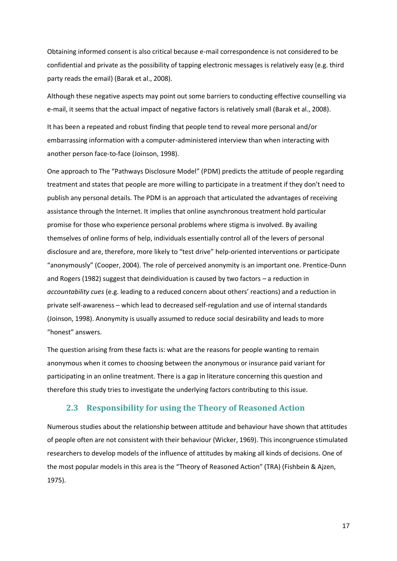Obtaining informed consent is also critical because e-mail correspondence is not considered to be confidential and private as the possibility of tapping electronic messages is relatively easy (e.g. third party reads the email) (Barak et al., 2008).

Although these negative aspects may point out some barriers to conducting effective counselling via e-mail, it seems that the actual impact of negative factors is relatively small (Barak et al., 2008).

It has been a repeated and robust finding that people tend to reveal more personal and/or embarrassing information with a computer-administered interview than when interacting with another person face-to-face (Joinson, 1998).

One approach to The "Pathways Disclosure Model" (PDM) predicts the attitude of people regarding treatment and states that people are more willing to participate in a treatment if they don't need to publish any personal details. The PDM is an approach that articulated the advantages of receiving assistance through the Internet. It implies that online asynchronous treatment hold particular promise for those who experience personal problems where stigma is involved. By availing themselves of online forms of help, individuals essentially control all of the levers of personal disclosure and are, therefore, more likely to "test drive" help-oriented interventions or participate "anonymously" (Cooper, 2004). The role of perceived anonymity is an important one. Prentice-Dunn and Rogers (1982) suggest that deindividuation is caused by two factors – a reduction in *accountability cues* (e.g. leading to a reduced concern about others' reactions) and a reduction in private self-awareness – which lead to decreased self-regulation and use of internal standards (Joinson, 1998). Anonymity is usually assumed to reduce social desirability and leads to more "honest" answers.

The question arising from these facts is: what are the reasons for people wanting to remain anonymous when it comes to choosing between the anonymous or insurance paid variant for participating in an online treatment. There is a gap in literature concerning this question and therefore this study tries to investigate the underlying factors contributing to this issue.

#### **2.3 Responsibility for using the Theory of Reasoned Action**

Numerous studies about the relationship between attitude and behaviour have shown that attitudes of people often are not consistent with their behaviour (Wicker, 1969). This incongruence stimulated researchers to develop models of the influence of attitudes by making all kinds of decisions. One of the most popular models in this area is the "Theory of Reasoned Action" (TRA) (Fishbein & Ajzen, 1975).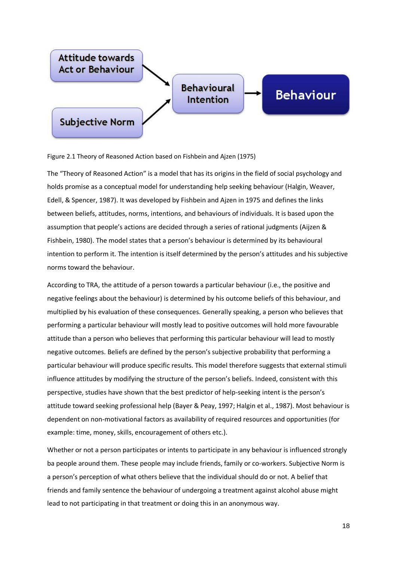

Figure 2.1 Theory of Reasoned Action based on Fishbein and Ajzen (1975)

The "Theory of Reasoned Action" is a model that has its origins in the field of social psychology and holds promise as a conceptual model for understanding help seeking behaviour (Halgin, Weaver, Edell, & Spencer, 1987). It was developed by Fishbein and Ajzen in 1975 and defines the links between beliefs, attitudes, norms, intentions, and behaviours of individuals. It is based upon the assumption that people's actions are decided through a series of rational judgments (Aijzen & Fishbein, 1980). The model states that a person's behaviour is determined by its behavioural intention to perform it. The intention is itself determined by the person's attitudes and his subjective norms toward the behaviour.

According to TRA, the attitude of a person towards a particular behaviour (i.e., the positive and negative feelings about the behaviour) is determined by his outcome beliefs of this behaviour, and multiplied by his evaluation of these consequences. Generally speaking, a person who believes that performing a particular behaviour will mostly lead to positive outcomes will hold more favourable attitude than a person who believes that performing this particular behaviour will lead to mostly negative outcomes. Beliefs are defined by the person's subjective probability that performing a particular behaviour will produce specific results. This model therefore suggests that external stimuli influence attitudes by modifying the structure of the person's beliefs. Indeed, consistent with this perspective, studies have shown that the best predictor of help-seeking intent is the person's attitude toward seeking professional help (Bayer & Peay, 1997; Halgin et al., 1987). Most behaviour is dependent on non-motivational factors as availability of required resources and opportunities (for example: time, money, skills, encouragement of others etc.).

Whether or not a person participates or intents to participate in any behaviour is influenced strongly ba people around them. These people may include friends, family or co-workers. Subjective Norm is a person's perception of what others believe that the individual should do or not. A belief that friends and family sentence the behaviour of undergoing a treatment against alcohol abuse might lead to not participating in that treatment or doing this in an anonymous way.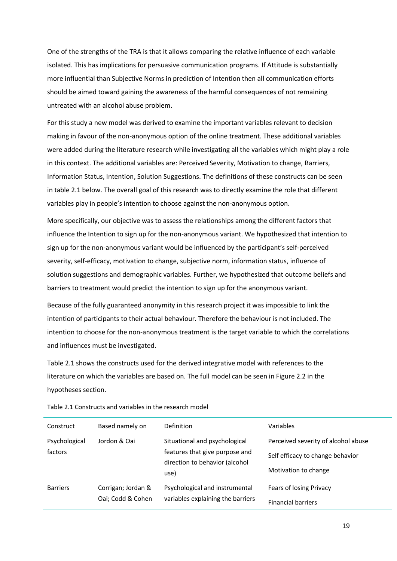One of the strengths of the TRA is that it allows comparing the relative influence of each variable isolated. This has implications for persuasive communication programs. If Attitude is substantially more influential than Subjective Norms in prediction of Intention then all communication efforts should be aimed toward gaining the awareness of the harmful consequences of not remaining untreated with an alcohol abuse problem.

For this study a new model was derived to examine the important variables relevant to decision making in favour of the non-anonymous option of the online treatment. These additional variables were added during the literature research while investigating all the variables which might play a role in this context. The additional variables are: Perceived Severity, Motivation to change, Barriers, Information Status, Intention, Solution Suggestions. The definitions of these constructs can be seen in table 2.1 below. The overall goal of this research was to directly examine the role that different variables play in people's intention to choose against the non-anonymous option.

More specifically, our objective was to assess the relationships among the different factors that influence the Intention to sign up for the non-anonymous variant. We hypothesized that intention to sign up for the non-anonymous variant would be influenced by the participant's self-perceived severity, self-efficacy, motivation to change, subjective norm, information status, influence of solution suggestions and demographic variables. Further, we hypothesized that outcome beliefs and barriers to treatment would predict the intention to sign up for the anonymous variant.

Because of the fully guaranteed anonymity in this research project it was impossible to link the intention of participants to their actual behaviour. Therefore the behaviour is not included. The intention to choose for the non-anonymous treatment is the target variable to which the correlations and influences must be investigated.

Table 2.1 shows the constructs used for the derived integrative model with references to the literature on which the variables are based on. The full model can be seen in Figure 2.2 in the hypotheses section.

| Construct                | Based namely on                         | Definition                                                                                                | Variables                                                                                       |
|--------------------------|-----------------------------------------|-----------------------------------------------------------------------------------------------------------|-------------------------------------------------------------------------------------------------|
| Psychological<br>factors | Jordon & Oai                            | Situational and psychological<br>features that give purpose and<br>direction to behavior (alcohol<br>use) | Perceived severity of alcohol abuse<br>Self efficacy to change behavior<br>Motivation to change |
| <b>Barriers</b>          | Corrigan; Jordan &<br>Oai; Codd & Cohen | Psychological and instrumental<br>variables explaining the barriers                                       | Fears of losing Privacy<br><b>Financial barriers</b>                                            |

Table 2.1 Constructs and variables in the research model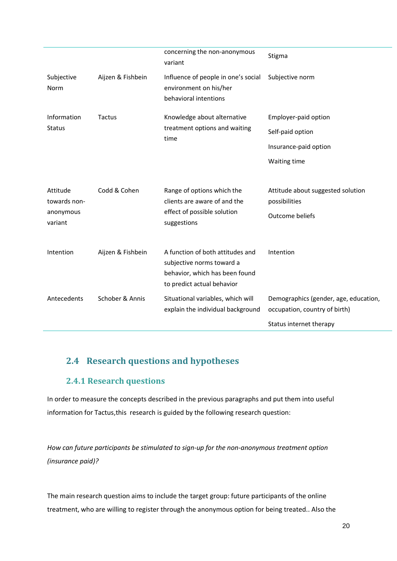|                                                  |                   | concerning the non-anonymous<br>variant                                                                                       | Stigma                                                                       |
|--------------------------------------------------|-------------------|-------------------------------------------------------------------------------------------------------------------------------|------------------------------------------------------------------------------|
| Subjective<br>Norm                               | Aijzen & Fishbein | Influence of people in one's social<br>environment on his/her<br>behavioral intentions                                        | Subjective norm                                                              |
| Information                                      | Tactus            | Knowledge about alternative                                                                                                   | Employer-paid option                                                         |
| <b>Status</b>                                    |                   | treatment options and waiting<br>time                                                                                         | Self-paid option                                                             |
|                                                  |                   |                                                                                                                               | Insurance-paid option                                                        |
|                                                  |                   |                                                                                                                               | Waiting time                                                                 |
| Attitude<br>towards non-<br>anonymous<br>variant | Codd & Cohen      | Range of options which the<br>clients are aware of and the<br>effect of possible solution<br>suggestions                      | Attitude about suggested solution<br>possibilities<br><b>Outcome beliefs</b> |
| Intention                                        | Aijzen & Fishbein | A function of both attitudes and<br>subjective norms toward a<br>behavior, which has been found<br>to predict actual behavior | Intention                                                                    |
| Antecedents                                      | Schober & Annis   | Situational variables, which will<br>explain the individual background                                                        | Demographics (gender, age, education,<br>occupation, country of birth)       |
|                                                  |                   |                                                                                                                               | Status internet therapy                                                      |

# **2.4 Research questions and hypotheses**

# **2.4.1 Research questions**

In order to measure the concepts described in the previous paragraphs and put them into useful information for Tactus, this research is guided by the following research question:

*How can future participants be stimulated to sign-up for the non-anonymous treatment option (insurance paid)?*

The main research question aims to include the target group: future participants of the online treatment, who are willing to register through the anonymous option for being treated.. Also the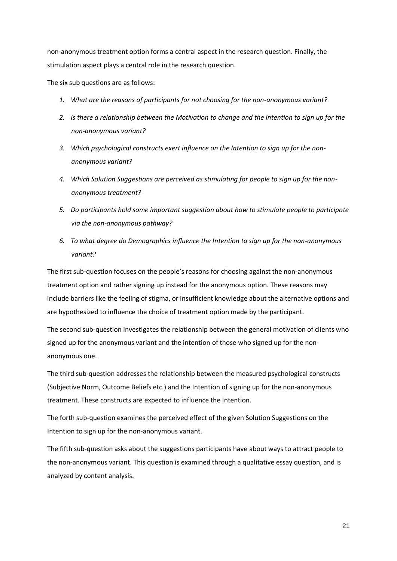non-anonymous treatment option forms a central aspect in the research question. Finally, the stimulation aspect plays a central role in the research question.

The six sub questions are as follows:

- *1. What are the reasons of participants for not choosing for the non-anonymous variant?*
- *2. Is there a relationship between the Motivation to change and the intention to sign up for the non-anonymous variant?*
- *3. Which psychological constructs exert influence on the Intention to sign up for the nonanonymous variant?*
- *4. Which Solution Suggestions are perceived as stimulating for people to sign up for the nonanonymous treatment?*
- *5. Do participants hold some important suggestion about how to stimulate people to participate via the non-anonymous pathway?*
- *6. To what degree do Demographics influence the Intention to sign up for the non-anonymous variant?*

The first sub-question focuses on the people's reasons for choosing against the non-anonymous treatment option and rather signing up instead for the anonymous option. These reasons may include barriers like the feeling of stigma, or insufficient knowledge about the alternative options and are hypothesized to influence the choice of treatment option made by the participant.

The second sub-question investigates the relationship between the general motivation of clients who signed up for the anonymous variant and the intention of those who signed up for the nonanonymous one.

The third sub-question addresses the relationship between the measured psychological constructs (Subjective Norm, Outcome Beliefs etc.) and the Intention of signing up for the non-anonymous treatment. These constructs are expected to influence the Intention.

The forth sub-question examines the perceived effect of the given Solution Suggestions on the Intention to sign up for the non-anonymous variant.

The fifth sub-question asks about the suggestions participants have about ways to attract people to the non-anonymous variant. This question is examined through a qualitative essay question, and is analyzed by content analysis.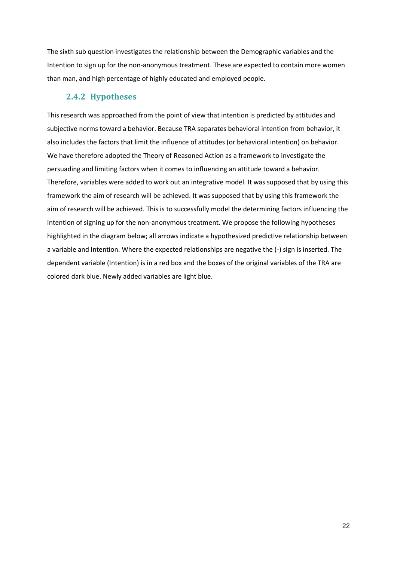The sixth sub question investigates the relationship between the Demographic variables and the Intention to sign up for the non-anonymous treatment. These are expected to contain more women than man, and high percentage of highly educated and employed people.

# **2.4.2 Hypotheses**

This research was approached from the point of view that intention is predicted by attitudes and subjective norms toward a behavior. Because TRA separates behavioral intention from behavior, it also includes the factors that limit the influence of attitudes (or behavioral intention) on behavior. We have therefore adopted the Theory of Reasoned Action as a framework to investigate the persuading and limiting factors when it comes to influencing an attitude toward a behavior. Therefore, variables were added to work out an integrative model. It was supposed that by using this framework the aim of research will be achieved. It was supposed that by using this framework the aim of research will be achieved. This is to successfully model the determining factors influencing the intention of signing up for the non-anonymous treatment. We propose the following hypotheses highlighted in the diagram below; all arrows indicate a hypothesized predictive relationship between a variable and Intention. Where the expected relationships are negative the (-) sign is inserted. The dependent variable (Intention) is in a red box and the boxes of the original variables of the TRA are colored dark blue. Newly added variables are light blue.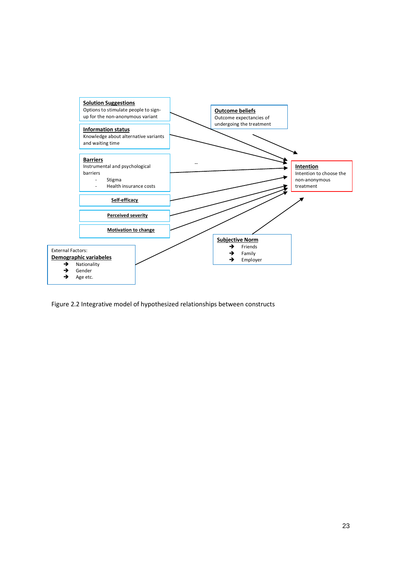

Figure 2.2 Integrative model of hypothesized relationships between constructs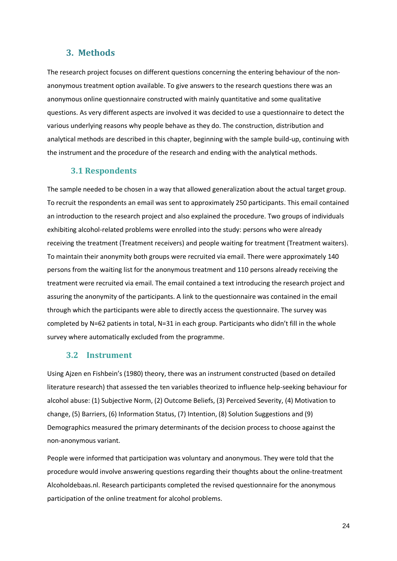## **3. Methods**

The research project focuses on different questions concerning the entering behaviour of the nonanonymous treatment option available. To give answers to the research questions there was an anonymous online questionnaire constructed with mainly quantitative and some qualitative questions. As very different aspects are involved it was decided to use a questionnaire to detect the various underlying reasons why people behave as they do. The construction, distribution and analytical methods are described in this chapter, beginning with the sample build-up, continuing with the instrument and the procedure of the research and ending with the analytical methods.

#### **3.1 Respondents**

The sample needed to be chosen in a way that allowed generalization about the actual target group. To recruit the respondents an email was sent to approximately 250 participants. This email contained an introduction to the research project and also explained the procedure. Two groups of individuals exhibiting alcohol-related problems were enrolled into the study: persons who were already receiving the treatment (Treatment receivers) and people waiting for treatment (Treatment waiters). To maintain their anonymity both groups were recruited via email. There were approximately 140 persons from the waiting list for the anonymous treatment and 110 persons already receiving the treatment were recruited via email. The email contained a text introducing the research project and assuring the anonymity of the participants. A link to the questionnaire was contained in the email through which the participants were able to directly access the questionnaire. The survey was completed by N=62 patients in total, N=31 in each group. Participants who didn't fill in the whole survey where automatically excluded from the programme.

#### **3.2 Instrument**

Using Ajzen en Fishbein's (1980) theory, there was an instrument constructed (based on detailed literature research) that assessed the ten variables theorized to influence help-seeking behaviour for alcohol abuse: (1) Subjective Norm, (2) Outcome Beliefs, (3) Perceived Severity, (4) Motivation to change, (5) Barriers, (6) Information Status, (7) Intention, (8) Solution Suggestions and (9) Demographics measured the primary determinants of the decision process to choose against the non-anonymous variant.

People were informed that participation was voluntary and anonymous. They were told that the procedure would involve answering questions regarding their thoughts about the online-treatment Alcoholdebaas.nl. Research participants completed the revised questionnaire for the anonymous participation of the online treatment for alcohol problems.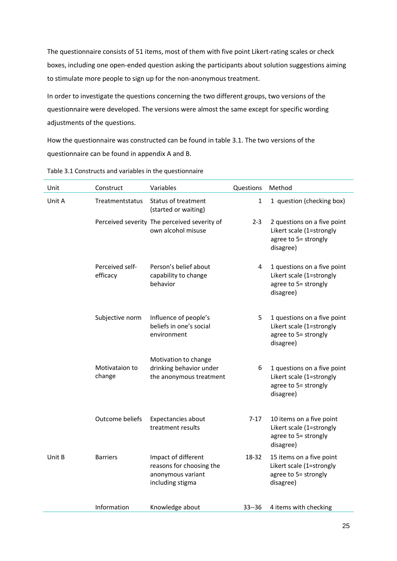The questionnaire consists of 51 items, most of them with five point Likert-rating scales or check boxes, including one open-ended question asking the participants about solution suggestions aiming to stimulate more people to sign up for the non-anonymous treatment.

In order to investigate the questions concerning the two different groups, two versions of the questionnaire were developed. The versions were almost the same except for specific wording adjustments of the questions.

How the questionnaire was constructed can be found in table 3.1. The two versions of the questionnaire can be found in appendix A and B.

| Unit   | Construct                   | Variables                                                                                | Questions    | Method                                                                                       |
|--------|-----------------------------|------------------------------------------------------------------------------------------|--------------|----------------------------------------------------------------------------------------------|
| Unit A | Treatmentstatus             | <b>Status of treatment</b><br>(started or waiting)                                       | $\mathbf{1}$ | 1 question (checking box)                                                                    |
|        |                             | Perceived severity The perceived severity of<br>own alcohol misuse                       | $2 - 3$      | 2 questions on a five point<br>Likert scale (1=strongly<br>agree to 5= strongly<br>disagree) |
|        | Perceived self-<br>efficacy | Person's belief about<br>capability to change<br>behavior                                | 4            | 1 questions on a five point<br>Likert scale (1=strongly<br>agree to 5= strongly<br>disagree) |
|        | Subjective norm             | Influence of people's<br>beliefs in one's social<br>environment                          | 5            | 1 questions on a five point<br>Likert scale (1=strongly<br>agree to 5= strongly<br>disagree) |
|        | Motivataion to<br>change    | Motivation to change<br>drinking behavior under<br>the anonymous treatment               | 6            | 1 questions on a five point<br>Likert scale (1=strongly<br>agree to 5= strongly<br>disagree) |
|        | Outcome beliefs             | Expectancies about<br>treatment results                                                  | $7 - 17$     | 10 items on a five point<br>Likert scale (1=strongly<br>agree to 5= strongly<br>disagree)    |
| Unit B | <b>Barriers</b>             | Impact of different<br>reasons for choosing the<br>anonymous variant<br>including stigma | 18-32        | 15 items on a five point<br>Likert scale (1=strongly<br>agree to 5= strongly<br>disagree)    |
|        | Information                 | Knowledge about                                                                          | 33--36       | 4 items with checking                                                                        |

Table 3.1 Constructs and variables in the questionnaire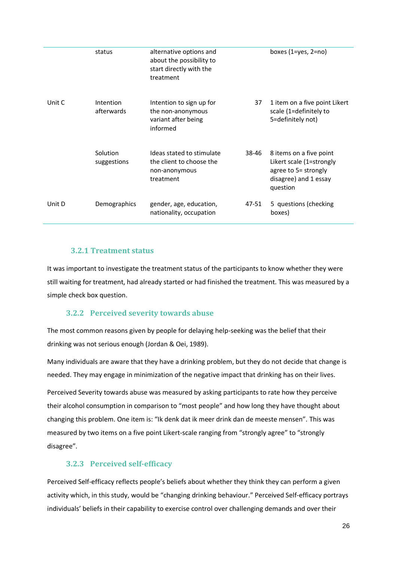|        | status                  | alternative options and<br>about the possibility to<br>start directly with the<br>treatment |       | boxes $(1 = yes, 2 = no)$                                                                                        |
|--------|-------------------------|---------------------------------------------------------------------------------------------|-------|------------------------------------------------------------------------------------------------------------------|
| Unit C | Intention<br>afterwards | Intention to sign up for<br>the non-anonymous<br>variant after being<br>informed            | 37    | 1 item on a five point Likert<br>scale (1=definitely to<br>5=definitely not)                                     |
|        | Solution<br>suggestions | Ideas stated to stimulate<br>the client to choose the<br>non-anonymous<br>treatment         | 38-46 | 8 items on a five point<br>Likert scale (1=strongly<br>agree to 5= strongly<br>disagree) and 1 essay<br>question |
| Unit D | <b>Demographics</b>     | gender, age, education,<br>nationality, occupation                                          | 47-51 | 5 questions (checking<br>boxes)                                                                                  |

#### **3.2.1 Treatment status**

It was important to investigate the treatment status of the participants to know whether they were still waiting for treatment, had already started or had finished the treatment. This was measured by a simple check box question.

#### **3.2.2 Perceived severity towards abuse**

The most common reasons given by people for delaying help-seeking was the belief that their drinking was not serious enough (Jordan & Oei, 1989).

Many individuals are aware that they have a drinking problem, but they do not decide that change is needed. They may engage in minimization of the negative impact that drinking has on their lives.

Perceived Severity towards abuse was measured by asking participants to rate how they perceive their alcohol consumption in comparison to "most people" and how long they have thought about changing this problem. One item is: "Ik denk dat ik meer drink dan de meeste mensen". This was measured by two items on a five point Likert-scale ranging from "strongly agree" to "strongly disagree".

#### **3.2.3 Perceived self-efficacy**

Perceived Self-efficacy reflects people's beliefs about whether they think they can perform a given activity which, in this study, would be "changing drinking behaviour." Perceived Self-efficacy portrays individuals' beliefs in their capability to exercise control over challenging demands and over their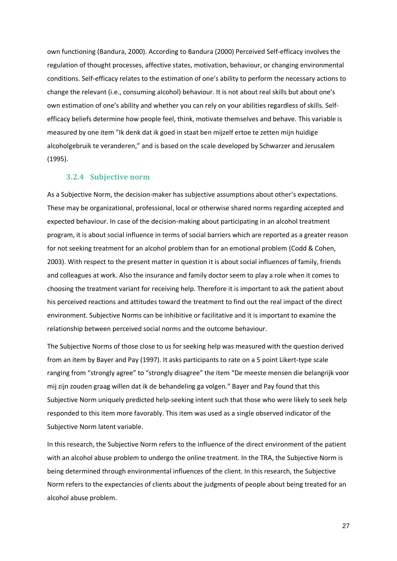own functioning (Bandura, 2000). According to Bandura (2000) Perceived Self-efficacy involves the regulation of thought processes, affective states, motivation, behaviour, or changing environmental conditions. Self-efficacy relates to the estimation of one's ability to perform the necessary actions to change the relevant (i.e., consuming alcohol) behaviour. It is not about real skills but about one's own estimation of one's ability and whether you can rely on your abilities regardless of skills. Selfefficacy beliefs determine how people feel, think, motivate themselves and behave. This variable is measured by one item "Ik denk dat ik goed in staat ben mijzelf ertoe te zetten mijn huidige alcoholgebruik te veranderen," and is based on the scale developed by Schwarzer and Jerusalem (1995).

#### **3.2.4 Subjective norm**

As a Subjective Norm, the decision-maker has subjective assumptions about other's expectations. These may be organizational, professional, local or otherwise shared norms regarding accepted and expected behaviour. In case of the decision-making about participating in an alcohol treatment program, it is about social influence in terms of social barriers which are reported as a greater reason for not seeking treatment for an alcohol problem than for an emotional problem (Codd & Cohen, 2003). With respect to the present matter in question it is about social influences of family, friends and colleagues at work. Also the insurance and family doctor seem to play a role when it comes to choosing the treatment variant for receiving help. Therefore it is important to ask the patient about his perceived reactions and attitudes toward the treatment to find out the real impact of the direct environment. Subjective Norms can be inhibitive or facilitative and it is important to examine the relationship between perceived social norms and the outcome behaviour.

The Subjective Norms of those close to us for seeking help was measured with the question derived from an item by Bayer and Pay (1997). It asks participants to rate on a 5 point Likert-type scale ranging from "strongly agree" to "strongly disagree" the item "De meeste mensen die belangrijk voor mij zijn zouden graag willen dat ik de behandeling ga volgen." Bayer and Pay found that this Subjective Norm uniquely predicted help-seeking intent such that those who were likely to seek help responded to this item more favorably. This item was used as a single observed indicator of the Subjective Norm latent variable.

In this research, the Subjective Norm refers to the influence of the direct environment of the patient with an alcohol abuse problem to undergo the online treatment. In the TRA, the Subjective Norm is being determined through environmental influences of the client. In this research, the Subjective Norm refers to the expectancies of clients about the judgments of people about being treated for an alcohol abuse problem.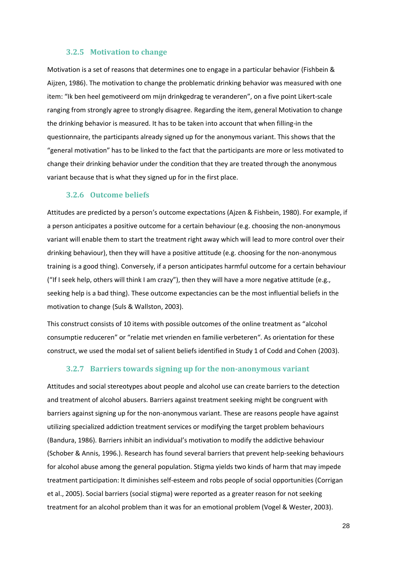#### **3.2.5 Motivation to change**

Motivation is a set of reasons that determines one to engage in a particular behavior (Fishbein & Aijzen, 1986). The motivation to change the problematic drinking behavior was measured with one item: "Ik ben heel gemotiveerd om mijn drinkgedrag te veranderen", on a five point Likert-scale ranging from strongly agree to strongly disagree. Regarding the item, general Motivation to change the drinking behavior is measured. It has to be taken into account that when filling-in the questionnaire, the participants already signed up for the anonymous variant. This shows that the "general motivation" has to be linked to the fact that the participants are more or less motivated to change their drinking behavior under the condition that they are treated through the anonymous variant because that is what they signed up for in the first place.

#### **3.2.6 Outcome beliefs**

Attitudes are predicted by a person's outcome expectations (Ajzen & Fishbein, 1980). For example, if a person anticipates a positive outcome for a certain behaviour (e.g. choosing the non-anonymous variant will enable them to start the treatment right away which will lead to more control over their drinking behaviour), then they will have a positive attitude (e.g. choosing for the non-anonymous training is a good thing). Conversely, if a person anticipates harmful outcome for a certain behaviour ("If I seek help, others will think I am crazy"), then they will have a more negative attitude (e.g., seeking help is a bad thing). These outcome expectancies can be the most influential beliefs in the motivation to change (Suls & Wallston, 2003).

This construct consists of 10 items with possible outcomes of the online treatment as "alcohol consumptie reduceren" or "relatie met vrienden en familie verbeteren". As orientation for these construct, we used the modal set of salient beliefs identified in Study 1 of Codd and Cohen (2003).

#### **3.2.7 Barriers towards signing up for the non-anonymous variant**

Attitudes and social stereotypes about people and alcohol use can create barriers to the detection and treatment of alcohol abusers. Barriers against treatment seeking might be congruent with barriers against signing up for the non-anonymous variant. These are reasons people have against utilizing specialized addiction treatment services or modifying the target problem behaviours (Bandura, 1986). Barriers inhibit an individual's motivation to modify the addictive behaviour (Schober & Annis, 1996.). Research has found several barriers that prevent help-seeking behaviours for alcohol abuse among the general population. Stigma yields two kinds of harm that may impede treatment participation: It diminishes self-esteem and robs people of social opportunities (Corrigan et al., 2005). Social barriers (social stigma) were reported as a greater reason for not seeking treatment for an alcohol problem than it was for an emotional problem (Vogel & Wester, 2003).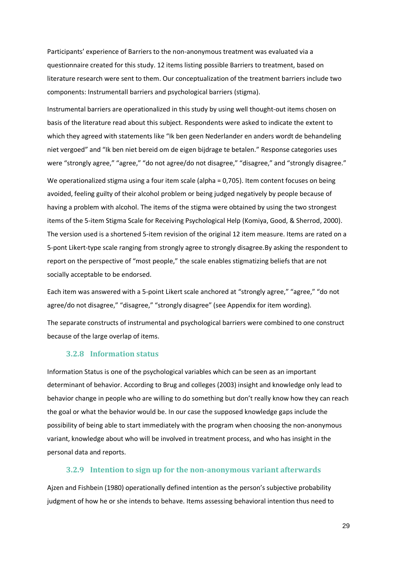Participants' experience of Barriers to the non-anonymous treatment was evaluated via a questionnaire created for this study. 12 items listing possible Barriers to treatment, based on literature research were sent to them. Our conceptualization of the treatment barriers include two components: Instrumentall barriers and psychological barriers (stigma).

Instrumental barriers are operationalized in this study by using well thought-out items chosen on basis of the literature read about this subject. Respondents were asked to indicate the extent to which they agreed with statements like "Ik ben geen Nederlander en anders wordt de behandeling niet vergoed" and "Ik ben niet bereid om de eigen bijdrage te betalen." Response categories uses were "strongly agree," "agree," "do not agree/do not disagree," "disagree," and "strongly disagree."

We operationalized stigma using a four item scale (alpha = 0,705). Item content focuses on being avoided, feeling guilty of their alcohol problem or being judged negatively by people because of having a problem with alcohol. The items of the stigma were obtained by using the two strongest items of the 5-item Stigma Scale for Receiving Psychological Help (Komiya, Good, & Sherrod, 2000). The version used is a shortened 5-item revision of the original 12 item measure. Items are rated on a 5-pont Likert-type scale ranging from strongly agree to strongly disagree.By asking the respondent to report on the perspective of "most people," the scale enables stigmatizing beliefs that are not socially acceptable to be endorsed.

Each item was answered with a 5-point Likert scale anchored at "strongly agree," "agree," "do not agree/do not disagree," "disagree," "strongly disagree" (see Appendix for item wording).

The separate constructs of instrumental and psychological barriers were combined to one construct because of the large overlap of items.

#### **3.2.8 Information status**

Information Status is one of the psychological variables which can be seen as an important determinant of behavior. According to Brug and colleges (2003) insight and knowledge only lead to behavior change in people who are willing to do something but don't really know how they can reach the goal or what the behavior would be. In our case the supposed knowledge gaps include the possibility of being able to start immediately with the program when choosing the non-anonymous variant, knowledge about who will be involved in treatment process, and who has insight in the personal data and reports.

#### **3.2.9 Intention to sign up for the non-anonymous variant afterwards**

Ajzen and Fishbein (1980) operationally defined intention as the person's subjective probability judgment of how he or she intends to behave. Items assessing behavioral intention thus need to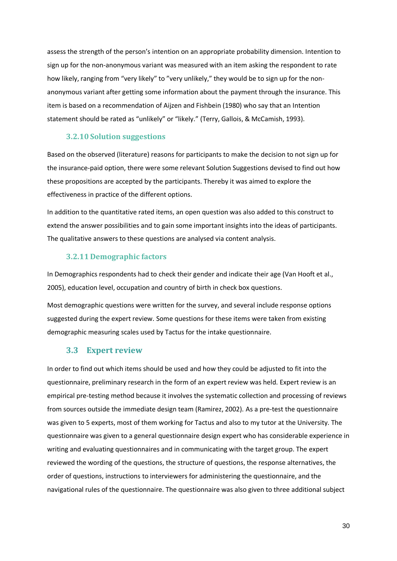assess the strength of the person's intention on an appropriate probability dimension. Intention to sign up for the non-anonymous variant was measured with an item asking the respondent to rate how likely, ranging from "very likely" to "very unlikely," they would be to sign up for the nonanonymous variant after getting some information about the payment through the insurance. This item is based on a recommendation of Aijzen and Fishbein (1980) who say that an Intention statement should be rated as "unlikely" or "likely." (Terry, Gallois, & McCamish, 1993).

#### **3.2.10 Solution suggestions**

Based on the observed (literature) reasons for participants to make the decision to not sign up for the insurance-paid option, there were some relevant Solution Suggestions devised to find out how these propositions are accepted by the participants. Thereby it was aimed to explore the effectiveness in practice of the different options.

In addition to the quantitative rated items, an open question was also added to this construct to extend the answer possibilities and to gain some important insights into the ideas of participants. The qualitative answers to these questions are analysed via content analysis.

#### **3.2.11 Demographic factors**

In Demographics respondents had to check their gender and indicate their age (Van Hooft et al., 2005), education level, occupation and country of birth in check box questions.

Most demographic questions were written for the survey, and several include response options suggested during the expert review. Some questions for these items were taken from existing demographic measuring scales used by Tactus for the intake questionnaire.

#### **3.3 Expert review**

In order to find out which items should be used and how they could be adjusted to fit into the questionnaire, preliminary research in the form of an expert review was held. Expert review is an empirical pre-testing method because it involves the systematic collection and processing of reviews from sources outside the immediate design team (Ramirez, 2002). As a pre-test the questionnaire was given to 5 experts, most of them working for Tactus and also to my tutor at the University. The questionnaire was given to a general questionnaire design expert who has considerable experience in writing and evaluating questionnaires and in communicating with the target group. The expert reviewed the wording of the questions, the structure of questions, the response alternatives, the order of questions, instructions to interviewers for administering the questionnaire, and the navigational rules of the questionnaire. The questionnaire was also given to three additional subject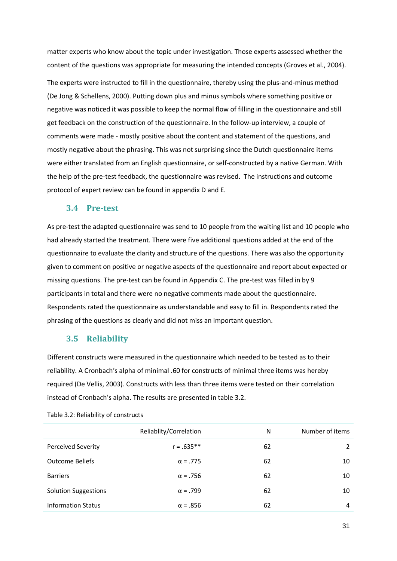matter experts who know about the topic under investigation. Those experts assessed whether the content of the questions was appropriate for measuring the intended concepts (Groves et al., 2004).

The experts were instructed to fill in the questionnaire, thereby using the plus-and-minus method (De Jong & Schellens, 2000). Putting down plus and minus symbols where something positive or negative was noticed it was possible to keep the normal flow of filling in the questionnaire and still get feedback on the construction of the questionnaire. In the follow-up interview, a couple of comments were made - mostly positive about the content and statement of the questions, and mostly negative about the phrasing. This was not surprising since the Dutch questionnaire items were either translated from an English questionnaire, or self-constructed by a native German. With the help of the pre-test feedback, the questionnaire was revised. The instructions and outcome protocol of expert review can be found in appendix D and E.

#### **3.4 Pre-test**

As pre-test the adapted questionnaire was send to 10 people from the waiting list and 10 people who had already started the treatment. There were five additional questions added at the end of the questionnaire to evaluate the clarity and structure of the questions. There was also the opportunity given to comment on positive or negative aspects of the questionnaire and report about expected or missing questions. The pre-test can be found in Appendix C. The pre-test was filled in by 9 participants in total and there were no negative comments made about the questionnaire. Respondents rated the questionnaire as understandable and easy to fill in. Respondents rated the phrasing of the questions as clearly and did not miss an important question.

#### **3.5 Reliability**

Different constructs were measured in the questionnaire which needed to be tested as to their reliability. A Cronbach's alpha of minimal .60 for constructs of minimal three items was hereby required (De Vellis, 2003). Constructs with less than three items were tested on their correlation instead of Cronbach's alpha. The results are presented in table 3.2.

|                             | Reliablity/Correlation | N  | Number of items |
|-----------------------------|------------------------|----|-----------------|
| <b>Perceived Severity</b>   | $r = .635**$           | 62 | $\overline{2}$  |
| <b>Outcome Beliefs</b>      | $\alpha = .775$        | 62 | 10              |
| <b>Barriers</b>             | $\alpha = .756$        | 62 | 10              |
| <b>Solution Suggestions</b> | $\alpha$ = .799        | 62 | 10              |
| <b>Information Status</b>   | $\alpha$ = .856        | 62 | 4               |

Table 3.2: Reliability of constructs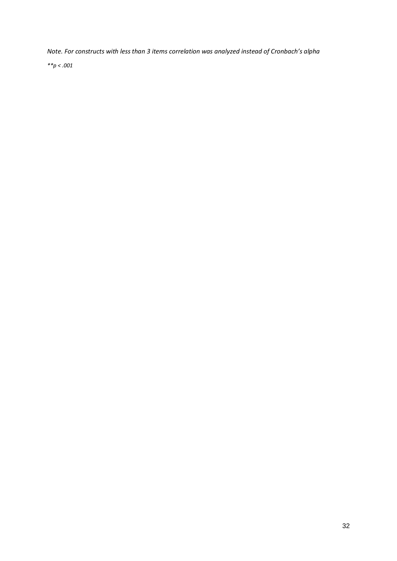*Note. For constructs with less than 3 items correlation was analyzed instead of Cronbach's alpha*

*\*\*p < .001*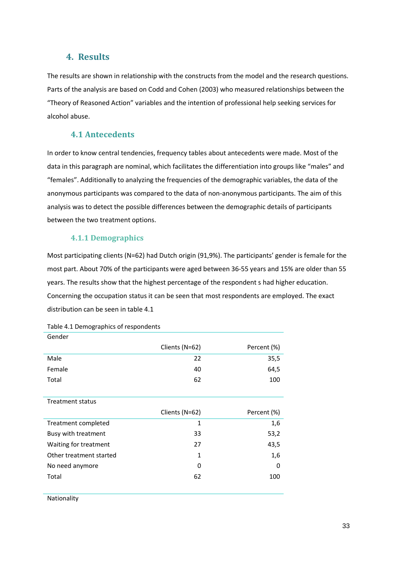# **4. Results**

The results are shown in relationship with the constructs from the model and the research questions. Parts of the analysis are based on Codd and Cohen (2003) who measured relationships between the "Theory of Reasoned Action" variables and the intention of professional help seeking services for alcohol abuse.

# **4.1 Antecedents**

In order to know central tendencies, frequency tables about antecedents were made. Most of the data in this paragraph are nominal, which facilitates the differentiation into groups like "males" and "females". Additionally to analyzing the frequencies of the demographic variables, the data of the anonymous participants was compared to the data of non-anonymous participants. The aim of this analysis was to detect the possible differences between the demographic details of participants between the two treatment options.

## **4.1.1 Demographics**

Most participating clients (N=62) had Dutch origin (91,9%). The participants' gender is female for the most part. About 70% of the participants were aged between 36-55 years and 15% are older than 55 years. The results show that the highest percentage of the respondent s had higher education. Concerning the occupation status it can be seen that most respondents are employed. The exact distribution can be seen in table 4.1

| Gender                  |                |             |
|-------------------------|----------------|-------------|
|                         | Clients (N=62) | Percent (%) |
| Male                    | 22             | 35,5        |
| Female                  | 40             | 64,5        |
| Total                   | 62             | 100         |
|                         |                |             |
| <b>Treatment status</b> |                |             |
|                         | Clients (N=62) | Percent (%) |
|                         |                |             |
| Treatment completed     | $\mathbf{1}$   | 1,6         |
| Busy with treatment     | 33             | 53,2        |
| Waiting for treatment   | 27             | 43,5        |
| Other treatment started | 1              | 1,6         |
| No need anymore         | 0              | $\Omega$    |
| Total                   | 62             | 100         |

Table 4.1 Demographics of respondents

Nationality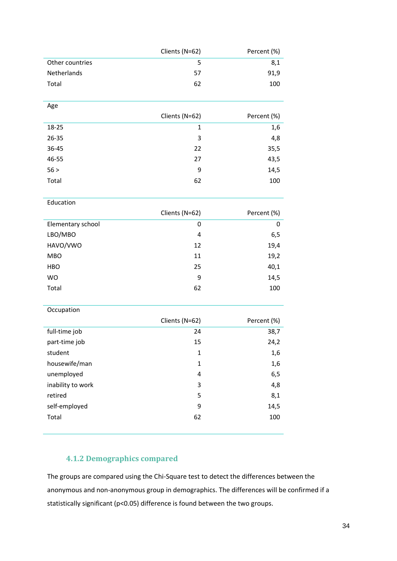|                    | Clients (N=62) | Percent (%) |
|--------------------|----------------|-------------|
| Other countries    | Ь              | 8,1         |
| <b>Netherlands</b> | 57             | 91,9        |
| Total              | 62             | 100         |

| Age   |                |             |
|-------|----------------|-------------|
|       | Clients (N=62) | Percent (%) |
| 18-25 | 1              | 1,6         |
| 26-35 | 3              | 4,8         |
| 36-45 | 22             | 35,5        |
| 46-55 | 27             | 43,5        |
| 56 >  | 9              | 14,5        |
| Total | 62             | 100         |
|       |                |             |

**Education** 

|                   | Clients (N=62) | Percent (%) |
|-------------------|----------------|-------------|
| Elementary school | 0              | 0           |
| LBO/MBO           | 4              | 6,5         |
| HAVO/VWO          | 12             | 19,4        |
| <b>MBO</b>        | 11             | 19,2        |
| HBO               | 25             | 40,1        |
| <b>WO</b>         | 9              | 14,5        |
| Total             | 62             | 100         |

**Occupation** 

|                   | Clients (N=62) | Percent (%) |
|-------------------|----------------|-------------|
| full-time job     | 24             | 38,7        |
| part-time job     | 15             | 24,2        |
| student           | 1              | 1,6         |
| housewife/man     | 1              | 1,6         |
| unemployed        | 4              | 6,5         |
| inability to work | 3              | 4,8         |
| retired           | 5              | 8,1         |
| self-employed     | 9              | 14,5        |
| Total             | 62             | 100         |

# **4.1.2 Demographics compared**

The groups are compared using the Chi-Square test to detect the differences between the anonymous and non-anonymous group in demographics. The differences will be confirmed if a statistically significant (p<0.05) difference is found between the two groups.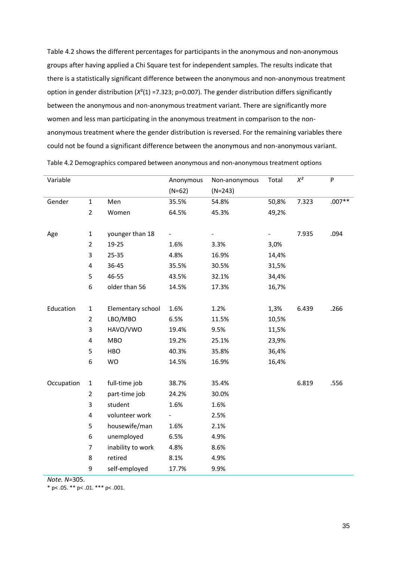Table 4.2 shows the different percentages for participants in the anonymous and non-anonymous groups after having applied a Chi Square test for independent samples. The results indicate that there is a statistically significant difference between the anonymous and non-anonymous treatment option in gender distribution (*X*²(1) =7.323; p=0.007). The gender distribution differs significantly between the anonymous and non-anonymous treatment variant. There are significantly more women and less man participating in the anonymous treatment in comparison to the nonanonymous treatment where the gender distribution is reversed. For the remaining variables there could not be found a significant difference between the anonymous and non-anonymous variant.

| Variable   |                |                   | Anonymous | Non-anonymous | Total | $\mathsf{X}^2$ | P        |
|------------|----------------|-------------------|-----------|---------------|-------|----------------|----------|
|            |                |                   | $(N=62)$  | $(N=243)$     |       |                |          |
| Gender     | $\mathbf{1}$   | Men               | 35.5%     | 54.8%         | 50,8% | 7.323          | $.007**$ |
|            | $\overline{2}$ | Women             | 64.5%     | 45.3%         | 49,2% |                |          |
|            |                |                   |           |               |       |                |          |
| Age        | $\mathbf{1}$   | younger than 18   |           |               |       | 7.935          | .094     |
|            | $\overline{2}$ | 19-25             | 1.6%      | 3.3%          | 3,0%  |                |          |
|            | 3              | 25-35             | 4.8%      | 16.9%         | 14,4% |                |          |
|            | 4              | 36-45             | 35.5%     | 30.5%         | 31,5% |                |          |
|            | 5              | 46-55             | 43.5%     | 32.1%         | 34,4% |                |          |
|            | 6              | older than 56     | 14.5%     | 17.3%         | 16,7% |                |          |
|            |                |                   |           |               |       |                |          |
| Education  | $\mathbf{1}$   | Elementary school | 1.6%      | 1.2%          | 1,3%  | 6.439          | .266     |
|            | $\overline{2}$ | LBO/MBO           | 6.5%      | 11.5%         | 10,5% |                |          |
|            | 3              | HAVO/VWO          | 19.4%     | 9.5%          | 11,5% |                |          |
|            | 4              | <b>MBO</b>        | 19.2%     | 25.1%         | 23,9% |                |          |
|            | 5              | <b>HBO</b>        | 40.3%     | 35.8%         | 36,4% |                |          |
|            | 6              | WO                | 14.5%     | 16.9%         | 16,4% |                |          |
|            |                |                   |           |               |       |                |          |
| Occupation | $\mathbf{1}$   | full-time job     | 38.7%     | 35.4%         |       | 6.819          | .556     |
|            | $\overline{2}$ | part-time job     | 24.2%     | 30.0%         |       |                |          |
|            | 3              | student           | 1.6%      | 1.6%          |       |                |          |
|            | $\pmb{4}$      | volunteer work    | -         | 2.5%          |       |                |          |
|            | 5              | housewife/man     | 1.6%      | 2.1%          |       |                |          |
|            | 6              | unemployed        | 6.5%      | 4.9%          |       |                |          |
|            | $\overline{7}$ | inability to work | 4.8%      | 8.6%          |       |                |          |
|            | 8              | retired           | 8.1%      | 4.9%          |       |                |          |
|            | 9              | self-employed     | 17.7%     | 9.9%          |       |                |          |

Table 4.2 Demographics compared between anonymous and non-anonymous treatment options

*Note. N=*305.

\* p <  $.05.$  \*\* p <  $.01.$  \*\*\* p <  $.001.$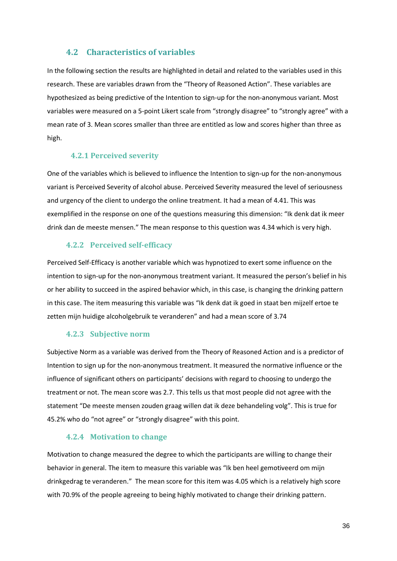#### **4.2 Characteristics of variables**

In the following section the results are highlighted in detail and related to the variables used in this research. These are variables drawn from the "Theory of Reasoned Action". These variables are hypothesized as being predictive of the Intention to sign-up for the non-anonymous variant. Most variables were measured on a 5-point Likert scale from "strongly disagree" to "strongly agree" with a mean rate of 3. Mean scores smaller than three are entitled as low and scores higher than three as high.

#### **4.2.1 Perceived severity**

One of the variables which is believed to influence the Intention to sign-up for the non-anonymous variant is Perceived Severity of alcohol abuse. Perceived Severity measured the level of seriousness and urgency of the client to undergo the online treatment. It had a mean of 4.41. This was exemplified in the response on one of the questions measuring this dimension: "Ik denk dat ik meer drink dan de meeste mensen." The mean response to this question was 4.34 which is very high.

#### **4.2.2 Perceived self-efficacy**

Perceived Self-Efficacy is another variable which was hypnotized to exert some influence on the intention to sign-up for the non-anonymous treatment variant. It measured the person's belief in his or her ability to succeed in the aspired behavior which, in this case, is changing the drinking pattern in this case. The item measuring this variable was "Ik denk dat ik goed in staat ben mijzelf ertoe te zetten mijn huidige alcoholgebruik te veranderen" and had a mean score of 3.74

#### **4.2.3 Subjective norm**

Subjective Norm as a variable was derived from the Theory of Reasoned Action and is a predictor of Intention to sign up for the non-anonymous treatment. It measured the normative influence or the influence of significant others on participants' decisions with regard to choosing to undergo the treatment or not. The mean score was 2.7. This tells us that most people did not agree with the statement "De meeste mensen zouden graag willen dat ik deze behandeling volg". This is true for 45.2% who do "not agree" or "strongly disagree" with this point.

#### **4.2.4 Motivation to change**

Motivation to change measured the degree to which the participants are willing to change their behavior in general. The item to measure this variable was "Ik ben heel gemotiveerd om mijn drinkgedrag te veranderen." The mean score for this item was 4.05 which is a relatively high score with 70.9% of the people agreeing to being highly motivated to change their drinking pattern.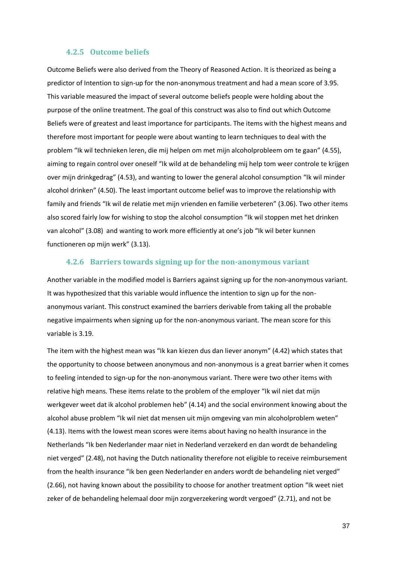#### **4.2.5 Outcome beliefs**

Outcome Beliefs were also derived from the Theory of Reasoned Action. It is theorized as being a predictor of Intention to sign-up for the non-anonymous treatment and had a mean score of 3.95. This variable measured the impact of several outcome beliefs people were holding about the purpose of the online treatment. The goal of this construct was also to find out which Outcome Beliefs were of greatest and least importance for participants. The items with the highest means and therefore most important for people were about wanting to learn techniques to deal with the problem "Ik wil technieken leren, die mij helpen om met mijn alcoholprobleem om te gaan" (4.55), aiming to regain control over oneself "Ik wild at de behandeling mij help tom weer controle te krijgen over mijn drinkgedrag" (4.53), and wanting to lower the general alcohol consumption "Ik wil minder alcohol drinken" (4.50). The least important outcome belief was to improve the relationship with family and friends "Ik wil de relatie met mijn vrienden en familie verbeteren" (3.06). Two other items also scored fairly low for wishing to stop the alcohol consumption "Ik wil stoppen met het drinken van alcohol" (3.08) and wanting to work more efficiently at one's job "Ik wil beter kunnen functioneren op mijn werk" (3.13).

#### **4.2.6 Barriers towards signing up for the non-anonymous variant**

Another variable in the modified model is Barriers against signing up for the non-anonymous variant. It was hypothesized that this variable would influence the intention to sign up for the nonanonymous variant. This construct examined the barriers derivable from taking all the probable negative impairments when signing up for the non-anonymous variant. The mean score for this variable is 3.19.

The item with the highest mean was "Ik kan kiezen dus dan liever anonym" (4.42) which states that the opportunity to choose between anonymous and non-anonymous is a great barrier when it comes to feeling intended to sign-up for the non-anonymous variant. There were two other items with relative high means. These items relate to the problem of the employer "Ik wil niet dat mijn werkgever weet dat ik alcohol problemen heb" (4.14) and the social environment knowing about the alcohol abuse problem "Ik wil niet dat mensen uit mijn omgeving van min alcoholproblem weten" (4.13). Items with the lowest mean scores were items about having no health insurance in the Netherlands "Ik ben Nederlander maar niet in Nederland verzekerd en dan wordt de behandeling niet verged" (2.48), not having the Dutch nationality therefore not eligible to receive reimbursement from the health insurance "Ik ben geen Nederlander en anders wordt de behandeling niet verged" (2.66), not having known about the possibility to choose for another treatment option "Ik weet niet zeker of de behandeling helemaal door mijn zorgverzekering wordt vergoed" (2.71), and not be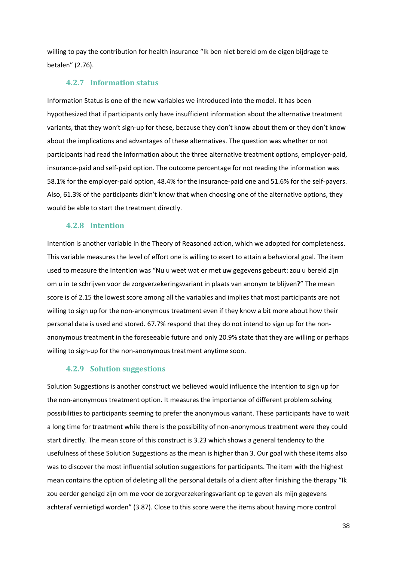willing to pay the contribution for health insurance "Ik ben niet bereid om de eigen bijdrage te betalen" (2.76).

#### **4.2.7 Information status**

Information Status is one of the new variables we introduced into the model. It has been hypothesized that if participants only have insufficient information about the alternative treatment variants, that they won't sign-up for these, because they don't know about them or they don't know about the implications and advantages of these alternatives. The question was whether or not participants had read the information about the three alternative treatment options, employer-paid, insurance-paid and self-paid option. The outcome percentage for not reading the information was 58.1% for the employer-paid option, 48.4% for the insurance-paid one and 51.6% for the self-payers. Also, 61.3% of the participants didn't know that when choosing one of the alternative options, they would be able to start the treatment directly.

#### **4.2.8 Intention**

Intention is another variable in the Theory of Reasoned action, which we adopted for completeness. This variable measures the level of effort one is willing to exert to attain a behavioral goal. The item used to measure the Intention was "Nu u weet wat er met uw gegevens gebeurt: zou u bereid zijn om u in te schrijven voor de zorgverzekeringsvariant in plaats van anonym te blijven?" The mean score is of 2.15 the lowest score among all the variables and implies that most participants are not willing to sign up for the non-anonymous treatment even if they know a bit more about how their personal data is used and stored. 67.7% respond that they do not intend to sign up for the nonanonymous treatment in the foreseeable future and only 20.9% state that they are willing or perhaps willing to sign-up for the non-anonymous treatment anytime soon.

#### **4.2.9 Solution suggestions**

Solution Suggestions is another construct we believed would influence the intention to sign up for the non-anonymous treatment option. It measures the importance of different problem solving possibilities to participants seeming to prefer the anonymous variant. These participants have to wait a long time for treatment while there is the possibility of non-anonymous treatment were they could start directly. The mean score of this construct is 3.23 which shows a general tendency to the usefulness of these Solution Suggestions as the mean is higher than 3. Our goal with these items also was to discover the most influential solution suggestions for participants. The item with the highest mean contains the option of deleting all the personal details of a client after finishing the therapy "Ik zou eerder geneigd zijn om me voor de zorgverzekeringsvariant op te geven als mijn gegevens achteraf vernietigd worden" (3.87). Close to this score were the items about having more control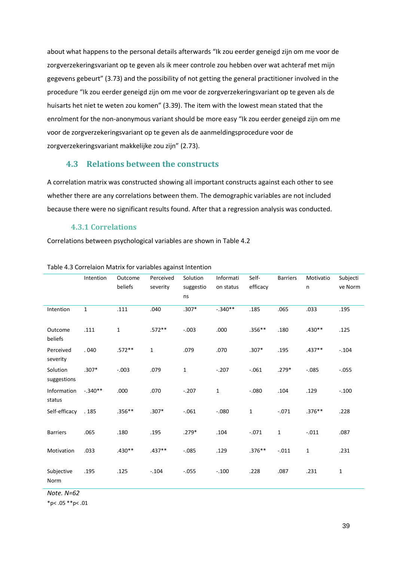about what happens to the personal details afterwards "Ik zou eerder geneigd zijn om me voor de zorgverzekeringsvariant op te geven als ik meer controle zou hebben over wat achteraf met mijn gegevens gebeurt" (3.73) and the possibility of not getting the general practitioner involved in the procedure "Ik zou eerder geneigd zijn om me voor de zorgverzekeringsvariant op te geven als de huisarts het niet te weten zou komen" (3.39). The item with the lowest mean stated that the enrolment for the non-anonymous variant should be more easy "Ik zou eerder geneigd zijn om me voor de zorgverzekeringsvariant op te geven als de aanmeldingsprocedure voor de zorgverzekeringsvariant makkelijke zou zijn" (2.73).

### **4.3 Relations between the constructs**

A correlation matrix was constructed showing all important constructs against each other to see whether there are any correlations between them. The demographic variables are not included because there were no significant results found. After that a regression analysis was conducted.

#### **4.3.1 Correlations**

Correlations between psychological variables are shown in Table 4.2

|                         | Intention    | Outcome<br>beliefs | Perceived<br>severity | Solution<br>suggestio | Informati<br>on status | Self-<br>efficacy | <b>Barriers</b> | Motivatio<br>n | Subjecti<br>ve Norm |
|-------------------------|--------------|--------------------|-----------------------|-----------------------|------------------------|-------------------|-----------------|----------------|---------------------|
|                         |              |                    |                       | ns                    |                        |                   |                 |                |                     |
| Intention               | $\mathbf{1}$ | .111               | .040                  | $.307*$               | $-.340**$              | .185              | .065            | .033           | .195                |
| Outcome<br>beliefs      | .111         | $\mathbf{1}$       | $.572**$              | $-.003$               | .000                   | $.356**$          | .180            | $.430**$       | .125                |
| Perceived<br>severity   | .040         | $.572**$           | $1\,$                 | .079                  | .070                   | $.307*$           | .195            | $.437**$       | $-.104$             |
| Solution<br>suggestions | $.307*$      | $-.003$            | .079                  | $\mathbf{1}$          | $-.207$                | $-.061$           | $.279*$         | $-.085$        | $-.055$             |
| Information<br>status   | $-.340**$    | .000               | .070                  | $-.207$               | $\mathbf{1}$           | $-.080$           | .104            | .129           | $-.100$             |
| Self-efficacy           | .185         | $.356**$           | $.307*$               | $-.061$               | $-0.080$               | $\mathbf 1$       | $-.071$         | $.376**$       | .228                |
| <b>Barriers</b>         | .065         | .180               | .195                  | $.279*$               | .104                   | $-.071$           | $\mathbf{1}$    | $-.011$        | .087                |
| Motivation              | .033         | $.430**$           | $.437**$              | $-.085$               | .129                   | $.376**$          | $-.011$         | $\mathbf{1}$   | .231                |
| Subjective<br>Norm      | .195         | .125               | $-.104$               | $-.055$               | $-.100$                | .228              | .087            | .231           | $\mathbf{1}$        |

Table 4.3 Correlaion Matrix for variables against Intention

*Note. N=62* 

 $*p$  < .05  $*p$  < .01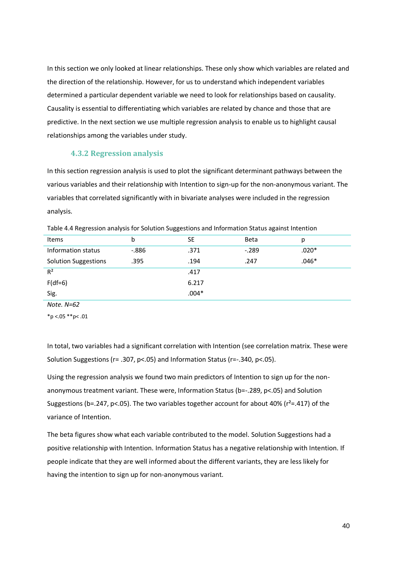In this section we only looked at linear relationships. These only show which variables are related and the direction of the relationship. However, for us to understand which independent variables determined a particular dependent variable we need to look for relationships based on causality. Causality is essential to differentiating which variables are related by chance and those that are predictive. In the next section we use multiple regression analysis to enable us to highlight causal relationships among the variables under study.

#### **4.3.2 Regression analysis**

In this section regression analysis is used to plot the significant determinant pathways between the various variables and their relationship with Intention to sign-up for the non-anonymous variant. The variables that correlated significantly with in bivariate analyses were included in the regression analysis.

| Items                       | b        | <b>SE</b> | Beta    | p       |
|-----------------------------|----------|-----------|---------|---------|
| Information status          | $-0.886$ | .371      | $-.289$ | $.020*$ |
| <b>Solution Suggestions</b> | .395     | .194      | .247    | $.046*$ |
| $R^2$                       |          | .417      |         |         |
| $F(df=6)$                   |          | 6.217     |         |         |
| Sig.                        |          | $.004*$   |         |         |

Table 4.4 Regression analysis for Solution Suggestions and Information Status against Intention

*Note. N=62* 

 $*$ p <.05  $*$  $*$ p<.01

In total, two variables had a significant correlation with Intention (see correlation matrix. These were Solution Suggestions (r= .307, p<.05) and Information Status (r=-.340, p<.05).

Using the regression analysis we found two main predictors of Intention to sign up for the nonanonymous treatment variant. These were, Information Status (b=-.289, p<.05) and Solution Suggestions (b=.247, p<.05). The two variables together account for about 40% ( $r^2$ =.417) of the variance of Intention.

The beta figures show what each variable contributed to the model. Solution Suggestions had a positive relationship with Intention. Information Status has a negative relationship with Intention. If people indicate that they are well informed about the different variants, they are less likely for having the intention to sign up for non-anonymous variant.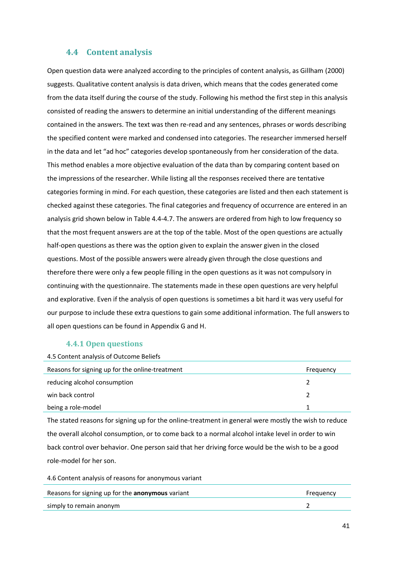### **4.4 Content analysis**

Open question data were analyzed according to the principles of content analysis, as Gillham (2000) suggests. Qualitative content analysis is data driven, which means that the codes generated come from the data itself during the course of the study. Following his method the first step in this analysis consisted of reading the answers to determine an initial understanding of the different meanings contained in the answers. The text was then re-read and any sentences, phrases or words describing the specified content were marked and condensed into categories. The researcher immersed herself in the data and let "ad hoc" categories develop spontaneously from her consideration of the data. This method enables a more objective evaluation of the data than by comparing content based on the impressions of the researcher. While listing all the responses received there are tentative categories forming in mind. For each question, these categories are listed and then each statement is checked against these categories. The final categories and frequency of occurrence are entered in an analysis grid shown below in Table 4.4-4.7. The answers are ordered from high to low frequency so that the most frequent answers are at the top of the table. Most of the open questions are actually half-open questions as there was the option given to explain the answer given in the closed questions. Most of the possible answers were already given through the close questions and therefore there were only a few people filling in the open questions as it was not compulsory in continuing with the questionnaire. The statements made in these open questions are very helpful and explorative. Even if the analysis of open questions is sometimes a bit hard it was very useful for our purpose to include these extra questions to gain some additional information. The full answers to all open questions can be found in Appendix G and H.

#### **4.4.1 Open questions**

| 4.5 Content analysis of Outcome Beliefs         |           |
|-------------------------------------------------|-----------|
| Reasons for signing up for the online-treatment | Frequency |
| reducing alcohol consumption                    |           |
| win back control                                |           |
| being a role-model                              |           |

The stated reasons for signing up for the online-treatment in general were mostly the wish to reduce the overall alcohol consumption, or to come back to a normal alcohol intake level in order to win back control over behavior. One person said that her driving force would be the wish to be a good role-model for her son.

4.6 Content analysis of reasons for anonymous variant

| Reasons for signing up for the anonymous variant | Frequency |
|--------------------------------------------------|-----------|
| simply to remain anonym                          |           |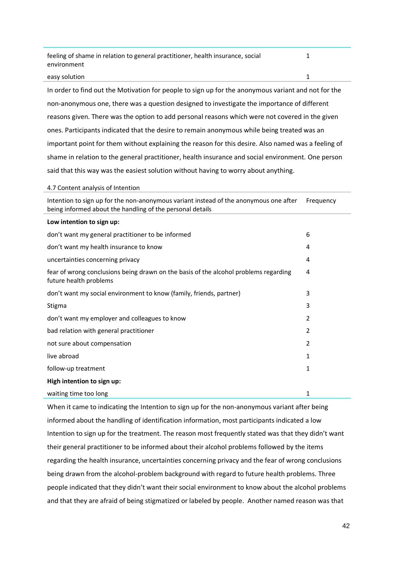feeling of shame in relation to general practitioner, health insurance, social environment 1

#### easy solution 1

In order to find out the Motivation for people to sign up for the anonymous variant and not for the non-anonymous one, there was a question designed to investigate the importance of different reasons given. There was the option to add personal reasons which were not covered in the given ones. Participants indicated that the desire to remain anonymous while being treated was an important point for them without explaining the reason for this desire. Also named was a feeling of shame in relation to the general practitioner, health insurance and social environment. One person said that this way was the easiest solution without having to worry about anything.

#### 4.7 Content analysis of Intention

Intention to sign up for the non-anonymous variant instead of the anonymous one after being informed about the handling of the personal details Frequency

#### **Low intention to sign up:**

| don't want my general practitioner to be informed                                                              | 6            |
|----------------------------------------------------------------------------------------------------------------|--------------|
| don't want my health insurance to know                                                                         | 4            |
| uncertainties concerning privacy                                                                               | 4            |
| fear of wrong conclusions being drawn on the basis of the alcohol problems regarding<br>future health problems | 4            |
| don't want my social environment to know (family, friends, partner)                                            | 3            |
| Stigma                                                                                                         | 3            |
| don't want my employer and colleagues to know                                                                  | 2            |
| bad relation with general practitioner                                                                         | 2            |
| not sure about compensation                                                                                    | 2            |
| live abroad                                                                                                    | 1            |
| follow-up treatment                                                                                            | $\mathbf{1}$ |
| High intention to sign up:                                                                                     |              |
| waiting time too long                                                                                          | 1            |

When it came to indicating the Intention to sign up for the non-anonymous variant after being informed about the handling of identification information, most participants indicated a low Intention to sign up for the treatment. The reason most frequently stated was that they didn't want their general practitioner to be informed about their alcohol problems followed by the items regarding the health insurance, uncertainties concerning privacy and the fear of wrong conclusions being drawn from the alcohol-problem background with regard to future health problems. Three people indicated that they didn't want their social environment to know about the alcohol problems and that they are afraid of being stigmatized or labeled by people. Another named reason was that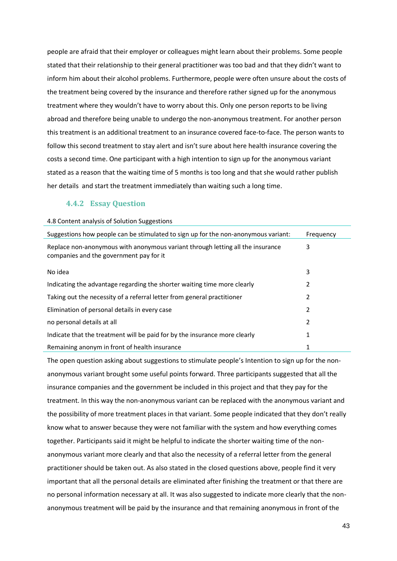people are afraid that their employer or colleagues might learn about their problems. Some people stated that their relationship to their general practitioner was too bad and that they didn't want to inform him about their alcohol problems. Furthermore, people were often unsure about the costs of the treatment being covered by the insurance and therefore rather signed up for the anonymous treatment where they wouldn't have to worry about this. Only one person reports to be living abroad and therefore being unable to undergo the non-anonymous treatment. For another person this treatment is an additional treatment to an insurance covered face-to-face. The person wants to follow this second treatment to stay alert and isn't sure about here health insurance covering the costs a second time. One participant with a high intention to sign up for the anonymous variant stated as a reason that the waiting time of 5 months is too long and that she would rather publish her details and start the treatment immediately than waiting such a long time.

#### **4.4.2 Essay Question**

| 4.8 Content analysis of Solution Suggestions                                                                              |           |
|---------------------------------------------------------------------------------------------------------------------------|-----------|
| Suggestions how people can be stimulated to sign up for the non-anonymous variant:                                        | Frequency |
| Replace non-anonymous with anonymous variant through letting all the insurance<br>companies and the government pay for it | 3         |
| No idea                                                                                                                   | 3         |
| Indicating the advantage regarding the shorter waiting time more clearly                                                  | 2         |
| Taking out the necessity of a referral letter from general practitioner                                                   | 2         |
| Elimination of personal details in every case                                                                             | 2         |
| no personal details at all                                                                                                | 2         |
| Indicate that the treatment will be paid for by the insurance more clearly                                                | 1         |
| Remaining anonym in front of health insurance                                                                             | 1         |

The open question asking about suggestions to stimulate people's Intention to sign up for the nonanonymous variant brought some useful points forward. Three participants suggested that all the insurance companies and the government be included in this project and that they pay for the treatment. In this way the non-anonymous variant can be replaced with the anonymous variant and the possibility of more treatment places in that variant. Some people indicated that they don't really know what to answer because they were not familiar with the system and how everything comes together. Participants said it might be helpful to indicate the shorter waiting time of the nonanonymous variant more clearly and that also the necessity of a referral letter from the general practitioner should be taken out. As also stated in the closed questions above, people find it very important that all the personal details are eliminated after finishing the treatment or that there are no personal information necessary at all. It was also suggested to indicate more clearly that the nonanonymous treatment will be paid by the insurance and that remaining anonymous in front of the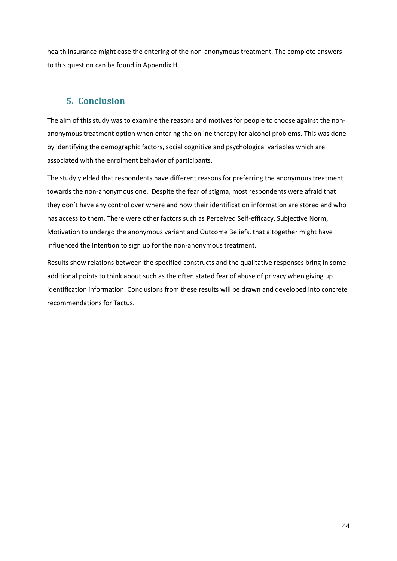health insurance might ease the entering of the non-anonymous treatment. The complete answers to this question can be found in Appendix H.

## **5. Conclusion**

The aim of this study was to examine the reasons and motives for people to choose against the nonanonymous treatment option when entering the online therapy for alcohol problems. This was done by identifying the demographic factors, social cognitive and psychological variables which are associated with the enrolment behavior of participants.

The study yielded that respondents have different reasons for preferring the anonymous treatment towards the non-anonymous one. Despite the fear of stigma, most respondents were afraid that they don't have any control over where and how their identification information are stored and who has access to them. There were other factors such as Perceived Self-efficacy, Subjective Norm, Motivation to undergo the anonymous variant and Outcome Beliefs, that altogether might have influenced the Intention to sign up for the non-anonymous treatment.

Results show relations between the specified constructs and the qualitative responses bring in some additional points to think about such as the often stated fear of abuse of privacy when giving up identification information. Conclusions from these results will be drawn and developed into concrete recommendations for Tactus.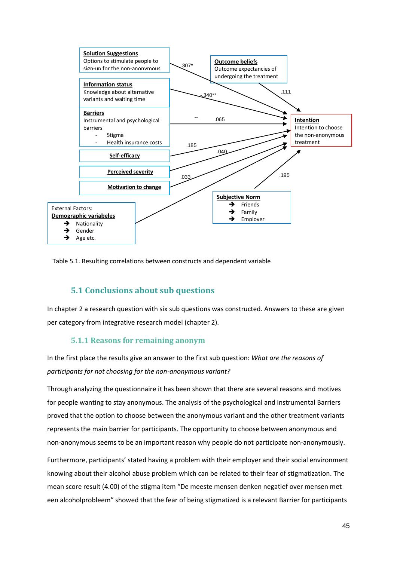

Table 5.1. Resulting correlations between constructs and dependent variable

### **5.1 Conclusions about sub questions**

In chapter 2 a research question with six sub questions was constructed. Answers to these are given per category from integrative research model (chapter 2).

#### **5.1.1 Reasons for remaining anonym**

In the first place the results give an answer to the first sub question: *What are the reasons of participants for not choosing for the non-anonymous variant?* 

Through analyzing the questionnaire it has been shown that there are several reasons and motives for people wanting to stay anonymous. The analysis of the psychological and instrumental Barriers proved that the option to choose between the anonymous variant and the other treatment variants represents the main barrier for participants. The opportunity to choose between anonymous and non-anonymous seems to be an important reason why people do not participate non-anonymously.

Furthermore, participants' stated having a problem with their employer and their social environment knowing about their alcohol abuse problem which can be related to their fear of stigmatization. The mean score result (4.00) of the stigma item "De meeste mensen denken negatief over mensen met een alcoholprobleem" showed that the fear of being stigmatized is a relevant Barrier for participants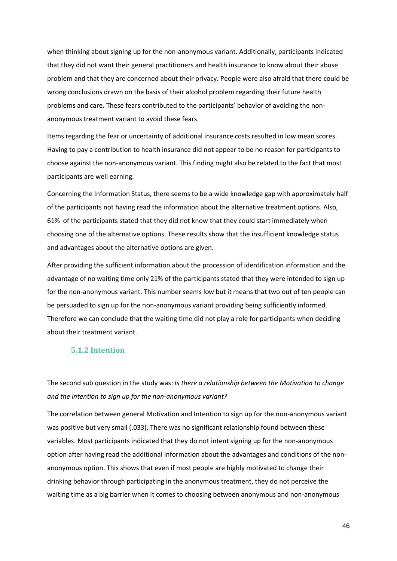when thinking about signing up for the non-anonymous variant. Additionally, participants indicated that they did not want their general practitioners and health insurance to know about their abuse problem and that they are concerned about their privacy. People were also afraid that there could be wrong conclusions drawn on the basis of their alcohol problem regarding their future health problems and care. These fears contributed to the participants' behavior of avoiding the nonanonymous treatment variant to avoid these fears.

Items regarding the fear or uncertainty of additional insurance costs resulted in low mean scores. Having to pay a contribution to health insurance did not appear to be no reason for participants to choose against the non-anonymous variant. This finding might also be related to the fact that most participants are well earning.

Concerning the Information Status, there seems to be a wide knowledge gap with approximately half of the participants not having read the information about the alternative treatment options. Also, 61% of the participants stated that they did not know that they could start immediately when choosing one of the alternative options. These results show that the insufficient knowledge status and advantages about the alternative options are given.

After providing the sufficient information about the procession of identification information and the advantage of no waiting time only 21% of the participants stated that they were intended to sign up for the non-anonymous variant. This number seems low but it means that two out of ten people can be persuaded to sign up for the non-anonymous variant providing being sufficiently informed. Therefore we can conclude that the waiting time did not play a role for participants when deciding about their treatment variant.

#### **5.1.2 Intention**

The second sub question in the study was: *Is there a relationship between the Motivation to change and the Intention to sign up for the non-anonymous variant?*

The correlation between general Motivation and Intention to sign up for the non-anonymous variant was positive but very small (.033). There was no significant relationship found between these variables. Most participants indicated that they do not intent signing up for the non-anonymous option after having read the additional information about the advantages and conditions of the nonanonymous option. This shows that even if most people are highly motivated to change their drinking behavior through participating in the anonymous treatment, they do not perceive the waiting time as a big barrier when it comes to choosing between anonymous and non-anonymous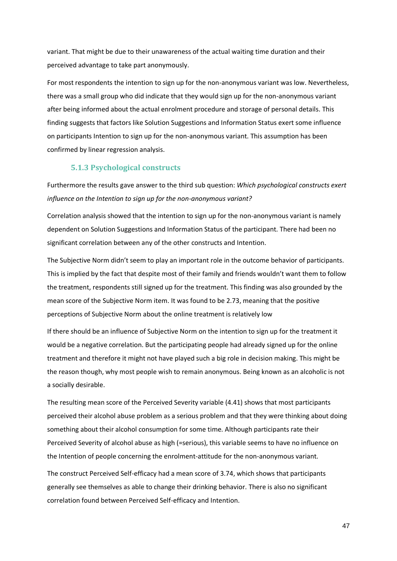variant. That might be due to their unawareness of the actual waiting time duration and their perceived advantage to take part anonymously.

For most respondents the intention to sign up for the non-anonymous variant was low. Nevertheless, there was a small group who did indicate that they would sign up for the non-anonymous variant after being informed about the actual enrolment procedure and storage of personal details. This finding suggests that factors like Solution Suggestions and Information Status exert some influence on participants Intention to sign up for the non-anonymous variant. This assumption has been confirmed by linear regression analysis.

#### **5.1.3 Psychological constructs**

Furthermore the results gave answer to the third sub question: *Which psychological constructs exert influence on the Intention to sign up for the non-anonymous variant?*

Correlation analysis showed that the intention to sign up for the non-anonymous variant is namely dependent on Solution Suggestions and Information Status of the participant. There had been no significant correlation between any of the other constructs and Intention.

The Subjective Norm didn't seem to play an important role in the outcome behavior of participants. This is implied by the fact that despite most of their family and friends wouldn't want them to follow the treatment, respondents still signed up for the treatment. This finding was also grounded by the mean score of the Subjective Norm item. It was found to be 2.73, meaning that the positive perceptions of Subjective Norm about the online treatment is relatively low

If there should be an influence of Subjective Norm on the intention to sign up for the treatment it would be a negative correlation. But the participating people had already signed up for the online treatment and therefore it might not have played such a big role in decision making. This might be the reason though, why most people wish to remain anonymous. Being known as an alcoholic is not a socially desirable.

The resulting mean score of the Perceived Severity variable (4.41) shows that most participants perceived their alcohol abuse problem as a serious problem and that they were thinking about doing something about their alcohol consumption for some time. Although participants rate their Perceived Severity of alcohol abuse as high (=serious), this variable seems to have no influence on the Intention of people concerning the enrolment-attitude for the non-anonymous variant.

The construct Perceived Self-efficacy had a mean score of 3.74, which shows that participants generally see themselves as able to change their drinking behavior. There is also no significant correlation found between Perceived Self-efficacy and Intention.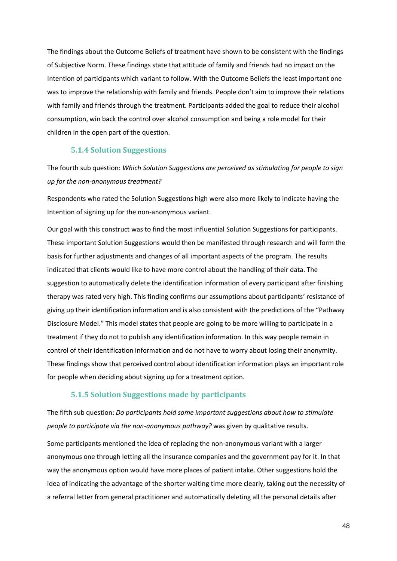The findings about the Outcome Beliefs of treatment have shown to be consistent with the findings of Subjective Norm. These findings state that attitude of family and friends had no impact on the Intention of participants which variant to follow. With the Outcome Beliefs the least important one was to improve the relationship with family and friends. People don't aim to improve their relations with family and friends through the treatment. Participants added the goal to reduce their alcohol consumption, win back the control over alcohol consumption and being a role model for their children in the open part of the question.

#### **5.1.4 Solution Suggestions**

The fourth sub question: *Which Solution Suggestions are perceived as stimulating for people to sign up for the non-anonymous treatment?*

Respondents who rated the Solution Suggestions high were also more likely to indicate having the Intention of signing up for the non-anonymous variant.

Our goal with this construct was to find the most influential Solution Suggestions for participants. These important Solution Suggestions would then be manifested through research and will form the basis for further adjustments and changes of all important aspects of the program. The results indicated that clients would like to have more control about the handling of their data. The suggestion to automatically delete the identification information of every participant after finishing therapy was rated very high. This finding confirms our assumptions about participants' resistance of giving up their identification information and is also consistent with the predictions of the "Pathway Disclosure Model." This model states that people are going to be more willing to participate in a treatment if they do not to publish any identification information. In this way people remain in control of their identification information and do not have to worry about losing their anonymity. These findings show that perceived control about identification information plays an important role for people when deciding about signing up for a treatment option.

#### **5.1.5 Solution Suggestions made by participants**

The fifth sub question: *Do participants hold some important suggestions about how to stimulate people to participate via the non-anonymous pathway?* was given by qualitative results.

Some participants mentioned the idea of replacing the non-anonymous variant with a larger anonymous one through letting all the insurance companies and the government pay for it. In that way the anonymous option would have more places of patient intake. Other suggestions hold the idea of indicating the advantage of the shorter waiting time more clearly, taking out the necessity of a referral letter from general practitioner and automatically deleting all the personal details after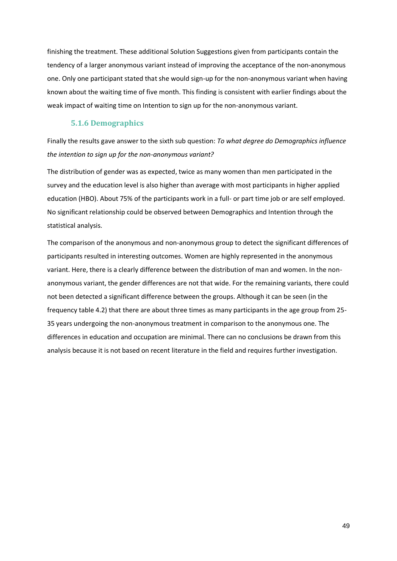finishing the treatment. These additional Solution Suggestions given from participants contain the tendency of a larger anonymous variant instead of improving the acceptance of the non-anonymous one. Only one participant stated that she would sign-up for the non-anonymous variant when having known about the waiting time of five month. This finding is consistent with earlier findings about the weak impact of waiting time on Intention to sign up for the non-anonymous variant.

#### **5.1.6 Demographics**

Finally the results gave answer to the sixth sub question: *To what degree do Demographics influence the intention to sign up for the non-anonymous variant?*

The distribution of gender was as expected, twice as many women than men participated in the survey and the education level is also higher than average with most participants in higher applied education (HBO). About 75% of the participants work in a full- or part time job or are self employed. No significant relationship could be observed between Demographics and Intention through the statistical analysis.

The comparison of the anonymous and non-anonymous group to detect the significant differences of participants resulted in interesting outcomes. Women are highly represented in the anonymous variant. Here, there is a clearly difference between the distribution of man and women. In the nonanonymous variant, the gender differences are not that wide. For the remaining variants, there could not been detected a significant difference between the groups. Although it can be seen (in the frequency table 4.2) that there are about three times as many participants in the age group from 25- 35 years undergoing the non-anonymous treatment in comparison to the anonymous one. The differences in education and occupation are minimal. There can no conclusions be drawn from this analysis because it is not based on recent literature in the field and requires further investigation.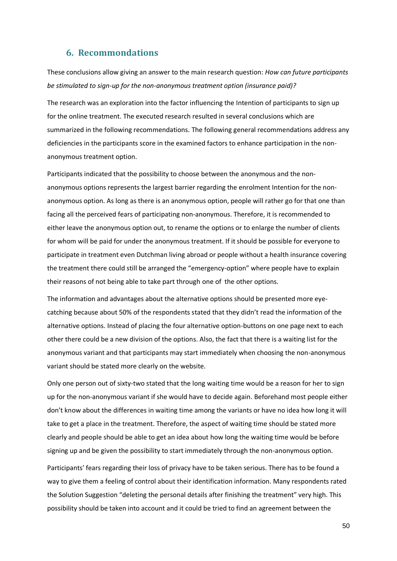### **6. Recommondations**

These conclusions allow giving an answer to the main research question: *How can future participants be stimulated to sign-up for the non-anonymous treatment option (insurance paid)?*

The research was an exploration into the factor influencing the Intention of participants to sign up for the online treatment. The executed research resulted in several conclusions which are summarized in the following recommendations. The following general recommendations address any deficiencies in the participants score in the examined factors to enhance participation in the nonanonymous treatment option.

Participants indicated that the possibility to choose between the anonymous and the nonanonymous options represents the largest barrier regarding the enrolment Intention for the nonanonymous option. As long as there is an anonymous option, people will rather go for that one than facing all the perceived fears of participating non-anonymous. Therefore, it is recommended to either leave the anonymous option out, to rename the options or to enlarge the number of clients for whom will be paid for under the anonymous treatment. If it should be possible for everyone to participate in treatment even Dutchman living abroad or people without a health insurance covering the treatment there could still be arranged the "emergency-option" where people have to explain their reasons of not being able to take part through one of the other options.

The information and advantages about the alternative options should be presented more eyecatching because about 50% of the respondents stated that they didn't read the information of the alternative options. Instead of placing the four alternative option-buttons on one page next to each other there could be a new division of the options. Also, the fact that there is a waiting list for the anonymous variant and that participants may start immediately when choosing the non-anonymous variant should be stated more clearly on the website.

Only one person out of sixty-two stated that the long waiting time would be a reason for her to sign up for the non-anonymous variant if she would have to decide again. Beforehand most people either don't know about the differences in waiting time among the variants or have no idea how long it will take to get a place in the treatment. Therefore, the aspect of waiting time should be stated more clearly and people should be able to get an idea about how long the waiting time would be before signing up and be given the possibility to start immediately through the non-anonymous option.

Participants' fears regarding their loss of privacy have to be taken serious. There has to be found a way to give them a feeling of control about their identification information. Many respondents rated the Solution Suggestion "deleting the personal details after finishing the treatment" very high. This possibility should be taken into account and it could be tried to find an agreement between the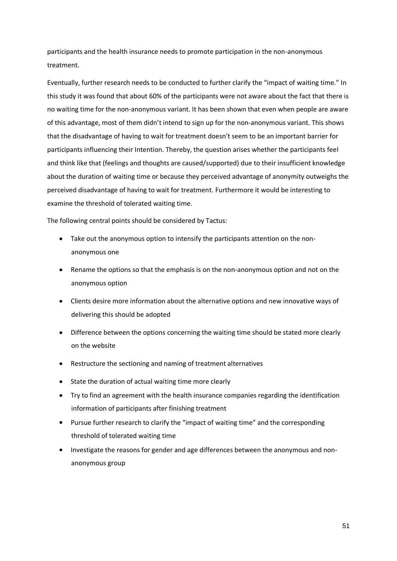participants and the health insurance needs to promote participation in the non-anonymous treatment.

Eventually, further research needs to be conducted to further clarify the "impact of waiting time." In this study it was found that about 60% of the participants were not aware about the fact that there is no waiting time for the non-anonymous variant. It has been shown that even when people are aware of this advantage, most of them didn't intend to sign up for the non-anonymous variant. This shows that the disadvantage of having to wait for treatment doesn't seem to be an important barrier for participants influencing their Intention. Thereby, the question arises whether the participants feel and think like that (feelings and thoughts are caused/supported) due to their insufficient knowledge about the duration of waiting time or because they perceived advantage of anonymity outweighs the perceived disadvantage of having to wait for treatment. Furthermore it would be interesting to examine the threshold of tolerated waiting time.

The following central points should be considered by Tactus:

- Take out the anonymous option to intensify the participants attention on the nonanonymous one
- Rename the options so that the emphasis is on the non-anonymous option and not on the anonymous option
- Clients desire more information about the alternative options and new innovative ways of delivering this should be adopted
- Difference between the options concerning the waiting time should be stated more clearly on the website
- Restructure the sectioning and naming of treatment alternatives
- State the duration of actual waiting time more clearly
- Try to find an agreement with the health insurance companies regarding the identification information of participants after finishing treatment
- Pursue further research to clarify the "impact of waiting time" and the corresponding threshold of tolerated waiting time
- Investigate the reasons for gender and age differences between the anonymous and nonanonymous group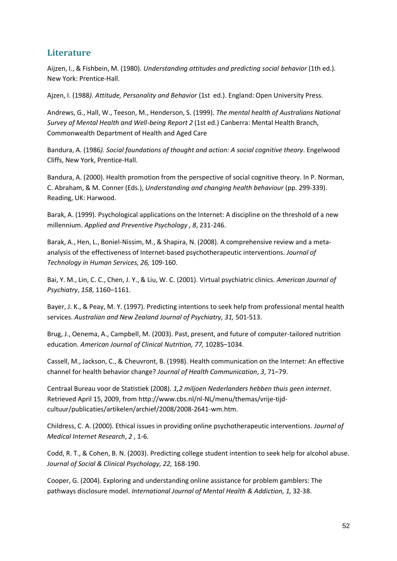## **Literature**

Aijzen, I., & Fishbein, M. (1980). *Understanding attitudes and predicting social behavior* (1th ed.)*.*  New York: Prentice-Hall.

Ajzen, I. (1988*). Attitude, Personality and Behavior* (1st ed.). England: Open University Press.

Andrews, G., Hall, W., Teeson, M., Henderson, S. (1999). *The mental health of Australians National Survey of Mental Health and Well-being Report 2* (1st ed.) Canberra: Mental Health Branch, Commonwealth Department of Health and Aged Care

Bandura, A. (1986*). Social foundations of thought and action: A social cognitive theory*. Engelwood Cliffs, New York, Prentice-Hall.

Bandura, A. (2000). Health promotion from the perspective of social cognitive theory. In P. Norman, C. Abraham, & M. Conner (Eds.), *Understanding and changing health behaviour* (pp. 299-339). Reading, UK: Harwood.

Barak, A. (1999). Psychological applications on the Internet: A discipline on the threshold of a new millennium. *Applied and Preventive Psychology , 8*, 231-246.

Barak, A., Hen, L., Boniel-Nissim, M., & Shapira, N. (2008). A comprehensive review and a metaanalysis of the effectiveness of Internet-based psychotherapeutic interventions. *Journal of Technology in Human Services, 26,* 109-160.

Bai, Y. M., Lin, C. C., Chen, J. Y., & Liu, W. C. (2001). Virtual psychiatric clinics. *American Journal of Psychiatry*, *158*, 1160–1161.

Bayer, J. K., & Peay, M. Y. (1997). Predicting intentions to seek help from professional mental health services. *Australian and New Zealand Journal of Psychiatry, 31,* 501-513.

Brug, J., Oenema, A., Campbell, M. (2003). Past, present, and future of computer-tailored nutrition education. *American Journal of Clinical Nutrition, 77,* 1028S–1034.

Cassell, M., Jackson, C., & Cheuvront, B. (1998). Health communication on the Internet: An effective channel for health behavior change? *Journal of Health Communication*, *3*, 71–79.

Centraal Bureau voor de Statistiek (2008). *1,2 miljoen Nederlanders hebben thuis geen internet*. Retrieved April 15, 2009, from [http://www.cbs.nl/nl-NL/menu/themas/vrije-tijd](http://www.cbs.nl/nl-NL/menu/themas/vrije-tijd-cultuur/publicaties/artikelen/archief/2008/2008-2641-wm.htm)[cultuur/publicaties/artikelen/archief/2008/2008-2641-wm.htm.](http://www.cbs.nl/nl-NL/menu/themas/vrije-tijd-cultuur/publicaties/artikelen/archief/2008/2008-2641-wm.htm)

Childress, C. A. (2000). Ethical issues in providing online psychotherapeutic interventions. *Journal of Medical Internet Research*, *2* , 1-6.

Codd, R. T., & Cohen, B. N. (2003). Predicting college student intention to seek help for alcohol abuse. *Journal of Social & Clinical Psychology, 22,* 168-190.

Cooper, G. (2004). Exploring and understanding online assistance for problem gamblers: The pathways disclosure model. *International Journal of Mental Health & Addiction, 1,* 32-38.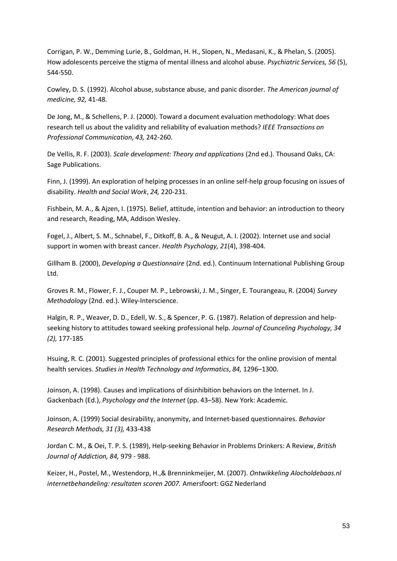Corrigan, P. W., Demming Lurie, B., Goldman, H. H., Slopen, N., Medasani, K., & Phelan, S. (2005). How adolescents perceive the stigma of mental illness and alcohol abuse. *Psychiatric Services, 56* (5), 544-550.

Cowley, D. S. (1992). Alcohol abuse, substance abuse, and panic disorder. *The American journal of medicine, 92,* 41-48.

De Jong, M., & Schellens, P. J. (2000). Toward a document evaluation methodology: What does research tell us about the validity and reliability of evaluation methods? *IEEE Transactions on Professional Communication, 43,* 242-260.

De Vellis, R. F. (2003). *Scale development: Theory and applications* (2nd ed.). Thousand Oaks, CA: Sage Publications.

Finn, J. (1999). An exploration of helping processes in an online self-help group focusing on issues of disability. *Health and Social Work*, *24,* 220-231.

Fishbein, M. A., & Ajzen, I. (1975). Belief, attitude, intention and behavior: an introduction to theory and research, Reading, MA, Addison Wesley.

Fogel, J., Albert, S. M., Schnabel, F., Ditkoff, B. A., & Neugut, A. I. (2002). Internet use and social support in women with breast cancer. *Health Psychology, 21*(4), 398-404.

Gillham B. (2000), *Developing a Questionnaire* (2nd. ed.). Continuum International Publishing Group Ltd.

Groves R. M., Flower, F. J., Couper M. P., Lebrowski, J. M., Singer, E. Tourangeau, R. (2004) *Survey Methodology* (2nd. ed.). Wiley-Interscience.

Halgin, R. P., Weaver, D. D., Edell, W. S., & Spencer, P. G. (1987). Relation of depression and helpseeking history to attitudes toward seeking professional help. *Journal of Counceling Psychology, 34 (2),* 177-185

Hsuing, R. C. (2001). Suggested principles of professional ethics for the online provision of mental health services. *Studies in Health Technology and Informatics*, *84,* 1296–1300.

Joinson, A. (1998). Causes and implications of disinhibition behaviors on the Internet. In J. Gackenbach (Ed.), *Psychology and the Internet* (pp. 43–58). New York: Academic.

Joinson, A. (1999) Social desirability, anonymity, and Internet-based questionnaires. *Behavior Research Methods, 31 (3),* 433-438

Jordan C. M., & Oei, T. P. S. (1989), Help-seeking Behavior in Problems Drinkers: A Review, *British Journal of Addiction, 84,* 979 - 988.

Keizer, H., Postel, M., Westendorp, H.,& Brenninkmeijer, M. (2007). *Ontwikkeling Alocholdebaas.nl internetbehandeling: resultaten scoren 2007.* Amersfoort: GGZ Nederland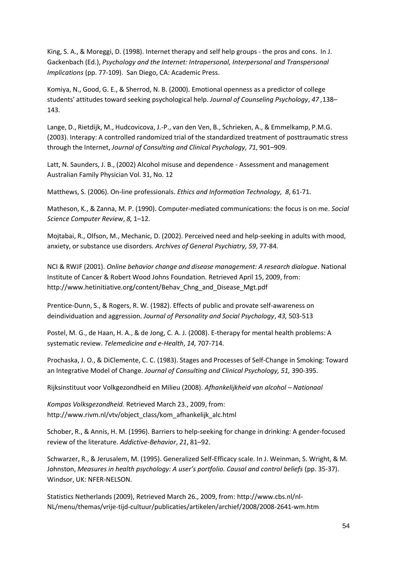King, S. A., & Moreggi, D. (1998). Internet therapy and self help groups - the pros and cons. In J. Gackenbach (Ed.), *Psychology and the Internet: Intrapersonal, Interpersonal and Transpersonal Implications* (pp. 77-109). San Diego, CA: Academic Press.

Komiya, N., Good, G. E., & Sherrod, N. B. (2000). Emotional openness as a predictor of college students' attitudes toward seeking psychological help. *Journal of Counseling Psychology*, *47 ,*138– 143.

Lange, D., Rietdijk, M., Hudcovicova, J.-P., van den Ven, B., Schrieken, A., & Emmelkamp, P.M.G. (2003). Interapy: A controlled randomized trial of the standardized treatment of posttraumatic stress through the Internet, *Journal of Consulting and Clinical Psychology, 71*, 901–909.

Latt, N. Saunders, J. B., (2002) Alcohol misuse and dependence - Assessment and management Australian Family Physician Vol. 31, No. 12

Matthews, S. (2006). On-line professionals. *Ethics and Information Technology, 8*, 61-71.

Matheson, K., & Zanna, M. P. (1990). Computer-mediated communications: the focus is on me. *Social Science Computer Review*, *8,* 1–12.

Mojtabai, R., Olfson, M., Mechanic, D. (2002). Perceived need and help-seeking in adults with mood, anxiety, or substance use disorders. *Archives of General Psychiatry, 59*, 77-84.

NCI & RWJF (2001). *Online behavior change and disease management: A research dialogue*. National Institute of Cancer & Robert Wood Johns Foundation. Retrieved April 15, 2009, from: [http://www.hetinitiative.org/content/Behav\\_Chng\\_and\\_Disease\\_Mgt.pdf](http://www.hetinitiative.org/content/Behav_Chng_and_Disease_Mgt.pdf)

Prentice-Dunn, S., & Rogers, R. W. (1982). Effects of public and provate self-awareness on deindividuation and aggression. *Journal of Personality and Social Psychology*, *43,* 503-513

Postel, M. G., de Haan, H. A., & de Jong, C. A. J. (2008). [E-therapy for mental health problems: A](http://www.alcoholdebaas.nl/getdoc/0d8de4a7-c8e6-4463-82c7-bce19129bf20/Postel,-de-Haan,-de-Jong-2008---Systematic-review-.aspx)  [systematic review.](http://www.alcoholdebaas.nl/getdoc/0d8de4a7-c8e6-4463-82c7-bce19129bf20/Postel,-de-Haan,-de-Jong-2008---Systematic-review-.aspx) *Telemedicine and e-Health*, *14,* 707-714.

Prochaska, J. O., & DiClemente, C. C. (1983). Stages and Processes of Self-Change in Smoking: Toward an Integrative Model of Change. *Journal of Consulting and Clinical Psychology, 51,* 390-395.

Rijksinstituut voor Volkgezondheid en Milieu (2008). *Afhankelijkheid van alcohol – Nationaal*

*Kompas Volksgezondheid.* Retrieved March 23., 2009, from: [http://www.rivm.nl/vtv/object\\_class/kom\\_afhankelijk\\_alc.html](http://www.rivm.nl/vtv/object_class/kom_afhankelijk_alc.html)

Schober, R., & Annis, H. M. (1996). Barriers to help-seeking for change in drinking: A gender-focused review of the literature. *Addictive-Behavior*, *21*, 81–92.

Schwarzer, R., & Jerusalem, M. (1995). Generalized Self-Efficacy scale. In J. Weinman, S. Wright, & M. Johnston, *Measures in health psychology: A user's portfolio. Causal and control beliefs* (pp. 35-37). Windsor, UK: NFER-NELSON.

Statistics Netherlands (2009), Retrieved March 26., 2009, from: [http://www.cbs.nl/nl-](http://www.cbs.nl/nl-NL/menu/themas/vrije-tijd-cultuur/publicaties/artikelen/archief/2008/2008-2641-wm.htm)[NL/menu/themas/vrije-tijd-cultuur/publicaties/artikelen/archief/2008/2008-2641-wm.htm](http://www.cbs.nl/nl-NL/menu/themas/vrije-tijd-cultuur/publicaties/artikelen/archief/2008/2008-2641-wm.htm)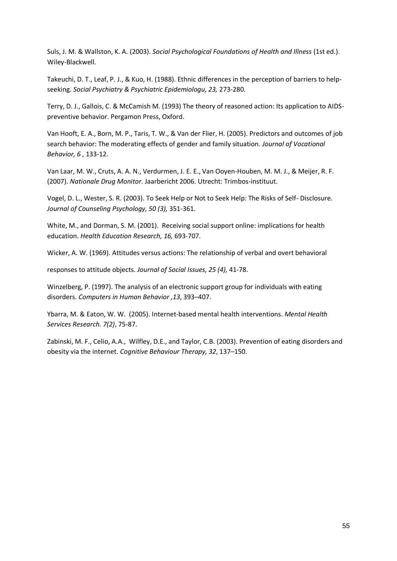Suls, J. M. & Wallston, K. A. (2003). *Social Psychological Foundations of Health and Illness* (1st ed.). Wiley-Blackwell.

Takeuchi, D. T., Leaf, P. J., & Kuo, H. (1988). Ethnic differences in the perception of barriers to helpseeking. *Social Psychiatry & Psychiatric Epidemiologu, 23,* 273-280.

Terry, D. J., Gallois, C. & McCamish M. (1993) The theory of reasoned action: Its application to AIDSpreventive behavior. Pergamon Press, Oxford.

Van Hooft, E. A., Born, M. P., Taris, T. W., & Van der Flier, H. (2005). Predictors and outcomes of job search behavior: The moderating effects of gender and family situation. *Journal of Vocational Behavior, 6* , 133-12.

Van Laar, M. W., Cruts, A. A. N., Verdurmen, J. E. E., Van Ooyen-Houben, M. M. J., & Meijer, R. F. (2007). *Nationale Drug Monitor*. Jaarbericht 2006. Utrecht: Trimbos-instituut.

Vogel, D. L., Wester, S. R. (2003). To Seek Help or Not to Seek Help: The Risks of Self- Disclosure. *Journal of Counseling Psychology, 50 (3),* 351-361.

White, M., and Dorman, S. M. (2001). Receiving social support online: implications for health education. *Health Education Research, 16,* 693-707.

Wicker, A. W. (1969). Attitudes versus actions: The relationship of verbal and overt behavioral

responses to attitude objects. *Journal of Social Issues, 25 (4),* 41-78.

Winzelberg, P. (1997). The analysis of an electronic support group for individuals with eating disorders. *Computers in Human Behavior ,13*, 393–407.

Ybarra, M. & Eaton, W. W. (2005). Internet-based mental health interventions. *Mental Health Services Research. 7(2)*, 75-87.

Zabinski, M. F., Celio, A.A., Wilfley, D.E., and Taylor, C.B. (2003). Prevention of eating disorders and obesity via the internet. *Cognitive Behaviour Therapy, 32*, 137–150.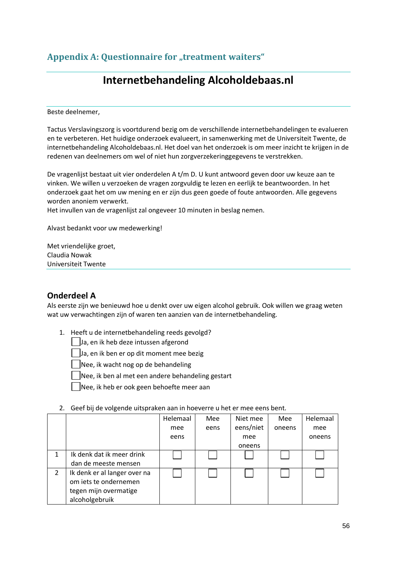# **Internetbehandeling Alcoholdebaas.nl**

Beste deelnemer,

Tactus Verslavingszorg is voortdurend bezig om de verschillende internetbehandelingen te evalueren en te verbeteren. Het huidige onderzoek evalueert, in samenwerking met de Universiteit Twente, de internetbehandeling Alcoholdebaas.nl. Het doel van het onderzoek is om meer inzicht te krijgen in de redenen van deelnemers om wel of niet hun zorgverzekeringgegevens te verstrekken.

De vragenlijst bestaat uit vier onderdelen A t/m D. U kunt antwoord geven door uw keuze aan te vinken. We willen u verzoeken de vragen zorgvuldig te lezen en eerlijk te beantwoorden. In het onderzoek gaat het om uw mening en er zijn dus geen goede of foute antwoorden. Alle gegevens worden anoniem verwerkt.

Het invullen van de vragenlijst zal ongeveer 10 minuten in beslag nemen.

Alvast bedankt voor uw medewerking!

Met vriendelijke groet, Claudia Nowak Universiteit Twente

### **Onderdeel A**

Als eerste zijn we benieuwd hoe u denkt over uw eigen alcohol gebruik. Ook willen we graag weten wat uw verwachtingen zijn of waren ten aanzien van de internetbehandeling.

1. Heeft u de internetbehandeling reeds gevolgd?

Ja, en ik heb deze intussen afgerond

Ja, en ik ben er op dit moment mee bezig

Nee, ik wacht nog op de behandeling

 $\Box$ Nee, ik ben al met een andere behandeling gestart

Nee, ik heb er ook geen behoefte meer aan

#### 2. Geef bij de volgende uitspraken aan in hoeverre u het er mee eens bent.

|                |                              | Helemaal | Mee  | Niet mee  | Mee    | Helemaal |
|----------------|------------------------------|----------|------|-----------|--------|----------|
|                |                              | mee      | eens | eens/niet | oneens | mee      |
|                |                              | eens     |      | mee       |        | oneens   |
|                |                              |          |      | oneens    |        |          |
|                | Ik denk dat ik meer drink    |          |      |           |        |          |
|                | dan de meeste mensen         |          |      |           |        |          |
| $\overline{2}$ | Ik denk er al langer over na |          |      |           |        |          |
|                | om iets te ondernemen        |          |      |           |        |          |
|                | tegen mijn overmatige        |          |      |           |        |          |
|                | alcoholgebruik               |          |      |           |        |          |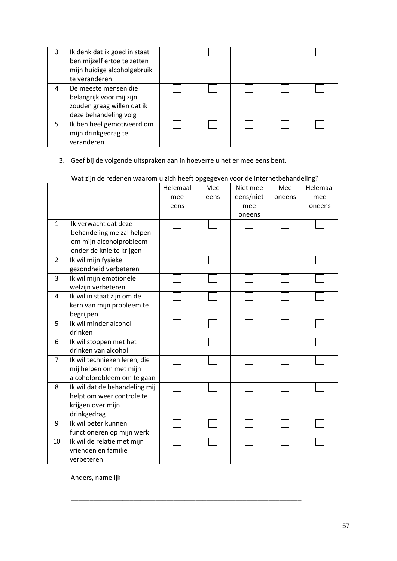| 3 | Ik denk dat ik goed in staat<br>ben mijzelf ertoe te zetten<br>mijn huidige alcoholgebruik<br>te veranderen |  |  |  |
|---|-------------------------------------------------------------------------------------------------------------|--|--|--|
| 4 | De meeste mensen die<br>belangrijk voor mij zijn<br>zouden graag willen dat ik<br>deze behandeling volg     |  |  |  |
| 5 | Ik ben heel gemotiveerd om<br>mijn drinkgedrag te<br>veranderen                                             |  |  |  |

### 3. Geef bij de volgende uitspraken aan in hoeverre u het er mee eens bent.

|                |                               | Helemaal | Mee  | Niet mee  | Mee    | Helemaal |
|----------------|-------------------------------|----------|------|-----------|--------|----------|
|                |                               | mee      | eens | eens/niet | oneens | mee      |
|                |                               | eens     |      | mee       |        | oneens   |
|                |                               |          |      | oneens    |        |          |
| $\mathbf{1}$   | Ik verwacht dat deze          |          |      |           |        |          |
|                | behandeling me zal helpen     |          |      |           |        |          |
|                | om mijn alcoholprobleem       |          |      |           |        |          |
|                | onder de knie te krijgen      |          |      |           |        |          |
| $\overline{2}$ | Ik wil mijn fysieke           |          |      |           |        |          |
|                | gezondheid verbeteren         |          |      |           |        |          |
| 3              | Ik wil mijn emotionele        |          |      |           |        |          |
|                | welzijn verbeteren            |          |      |           |        |          |
| 4              | Ik wil in staat zijn om de    |          |      |           |        |          |
|                | kern van mijn probleem te     |          |      |           |        |          |
|                | begrijpen                     |          |      |           |        |          |
| 5              | Ik wil minder alcohol         |          |      |           |        |          |
|                | drinken                       |          |      |           |        |          |
| 6              | Ik wil stoppen met het        |          |      |           |        |          |
|                | drinken van alcohol           |          |      |           |        |          |
| $\overline{7}$ | Ik wil technieken leren, die  |          |      |           |        |          |
|                | mij helpen om met mijn        |          |      |           |        |          |
|                | alcoholprobleem om te gaan    |          |      |           |        |          |
| 8              | Ik wil dat de behandeling mij |          |      |           |        |          |
|                | helpt om weer controle te     |          |      |           |        |          |
|                | krijgen over mijn             |          |      |           |        |          |
|                | drinkgedrag                   |          |      |           |        |          |
| 9              | Ik wil beter kunnen           |          |      |           |        |          |
|                | functioneren op mijn werk     |          |      |           |        |          |
| 10             | Ik wil de relatie met mijn    |          |      |           |        |          |
|                | vrienden en familie           |          |      |           |        |          |
|                | verbeteren                    |          |      |           |        |          |

\_\_\_\_\_\_\_\_\_\_\_\_\_\_\_\_\_\_\_\_\_\_\_\_\_\_\_\_\_\_\_\_\_\_\_\_\_\_\_\_\_\_\_\_\_\_\_\_\_\_\_\_\_\_\_\_\_\_\_\_\_\_\_ \_\_\_\_\_\_\_\_\_\_\_\_\_\_\_\_\_\_\_\_\_\_\_\_\_\_\_\_\_\_\_\_\_\_\_\_\_\_\_\_\_\_\_\_\_\_\_\_\_\_\_\_\_\_\_\_\_\_\_\_\_\_\_ \_\_\_\_\_\_\_\_\_\_\_\_\_\_\_\_\_\_\_\_\_\_\_\_\_\_\_\_\_\_\_\_\_\_\_\_\_\_\_\_\_\_\_\_\_\_\_\_\_\_\_\_\_\_\_\_\_\_\_\_\_\_\_

### Wat zijn de redenen waarom u zich heeft opgegeven voor de internetbehandeling?

Anders, namelijk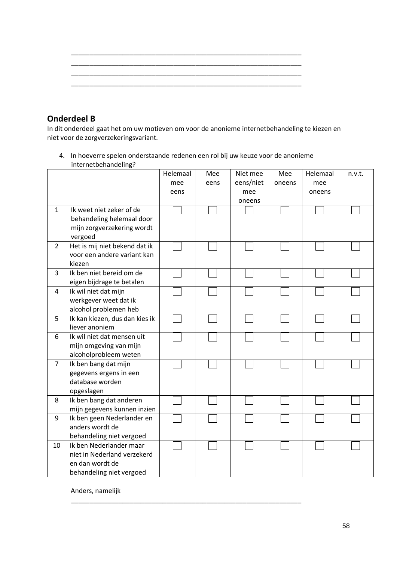| _____ | ____ |  |
|-------|------|--|

### **Onderdeel B**

In dit onderdeel gaat het om uw motieven om voor de anonieme internetbehandeling te kiezen en niet voor de zorgverzekeringsvariant.

4. In hoeverre spelen onderstaande redenen een rol bij uw keuze voor de anonieme internetbehandeling?

|                |                                | Helemaal | Mee  | Niet mee  | Mee    | Helemaal | n.v.t. |
|----------------|--------------------------------|----------|------|-----------|--------|----------|--------|
|                |                                | mee      | eens | eens/niet | oneens | mee      |        |
|                |                                | eens     |      | mee       |        | oneens   |        |
|                |                                |          |      | oneens    |        |          |        |
| $\mathbf{1}$   | Ik weet niet zeker of de       |          |      |           |        |          |        |
|                | behandeling helemaal door      |          |      |           |        |          |        |
|                | mijn zorgverzekering wordt     |          |      |           |        |          |        |
|                | vergoed                        |          |      |           |        |          |        |
| $\overline{2}$ | Het is mij niet bekend dat ik  |          |      |           |        |          |        |
|                | voor een andere variant kan    |          |      |           |        |          |        |
|                | kiezen                         |          |      |           |        |          |        |
| 3              | Ik ben niet bereid om de       |          |      |           |        |          |        |
|                | eigen bijdrage te betalen      |          |      |           |        |          |        |
| 4              | Ik wil niet dat mijn           |          |      |           |        |          |        |
|                | werkgever weet dat ik          |          |      |           |        |          |        |
|                | alcohol problemen heb          |          |      |           |        |          |        |
| 5              | Ik kan kiezen, dus dan kies ik |          |      |           |        |          |        |
|                | liever anoniem                 |          |      |           |        |          |        |
| 6              | Ik wil niet dat mensen uit     |          |      |           |        |          |        |
|                | mijn omgeving van mijn         |          |      |           |        |          |        |
|                | alcoholprobleem weten          |          |      |           |        |          |        |
| $\overline{7}$ | Ik ben bang dat mijn           |          |      |           |        |          |        |
|                | gegevens ergens in een         |          |      |           |        |          |        |
|                | database worden                |          |      |           |        |          |        |
|                | opgeslagen                     |          |      |           |        |          |        |
| 8              | Ik ben bang dat anderen        |          |      |           |        |          |        |
|                | mijn gegevens kunnen inzien    |          |      |           |        |          |        |
| 9              | Ik ben geen Nederlander en     |          |      |           |        |          |        |
|                | anders wordt de                |          |      |           |        |          |        |
|                | behandeling niet vergoed       |          |      |           |        |          |        |
| 10             | Ik ben Nederlander maar        |          |      |           |        |          |        |
|                | niet in Nederland verzekerd    |          |      |           |        |          |        |
|                | en dan wordt de                |          |      |           |        |          |        |
|                | behandeling niet vergoed       |          |      |           |        |          |        |

\_\_\_\_\_\_\_\_\_\_\_\_\_\_\_\_\_\_\_\_\_\_\_\_\_\_\_\_\_\_\_\_\_\_\_\_\_\_\_\_\_\_\_\_\_\_\_\_\_\_\_\_\_\_\_\_\_\_\_\_\_\_\_

Anders, namelijk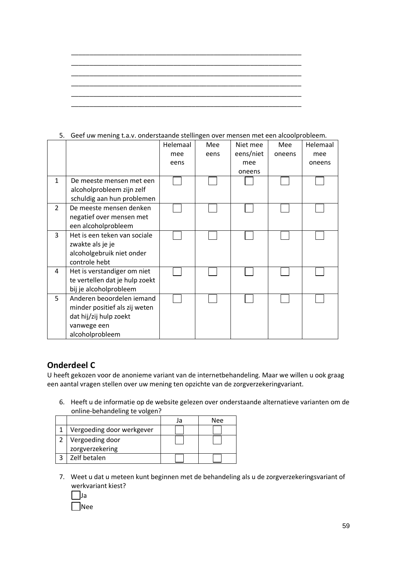|                |                                | Helemaal | Mee  | Niet mee  | Mee    | Helemaal |  |
|----------------|--------------------------------|----------|------|-----------|--------|----------|--|
|                |                                | mee      | eens | eens/niet | oneens | mee      |  |
|                |                                | eens     |      | mee       |        | oneens   |  |
|                |                                |          |      | oneens    |        |          |  |
| $\mathbf{1}$   | De meeste mensen met een       |          |      |           |        |          |  |
|                | alcoholprobleem zijn zelf      |          |      |           |        |          |  |
|                | schuldig aan hun problemen     |          |      |           |        |          |  |
| $\overline{2}$ | De meeste mensen denken        |          |      |           |        |          |  |
|                | negatief over mensen met       |          |      |           |        |          |  |
|                | een alcoholprobleem            |          |      |           |        |          |  |
| 3              | Het is een teken van sociale   |          |      |           |        |          |  |
|                | zwakte als je je               |          |      |           |        |          |  |
|                | alcoholgebruik niet onder      |          |      |           |        |          |  |
|                | controle hebt                  |          |      |           |        |          |  |
| 4              | Het is verstandiger om niet    |          |      |           |        |          |  |
|                | te vertellen dat je hulp zoekt |          |      |           |        |          |  |
|                | bij je alcoholprobleem         |          |      |           |        |          |  |
| 5              | Anderen beoordelen iemand      |          |      |           |        |          |  |
|                | minder positief als zij weten  |          |      |           |        |          |  |
|                | dat hij/zij hulp zoekt         |          |      |           |        |          |  |
|                | vanwege een                    |          |      |           |        |          |  |
|                | alcoholprobleem                |          |      |           |        |          |  |
|                |                                |          |      |           |        |          |  |

# 5. Geef uw mening t.a.v. onderstaande stellingen over mensen met een alcoolprobleem.

#### **Onderdeel C**

U heeft gekozen voor de anonieme variant van de internetbehandeling. Maar we willen u ook graag een aantal vragen stellen over uw mening ten opzichte van de zorgverzekeringvariant.

6. Heeft u de informatie op de website gelezen over onderstaande alternatieve varianten om de online-behandeling te volgen?

|                           | Nee |
|---------------------------|-----|
| Vergoeding door werkgever |     |
| Vergoeding door           |     |
| zorgverzekering           |     |
| Zelf betalen              |     |

7. Weet u dat u meteen kunt beginnen met de behandeling als u de zorgverzekeringsvariant of werkvariant kiest?



59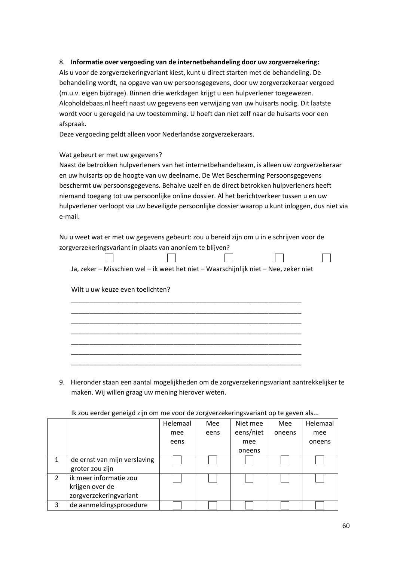#### 8. **Informatie over vergoeding van de internetbehandeling door uw zorgverzekering:**

Als u voor de zorgverzekeringvariant kiest, kunt u direct starten met de behandeling. De behandeling wordt, na opgave van uw persoonsgegevens, door uw zorgverzekeraar vergoed (m.u.v. eigen bijdrage). Binnen drie werkdagen krijgt u een hulpverlener toegewezen. Alcoholdebaas.nl heeft naast uw gegevens een verwijzing van uw huisarts nodig. Dit laatste wordt voor u geregeld na uw toestemming. U hoeft dan niet zelf naar de huisarts voor een afspraak.

Deze vergoeding geldt alleen voor Nederlandse zorgverzekeraars.

#### Wat gebeurt er met uw gegevens?

Naast de betrokken hulpverleners van het internetbehandelteam, is alleen uw zorgverzekeraar en uw huisarts op de hoogte van uw deelname. De Wet Bescherming Persoonsgegevens beschermt uw persoonsgegevens. Behalve uzelf en de direct betrokken hulpverleners heeft niemand toegang tot uw persoonlijke online dossier. Al het berichtverkeer tussen u en uw hulpverlener verloopt via uw beveiligde persoonlijke dossier waarop u kunt inloggen, dus niet via e-mail.

Nu u weet wat er met uw gegevens gebeurt: zou u bereid zijn om u in e schrijven voor de zorgverzekeringsvariant in plaats van anoniem te blijven?

\_\_\_\_\_\_\_\_\_\_\_\_\_\_\_\_\_\_\_\_\_\_\_\_\_\_\_\_\_\_\_\_\_\_\_\_\_\_\_\_\_\_\_\_\_\_\_\_\_\_\_\_\_\_\_\_\_\_\_\_\_\_\_ \_\_\_\_\_\_\_\_\_\_\_\_\_\_\_\_\_\_\_\_\_\_\_\_\_\_\_\_\_\_\_\_\_\_\_\_\_\_\_\_\_\_\_\_\_\_\_\_\_\_\_\_\_\_\_\_\_\_\_\_\_\_\_ \_\_\_\_\_\_\_\_\_\_\_\_\_\_\_\_\_\_\_\_\_\_\_\_\_\_\_\_\_\_\_\_\_\_\_\_\_\_\_\_\_\_\_\_\_\_\_\_\_\_\_\_\_\_\_\_\_\_\_\_\_\_\_ \_\_\_\_\_\_\_\_\_\_\_\_\_\_\_\_\_\_\_\_\_\_\_\_\_\_\_\_\_\_\_\_\_\_\_\_\_\_\_\_\_\_\_\_\_\_\_\_\_\_\_\_\_\_\_\_\_\_\_\_\_\_\_ \_\_\_\_\_\_\_\_\_\_\_\_\_\_\_\_\_\_\_\_\_\_\_\_\_\_\_\_\_\_\_\_\_\_\_\_\_\_\_\_\_\_\_\_\_\_\_\_\_\_\_\_\_\_\_\_\_\_\_\_\_\_\_ \_\_\_\_\_\_\_\_\_\_\_\_\_\_\_\_\_\_\_\_\_\_\_\_\_\_\_\_\_\_\_\_\_\_\_\_\_\_\_\_\_\_\_\_\_\_\_\_\_\_\_\_\_\_\_\_\_\_\_\_\_\_\_ \_\_\_\_\_\_\_\_\_\_\_\_\_\_\_\_\_\_\_\_\_\_\_\_\_\_\_\_\_\_\_\_\_\_\_\_\_\_\_\_\_\_\_\_\_\_\_\_\_\_\_\_\_\_\_\_\_\_\_\_\_\_\_

| Ja, zeker – Misschien wel – ik weet het niet – Waarschijnlijk niet – Nee, zeker niet |  |  |
|--------------------------------------------------------------------------------------|--|--|

Wilt u uw keuze even toelichten?

9. Hieronder staan een aantal mogelijkheden om de zorgverzekeringsvariant aantrekkelijker te maken. Wij willen graag uw mening hierover weten.

|               |                              | Helemaal | Mee  | Niet mee  | Mee    | Helemaal |
|---------------|------------------------------|----------|------|-----------|--------|----------|
|               |                              | mee      | eens | eens/niet | oneens | mee      |
|               |                              | eens     |      | mee       |        | oneens   |
|               |                              |          |      | oneens    |        |          |
|               | de ernst van mijn verslaving |          |      |           |        |          |
|               | groter zou zijn              |          |      |           |        |          |
| $\mathcal{P}$ | ik meer informatie zou       |          |      |           |        |          |
|               | krijgen over de              |          |      |           |        |          |
|               | zorgverzekeringvariant       |          |      |           |        |          |
| 3             | de aanmeldingsprocedure      |          |      |           |        |          |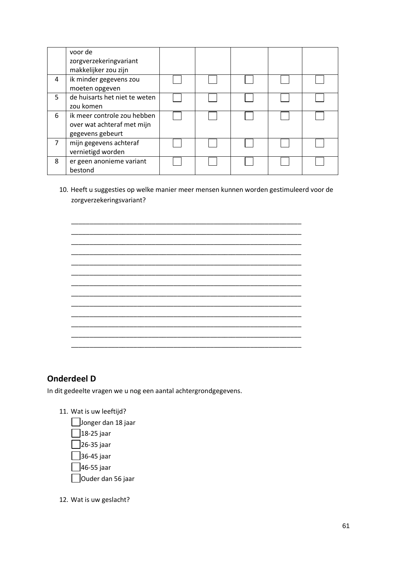|   | voor de<br>zorgverzekeringvariant<br>makkelijker zou zijn                     |  |  |  |
|---|-------------------------------------------------------------------------------|--|--|--|
| 4 | ik minder gegevens zou<br>moeten opgeven                                      |  |  |  |
| 5 | de huisarts het niet te weten<br>zou komen                                    |  |  |  |
| 6 | ik meer controle zou hebben<br>over wat achteraf met mijn<br>gegevens gebeurt |  |  |  |
| 7 | mijn gegevens achteraf<br>vernietigd worden                                   |  |  |  |
| 8 | er geen anonieme variant<br>bestond                                           |  |  |  |

10. Heeft u suggesties op welke manier meer mensen kunnen worden gestimuleerd voor de zorgverzekeringsvariant?

|  |  |  | ______ |
|--|--|--|--------|
|  |  |  |        |
|  |  |  |        |
|  |  |  |        |
|  |  |  |        |
|  |  |  |        |
|  |  |  |        |
|  |  |  |        |
|  |  |  |        |
|  |  |  |        |

## **Onderdeel D**

In dit gedeelte vragen we u nog een aantal achtergrondgegevens.

- 11. Wat is uw leeftijd?
	- Jonger dan 18 jaar 18-25 jaar 26-35 jaar 36-45 jaar □ 46-55 jaar Ouder dan 56 jaar

12. Wat is uw geslacht?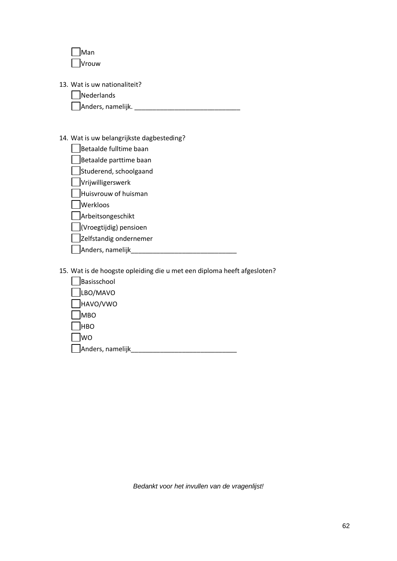| Man   |
|-------|
| Vrouw |

- 13. Wat is uw nationaliteit?
	- **Nederlands**

Anders, namelijk. \_\_\_\_\_\_\_\_\_\_\_\_\_\_\_\_\_\_\_\_\_\_\_\_\_\_\_\_\_

### 14. Wat is uw belangrijkste dagbesteding?

| Betaalde fulltime baan |
|------------------------|
| Betaalde parttime baan |
| Studerend, schoolgaand |

 $\Box$ Vrijwilligerswerk

|  |  |  |  |  |  | <b>JVIIJWIIIIBEISWEIK</b> |  |
|--|--|--|--|--|--|---------------------------|--|
|  |  |  |  |  |  |                           |  |

 $\Box$ Huisvrouw of huisman

**Nerkloos** 

**Arbeitsongeschikt** 

| (Vroegtijdig) pensioen |  |
|------------------------|--|
|------------------------|--|

Zelfstandig ondernemer

Anders, namelijk\_\_\_\_\_\_\_\_\_\_\_\_\_\_\_\_\_\_\_\_\_\_\_\_\_\_\_\_\_

15. Wat is de hoogste opleiding die u met een diploma heeft afgesloten?

| Basisschool              |  |
|--------------------------|--|
| LBO/MAVO<br>$\mathbf{L}$ |  |
| HAVO/VWO<br>$\mathbf{L}$ |  |
| <b>MBO</b>               |  |
| <b>HBO</b>               |  |
| <b>WO</b>                |  |
| Anders, namelijk         |  |

*Bedankt voor het invullen van de vragenlijst!*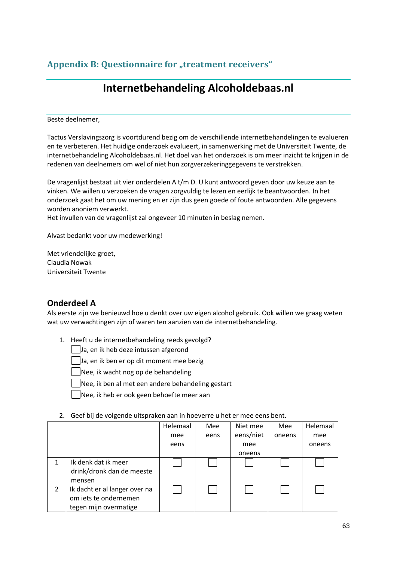# Appendix B: Questionnaire for "treatment receivers"

# **Internetbehandeling Alcoholdebaas.nl**

Beste deelnemer,

Tactus Verslavingszorg is voortdurend bezig om de verschillende internetbehandelingen te evalueren en te verbeteren. Het huidige onderzoek evalueert, in samenwerking met de Universiteit Twente, de internetbehandeling Alcoholdebaas.nl. Het doel van het onderzoek is om meer inzicht te krijgen in de redenen van deelnemers om wel of niet hun zorgverzekeringgegevens te verstrekken.

De vragenlijst bestaat uit vier onderdelen A t/m D. U kunt antwoord geven door uw keuze aan te vinken. We willen u verzoeken de vragen zorgvuldig te lezen en eerlijk te beantwoorden. In het onderzoek gaat het om uw mening en er zijn dus geen goede of foute antwoorden. Alle gegevens worden anoniem verwerkt.

Het invullen van de vragenlijst zal ongeveer 10 minuten in beslag nemen.

Alvast bedankt voor uw medewerking!

Met vriendelijke groet, Claudia Nowak Universiteit Twente

## **Onderdeel A**

Als eerste zijn we benieuwd hoe u denkt over uw eigen alcohol gebruik. Ook willen we graag weten wat uw verwachtingen zijn of waren ten aanzien van de internetbehandeling.

1. Heeft u de internetbehandeling reeds gevolgd?

 $\vert \ \vert$  Ja, en ik heb deze intussen afgerond

Ja, en ik ben er op dit moment mee bezig

Nee, ik wacht nog op de behandeling

Nee, ik ben al met een andere behandeling gestart

Nee, ik heb er ook geen behoefte meer aan

|   |                                                                                 | Helemaal | Mee  | Niet mee  | Mee    | Helemaal |
|---|---------------------------------------------------------------------------------|----------|------|-----------|--------|----------|
|   |                                                                                 | mee      | eens | eens/niet | oneens | mee      |
|   |                                                                                 | eens     |      | mee       |        | oneens   |
|   |                                                                                 |          |      | oneens    |        |          |
|   | Ik denk dat ik meer<br>drink/dronk dan de meeste<br>mensen                      |          |      |           |        |          |
| 2 | Ik dacht er al langer over na<br>om iets te ondernemen<br>tegen mijn overmatige |          |      |           |        |          |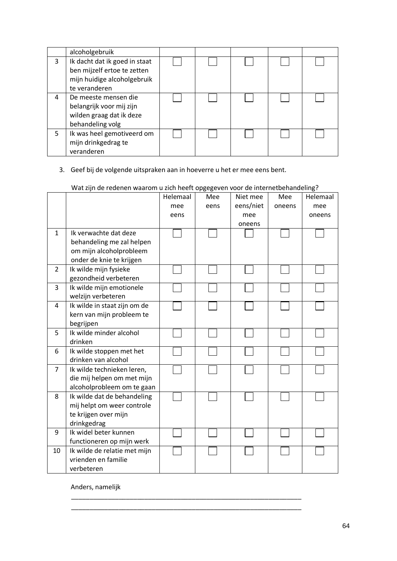|   | alcoholgebruik                                                                                               |  |  |  |
|---|--------------------------------------------------------------------------------------------------------------|--|--|--|
| 3 | Ik dacht dat ik goed in staat<br>ben mijzelf ertoe te zetten<br>mijn huidige alcoholgebruik<br>te veranderen |  |  |  |
| 4 | De meeste mensen die<br>belangrijk voor mij zijn<br>wilden graag dat ik deze<br>behandeling volg             |  |  |  |
| 5 | Ik was heel gemotiveerd om<br>mijn drinkgedrag te<br>veranderen                                              |  |  |  |

### 3. Geef bij de volgende uitspraken aan in hoeverre u het er mee eens bent.

|                | wat zijn de redenen waarom dizitii neert opgegeven voor de internetbenandeling: |          |      |           |        |          |
|----------------|---------------------------------------------------------------------------------|----------|------|-----------|--------|----------|
|                |                                                                                 | Helemaal | Mee  | Niet mee  | Mee    | Helemaal |
|                |                                                                                 | mee      | eens | eens/niet | oneens | mee      |
|                |                                                                                 | eens     |      | mee       |        | oneens   |
|                |                                                                                 |          |      | oneens    |        |          |
| 1              | Ik verwachte dat deze                                                           |          |      |           |        |          |
|                | behandeling me zal helpen                                                       |          |      |           |        |          |
|                | om mijn alcoholprobleem                                                         |          |      |           |        |          |
|                | onder de knie te krijgen                                                        |          |      |           |        |          |
| $\overline{2}$ | Ik wilde mijn fysieke                                                           |          |      |           |        |          |
|                | gezondheid verbeteren                                                           |          |      |           |        |          |
| 3              | Ik wilde mijn emotionele                                                        |          |      |           |        |          |
|                | welzijn verbeteren                                                              |          |      |           |        |          |
| 4              | Ik wilde in staat zijn om de                                                    |          |      |           |        |          |
|                | kern van mijn probleem te                                                       |          |      |           |        |          |
|                | begrijpen                                                                       |          |      |           |        |          |
| 5              | Ik wilde minder alcohol                                                         |          |      |           |        |          |
|                | drinken                                                                         |          |      |           |        |          |
| 6              | Ik wilde stoppen met het                                                        |          |      |           |        |          |
|                | drinken van alcohol                                                             |          |      |           |        |          |
| 7              | Ik wilde technieken leren,                                                      |          |      |           |        |          |
|                | die mij helpen om met mijn                                                      |          |      |           |        |          |
|                | alcoholprobleem om te gaan                                                      |          |      |           |        |          |
| 8              | Ik wilde dat de behandeling                                                     |          |      |           |        |          |
|                | mij helpt om weer controle                                                      |          |      |           |        |          |
|                | te krijgen over mijn                                                            |          |      |           |        |          |
|                | drinkgedrag                                                                     |          |      |           |        |          |
| 9              | Ik widel beter kunnen                                                           |          |      |           |        |          |
|                | functioneren op mijn werk                                                       |          |      |           |        |          |
| 10             | Ik wilde de relatie met mijn                                                    |          |      |           |        |          |
|                | vrienden en familie                                                             |          |      |           |        |          |
|                | verbeteren                                                                      |          |      |           |        |          |

\_\_\_\_\_\_\_\_\_\_\_\_\_\_\_\_\_\_\_\_\_\_\_\_\_\_\_\_\_\_\_\_\_\_\_\_\_\_\_\_\_\_\_\_\_\_\_\_\_\_\_\_\_\_\_\_\_\_\_\_\_\_\_ \_\_\_\_\_\_\_\_\_\_\_\_\_\_\_\_\_\_\_\_\_\_\_\_\_\_\_\_\_\_\_\_\_\_\_\_\_\_\_\_\_\_\_\_\_\_\_\_\_\_\_\_\_\_\_\_\_\_\_\_\_\_\_

Wat zijn de redenen waarom u zich heeft opgegeven voor de internetbehandeling?

Anders, namelijk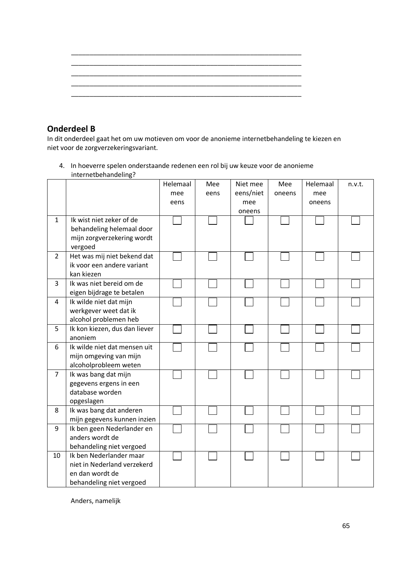## **Onderdeel B**

In dit onderdeel gaat het om uw motieven om voor de anonieme internetbehandeling te kiezen en niet voor de zorgverzekeringsvariant.

4. In hoeverre spelen onderstaande redenen een rol bij uw keuze voor de anonieme internetbehandeling?

|                |                               | Helemaal | Mee  | Niet mee  | Mee    | Helemaal | n.v.t. |
|----------------|-------------------------------|----------|------|-----------|--------|----------|--------|
|                |                               | mee      | eens | eens/niet | oneens | mee      |        |
|                |                               | eens     |      | mee       |        | oneens   |        |
|                |                               |          |      | oneens    |        |          |        |
| $\mathbf{1}$   | Ik wist niet zeker of de      |          |      |           |        |          |        |
|                | behandeling helemaal door     |          |      |           |        |          |        |
|                | mijn zorgverzekering wordt    |          |      |           |        |          |        |
|                | vergoed                       |          |      |           |        |          |        |
| $\overline{2}$ | Het was mij niet bekend dat   |          |      |           |        |          |        |
|                | ik voor een andere variant    |          |      |           |        |          |        |
|                | kan kiezen                    |          |      |           |        |          |        |
| 3              | Ik was niet bereid om de      |          |      |           |        |          |        |
|                | eigen bijdrage te betalen     |          |      |           |        |          |        |
| 4              | Ik wilde niet dat mijn        |          |      |           |        |          |        |
|                | werkgever weet dat ik         |          |      |           |        |          |        |
|                | alcohol problemen heb         |          |      |           |        |          |        |
| 5              | Ik kon kiezen, dus dan liever |          |      |           |        |          |        |
|                | anoniem                       |          |      |           |        |          |        |
| 6              | Ik wilde niet dat mensen uit  |          |      |           |        |          |        |
|                | mijn omgeving van mijn        |          |      |           |        |          |        |
|                | alcoholprobleem weten         |          |      |           |        |          |        |
| $\overline{7}$ | Ik was bang dat mijn          |          |      |           |        |          |        |
|                | gegevens ergens in een        |          |      |           |        |          |        |
|                | database worden               |          |      |           |        |          |        |
|                | opgeslagen                    |          |      |           |        |          |        |
| 8              | Ik was bang dat anderen       |          |      |           |        |          |        |
|                | mijn gegevens kunnen inzien   |          |      |           |        |          |        |
| 9              | Ik ben geen Nederlander en    |          |      |           |        |          |        |
|                | anders wordt de               |          |      |           |        |          |        |
|                | behandeling niet vergoed      |          |      |           |        |          |        |
| 10             | Ik ben Nederlander maar       |          |      |           |        |          |        |
|                | niet in Nederland verzekerd   |          |      |           |        |          |        |
|                | en dan wordt de               |          |      |           |        |          |        |
|                | behandeling niet vergoed      |          |      |           |        |          |        |

Anders, namelijk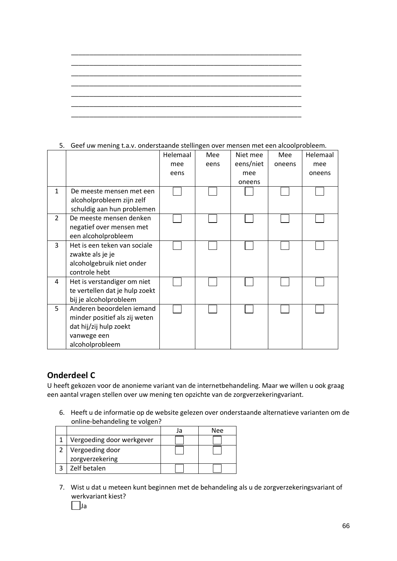5. Geef uw mening t.a.v. onderstaande stellingen over mensen met een alcoolprobleem.

|                |                                | Helemaal | Mee  | Niet mee  | Mee    | Helemaal |
|----------------|--------------------------------|----------|------|-----------|--------|----------|
|                |                                | mee      | eens | eens/niet | oneens | mee      |
|                |                                | eens     |      | mee       |        | oneens   |
|                |                                |          |      | oneens    |        |          |
| 1              | De meeste mensen met een       |          |      |           |        |          |
|                | alcoholprobleem zijn zelf      |          |      |           |        |          |
|                | schuldig aan hun problemen     |          |      |           |        |          |
| $\overline{2}$ | De meeste mensen denken        |          |      |           |        |          |
|                | negatief over mensen met       |          |      |           |        |          |
|                | een alcoholprobleem            |          |      |           |        |          |
| 3              | Het is een teken van sociale   |          |      |           |        |          |
|                | zwakte als je je               |          |      |           |        |          |
|                | alcoholgebruik niet onder      |          |      |           |        |          |
|                | controle hebt                  |          |      |           |        |          |
| 4              | Het is verstandiger om niet    |          |      |           |        |          |
|                | te vertellen dat je hulp zoekt |          |      |           |        |          |
|                | bij je alcoholprobleem         |          |      |           |        |          |
| 5              | Anderen beoordelen iemand      |          |      |           |        |          |
|                | minder positief als zij weten  |          |      |           |        |          |
|                | dat hij/zij hulp zoekt         |          |      |           |        |          |
|                | vanwege een                    |          |      |           |        |          |
|                | alcoholprobleem                |          |      |           |        |          |

### **Onderdeel C**

U heeft gekozen voor de anonieme variant van de internetbehandeling. Maar we willen u ook graag een aantal vragen stellen over uw mening ten opzichte van de zorgverzekeringvariant.

6. Heeft u de informatie op de website gelezen over onderstaande alternatieve varianten om de online-behandeling te volgen?

|                           | Nee |
|---------------------------|-----|
| Vergoeding door werkgever |     |
| Vergoeding door           |     |
| zorgverzekering           |     |
| Zelf betalen              |     |

7. Wist u dat u meteen kunt beginnen met de behandeling als u de zorgverzekeringsvariant of werkvariant kiest?

Ja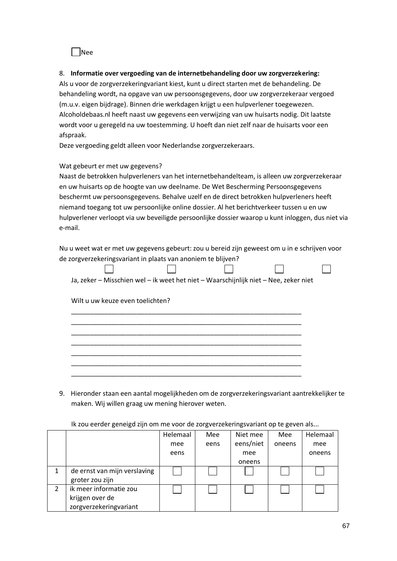Nee

### 8. **Informatie over vergoeding van de internetbehandeling door uw zorgverzekering:**

Als u voor de zorgverzekeringvariant kiest, kunt u direct starten met de behandeling. De behandeling wordt, na opgave van uw persoonsgegevens, door uw zorgverzekeraar vergoed (m.u.v. eigen bijdrage). Binnen drie werkdagen krijgt u een hulpverlener toegewezen. Alcoholdebaas.nl heeft naast uw gegevens een verwijzing van uw huisarts nodig. Dit laatste wordt voor u geregeld na uw toestemming. U hoeft dan niet zelf naar de huisarts voor een afspraak.

Deze vergoeding geldt alleen voor Nederlandse zorgverzekeraars.

#### Wat gebeurt er met uw gegevens?

Naast de betrokken hulpverleners van het internetbehandelteam, is alleen uw zorgverzekeraar en uw huisarts op de hoogte van uw deelname. De Wet Bescherming Persoonsgegevens beschermt uw persoonsgegevens. Behalve uzelf en de direct betrokken hulpverleners heeft niemand toegang tot uw persoonlijke online dossier. Al het berichtverkeer tussen u en uw hulpverlener verloopt via uw beveiligde persoonlijke dossier waarop u kunt inloggen, dus niet via e-mail.

Nu u weet wat er met uw gegevens gebeurt: zou u bereid zijn geweest om u in e schrijven voor de zorgverzekeringsvariant in plaats van anoniem te blijven?

 $\Box$ 

 $\Box$ 

| Ja, zeker – Misschien wel – ik weet het niet – Waarschijnlijk niet – Nee, zeker niet |  |  |
|--------------------------------------------------------------------------------------|--|--|

\_\_\_\_\_\_\_\_\_\_\_\_\_\_\_\_\_\_\_\_\_\_\_\_\_\_\_\_\_\_\_\_\_\_\_\_\_\_\_\_\_\_\_\_\_\_\_\_\_\_\_\_\_\_\_\_\_\_\_\_\_\_\_ \_\_\_\_\_\_\_\_\_\_\_\_\_\_\_\_\_\_\_\_\_\_\_\_\_\_\_\_\_\_\_\_\_\_\_\_\_\_\_\_\_\_\_\_\_\_\_\_\_\_\_\_\_\_\_\_\_\_\_\_\_\_\_ \_\_\_\_\_\_\_\_\_\_\_\_\_\_\_\_\_\_\_\_\_\_\_\_\_\_\_\_\_\_\_\_\_\_\_\_\_\_\_\_\_\_\_\_\_\_\_\_\_\_\_\_\_\_\_\_\_\_\_\_\_\_\_

 $\Box$ 

Wilt u uw keuze even toelichten?

 $\Box$ 

|  |  | ___________ |
|--|--|-------------|
|  |  |             |
|  |  |             |

9. Hieronder staan een aantal mogelijkheden om de zorgverzekeringsvariant aantrekkelijker te maken. Wij willen graag uw mening hierover weten.

#### Ik zou eerder geneigd zijn om me voor de zorgverzekeringsvariant op te geven als...

|                |                              | Helemaal | Mee  | Niet mee  | Mee    | Helemaal |
|----------------|------------------------------|----------|------|-----------|--------|----------|
|                |                              | mee      | eens | eens/niet | oneens | mee      |
|                |                              | eens     |      | mee       |        | oneens   |
|                |                              |          |      | oneens    |        |          |
| 1              | de ernst van mijn verslaving |          |      |           |        |          |
|                | groter zou zijn              |          |      |           |        |          |
| $\overline{2}$ | ik meer informatie zou       |          |      |           |        |          |
|                | krijgen over de              |          |      |           |        |          |
|                | zorgverzekeringvariant       |          |      |           |        |          |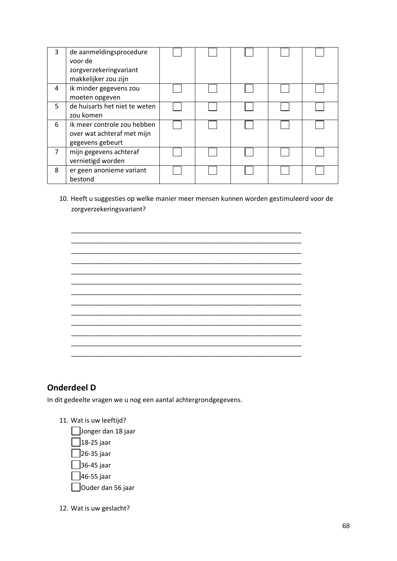| 3 | de aanmeldingsprocedure<br>voor de<br>zorgverzekeringvariant<br>makkelijker zou zijn |  |  |  |
|---|--------------------------------------------------------------------------------------|--|--|--|
| 4 | ik minder gegevens zou<br>moeten opgeven                                             |  |  |  |
| 5 | de huisarts het niet te weten<br>zou komen                                           |  |  |  |
| 6 | ik meer controle zou hebben<br>over wat achteraf met mijn<br>gegevens gebeurt        |  |  |  |
| 7 | mijn gegevens achteraf<br>vernietigd worden                                          |  |  |  |
| 8 | er geen anonieme variant<br>bestond                                                  |  |  |  |

10. Heeft u suggesties op welke manier meer mensen kunnen worden gestimuleerd voor de zorgverzekeringsvariant?

|  |  |  | ——    |
|--|--|--|-------|
|  |  |  | _____ |
|  |  |  | ——    |
|  |  |  |       |
|  |  |  |       |
|  |  |  |       |
|  |  |  |       |
|  |  |  |       |
|  |  |  |       |
|  |  |  |       |

## **Onderdeel D**

In dit gedeelte vragen we u nog een aantal achtergrondgegevens.

- 11. Wat is uw leeftijd?
	- Jonger dan 18 jaar  $\Box$ 18-25 jaar 26-35 jaar 36-45 jaar  $\Box$ 46-55 jaar Ouder dan 56 jaar
- 12. Wat is uw geslacht?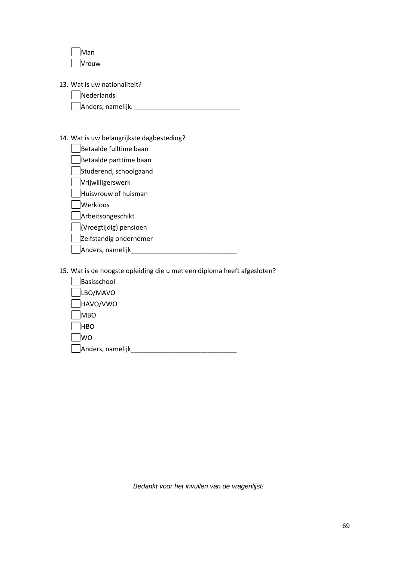| Man   |
|-------|
| Vrouw |

- 13. Wat is uw nationaliteit?
	- **Nederlands**

Anders, namelijk. \_\_\_\_\_\_\_\_\_\_\_\_\_\_\_\_\_\_\_\_\_\_\_\_\_\_\_\_\_

### 14. Wat is uw belangrijkste dagbesteding?

| Betaalde fulltime baan       |
|------------------------------|
| Betaalde parttime baan       |
| $\Box$ Ctuderend cchoolgaand |

Studerend, schoolgaand  $\Box$ Vrijwilligerswerk

|  | <b>TVIIJWIIIIREISWEIK</b> |
|--|---------------------------|
|  |                           |

 $\Box$ Huisvrouw of huisman

Werkloos

**Arbeitsongeschikt** 

| (Vroegtijdig) pensioen |  |
|------------------------|--|
|------------------------|--|

Zelfstandig ondernemer

Anders, namelijk\_\_\_\_\_\_\_\_\_\_\_\_\_\_\_\_\_\_\_\_\_\_\_\_\_\_\_\_\_

15. Wat is de hoogste opleiding die u met een diploma heeft afgesloten?

| Basisschool              |  |
|--------------------------|--|
| LBO/MAVO<br>$\mathbf{L}$ |  |
| HAVO/VWO                 |  |
| <b>MBO</b>               |  |
| <b>HBO</b><br>I          |  |
| <b>WO</b><br>I           |  |
| Anders, namelijk         |  |

*Bedankt voor het invullen van de vragenlijst!*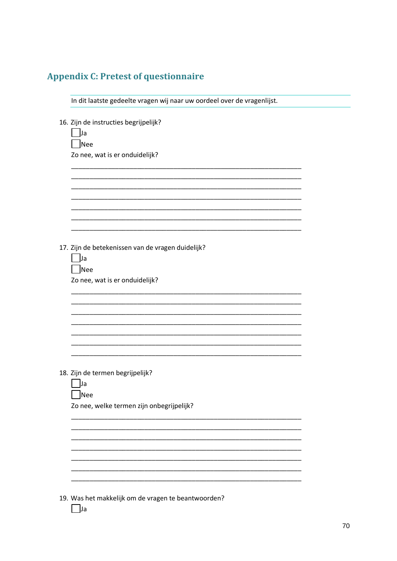# **Appendix C: Pretest of questionnaire**

| In dit laatste gedeelte vragen wij naar uw oordeel over de vragenlijst.               |
|---------------------------------------------------------------------------------------|
| 16. Zijn de instructies begrijpelijk?<br> Ja<br>Nee<br>Zo nee, wat is er onduidelijk? |
|                                                                                       |
|                                                                                       |
|                                                                                       |
|                                                                                       |
| 17. Zijn de betekenissen van de vragen duidelijk?<br> Ja<br>Nee                       |
| Zo nee, wat is er onduidelijk?                                                        |
|                                                                                       |
|                                                                                       |
|                                                                                       |
|                                                                                       |
| 18. Zijn de termen begrijpelijk?                                                      |
| Ja<br> Nee                                                                            |
| Zo nee, welke termen zijn onbegrijpelijk?                                             |
|                                                                                       |
|                                                                                       |
|                                                                                       |
|                                                                                       |
|                                                                                       |
| 19. Was het makkelijk om de vragen te beantwoorden?<br> Ja                            |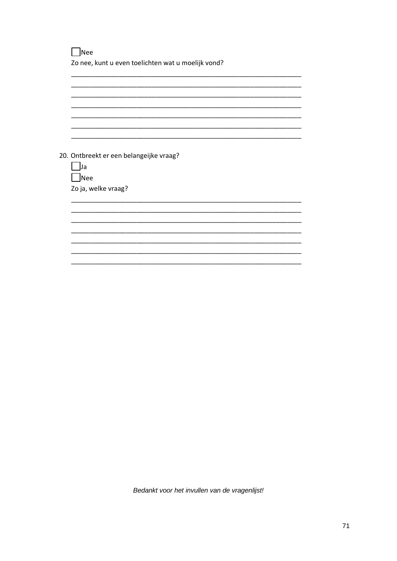$\Box$ Nee Zo nee, kunt u even toelichten wat u moelijk vond?

20. Ontbreekt er een belangeijke vraag?  $\Box$ Ja  $\Box$ Nee Zo ja, welke vraag?

Bedankt voor het invullen van de vragenlijst!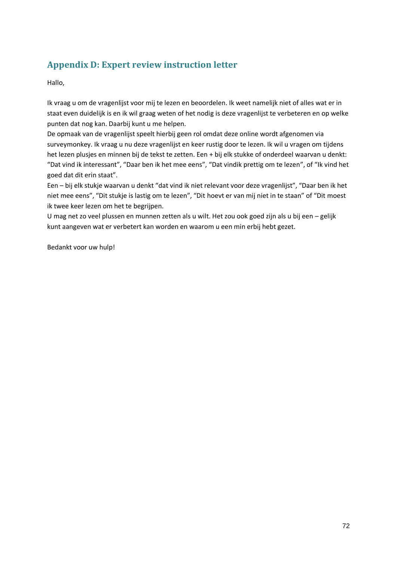# **Appendix D: Expert review instruction letter**

Hallo,

Ik vraag u om de vragenlijst voor mij te lezen en beoordelen. Ik weet namelijk niet of alles wat er in staat even duidelijk is en ik wil graag weten of het nodig is deze vragenlijst te verbeteren en op welke punten dat nog kan. Daarbij kunt u me helpen.

De opmaak van de vragenlijst speelt hierbij geen rol omdat deze online wordt afgenomen via surveymonkey. Ik vraag u nu deze vragenlijst en keer rustig door te lezen. Ik wil u vragen om tijdens het lezen plusjes en minnen bij de tekst te zetten. Een + bij elk stukke of onderdeel waarvan u denkt: "Dat vind ik interessant", "Daar ben ik het mee eens", "Dat vindik prettig om te lezen", of "Ik vind het goed dat dit erin staat".

Een – bij elk stukje waarvan u denkt "dat vind ik niet relevant voor deze vragenlijst", "Daar ben ik het niet mee eens", "Dit stukje is lastig om te lezen", "Dit hoevt er van mij niet in te staan" of "Dit moest ik twee keer lezen om het te begrijpen.

U mag net zo veel plussen en munnen zetten als u wilt. Het zou ook goed zijn als u bij een – gelijk kunt aangeven wat er verbetert kan worden en waarom u een min erbij hebt gezet.

Bedankt voor uw hulp!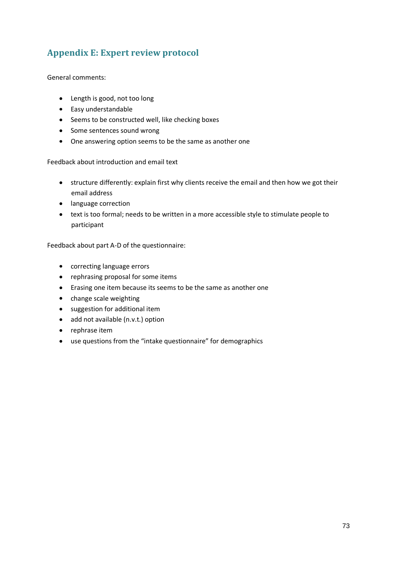## **Appendix E: Expert review protocol**

General comments:

- Length is good, not too long
- Easy understandable
- Seems to be constructed well, like checking boxes
- Some sentences sound wrong
- One answering option seems to be the same as another one

Feedback about introduction and email text

- structure differently: explain first why clients receive the email and then how we got their email address
- language correction
- text is too formal; needs to be written in a more accessible style to stimulate people to participant

Feedback about part A-D of the questionnaire:

- correcting language errors
- rephrasing proposal for some items
- Erasing one item because its seems to be the same as another one
- change scale weighting
- suggestion for additional item
- add not available (n.v.t.) option
- rephrase item
- use questions from the "intake questionnaire" for demographics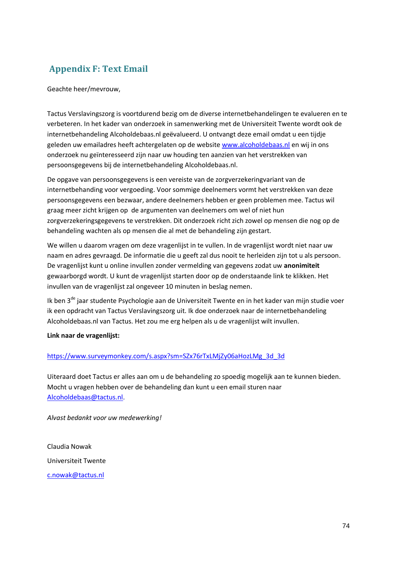# **Appendix F: Text Email**

Geachte heer/mevrouw,

Tactus Verslavingszorg is voortdurend bezig om de diverse internetbehandelingen te evalueren en te verbeteren. In het kader van onderzoek in samenwerking met de Universiteit Twente wordt ook de internetbehandeling Alcoholdebaas.nl geëvalueerd. U ontvangt deze email omdat u een tijdje geleden uw emailadres heeft achtergelaten op de website [www.alcoholdebaas.nl](https://webmail.tactus.nl/owa/redir.aspx?C=8eb95c9269ef4845a36479532983ac80&URL=http%3a%2f%2fwww.alcoholdebaas.nl) en wij in ons onderzoek nu geïnteresseerd zijn naar uw houding ten aanzien van het verstrekken van persoonsgegevens bij de internetbehandeling Alcoholdebaas.nl.

De opgave van persoonsgegevens is een vereiste van de zorgverzekeringvariant van de internetbehanding voor vergoeding. Voor sommige deelnemers vormt het verstrekken van deze persoonsgegevens een bezwaar, andere deelnemers hebben er geen problemen mee. Tactus wil graag meer zicht krijgen op de argumenten van deelnemers om wel of niet hun zorgverzekeringsgegevens te verstrekken. Dit onderzoek richt zich zowel op mensen die nog op de behandeling wachten als op mensen die al met de behandeling zijn gestart.

We willen u daarom vragen om deze vragenlijst in te vullen. In de vragenlijst wordt niet naar uw naam en adres gevraagd. De informatie die u geeft zal dus nooit te herleiden zijn tot u als persoon. De vragenlijst kunt u online invullen zonder vermelding van gegevens zodat uw **anonimiteit** gewaarborgd wordt. U kunt de vragenlijst starten door op de onderstaande link te klikken. Het invullen van de vragenlijst zal ongeveer 10 minuten in beslag nemen.

Ik ben 3<sup>de</sup> jaar studente Psychologie aan de Universiteit Twente en in het kader van mijn studie voer ik een opdracht van Tactus Verslavingszorg uit. Ik doe onderzoek naar de internetbehandeling Alcoholdebaas.nl van Tactus. Het zou me erg helpen als u de vragenlijst wilt invullen.

### **Link naar de vragenlijst:**

### [https://www.surveymonkey.com/s.aspx?sm=SZx76rTxLMjZy06aHozLMg\\_3d\\_3d](https://webmail.tactus.nl/owa/redir.aspx?C=8eb95c9269ef4845a36479532983ac80&URL=https%3a%2f%2fwww.surveymonkey.com%2fs.aspx%3fsm%3dSZx76rTxLMjZy06aHozLMg_3d_3d)

Uiteraard doet Tactus er alles aan om u de behandeling zo spoedig mogelijk aan te kunnen bieden. Mocht u vragen hebben over de behandeling dan kunt u een email sturen naar [Alcoholdebaas@tactus.nl.](https://webmail.tactus.nl/owa/redir.aspx?C=8eb95c9269ef4845a36479532983ac80&URL=mailto%3aAlcoholdebaas%40tactus.nl)

*Alvast bedankt voor uw medewerking!*

Claudia Nowak Universiteit Twente [c.nowak@tactus.nl](https://webmail.tactus.nl/owa/redir.aspx?C=8eb95c9269ef4845a36479532983ac80&URL=mailto%3ac.nowak%40tactus.nl)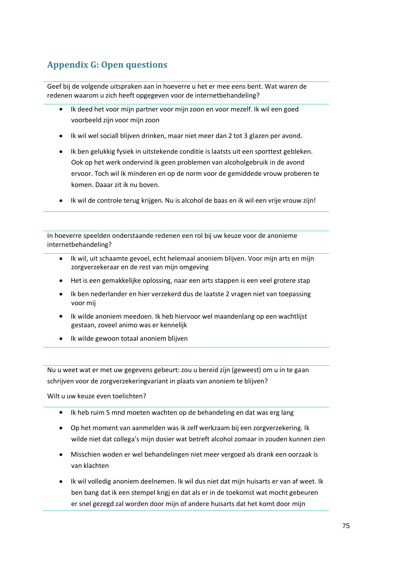# **Appendix G: Open questions**

Geef bij de volgende uitspraken aan in hoeverre u het er mee eens bent. Wat waren de redenen waarom u zich heeft opgegeven voor de internetbehandeling?

- Ik deed het voor mijn partner voor mijn zoon en voor mezelf. Ik wil een goed  $\bullet$ voorbeeld zijn voor mijn zoon
- Ik wil wel sociall blijven drinken, maar niet meer dan 2 tot 3 glazen per avond.
- Ik ben gelukkig fysiek in uitstekende conditie is laatsts uit een sporttest gebleken. Ook op het werk ondervind ik geen problemen van alcoholgebruik in de avond ervoor. Toch wil ik minderen en op de norm voor de gemiddede vrouw proberen te komen. Daaar zit ik nu boven.
- Ik wil de controle terug krijgen. Nu is alcohol de baas en ik wil een vrije vrouw zijn!

In hoeverre speelden onderstaande redenen een rol bij uw keuze voor de anonieme internetbehandeling?

- Ik wil, uit schaamte gevoel, echt helemaal anoniem blijven. Voor mijn arts en mijn  $\bullet$ zorgverzekeraar en de rest van mijn omgeving
- Het is een gemakkelijke oplossing, naar een arts stappen is een veel grotere stap
- Ik ben nederlander en hier verzekerd dus de laatste 2 vragen niet van toepassing voor mij
- Ik wilde anoniem meedoen. Ik heb hiervoor wel maandenlang op een wachtlijst gestaan, zoveel animo was er kennelijk
- Ik wilde gewoon totaal anoniem blijven

Nu u weet wat er met uw gegevens gebeurt: zou u bereid zijn (geweest) om u in te gaan schrijven voor de zorgverzekeringvariant in plaats van anoniem te blijven?

Wilt u uw keuze even toelichten?

- Ik heb ruim 5 mnd moeten wachten op de behandeling en dat was erg lang
- Op het moment van aanmelden was ik zelf werkzaam bij een zorgverzekering. Ik wilde niet dat collega's mijn dosier wat betreft alcohol zomaar in zouden kunnen zien
- Misschien woden er wel behandelingen niet meer vergoed als drank een oorzaak is van klachten
- Ik wil volledig anoniem deelnemen. Ik wil dus niet dat mijn huisarts er van af weet. Ik ben bang dat ik een stempel krigj en dat als er in de toekomst wat mocht gebeuren er snel gezegd zal worden door mijn of andere huisarts dat het komt door mijn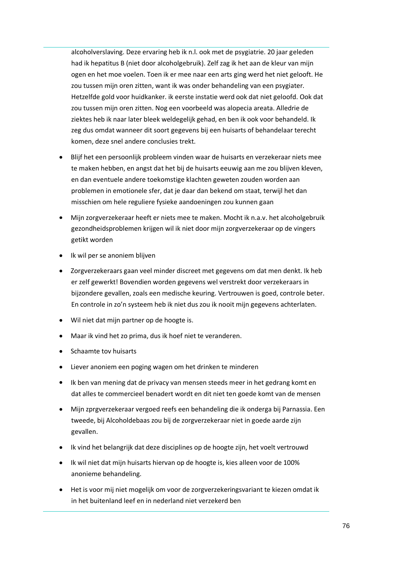alcoholverslaving. Deze ervaring heb ik n.l. ook met de psygiatrie. 20 jaar geleden had ik hepatitus B (niet door alcoholgebruik). Zelf zag ik het aan de kleur van mijn ogen en het moe voelen. Toen ik er mee naar een arts ging werd het niet gelooft. He zou tussen mijn oren zitten, want ik was onder behandeling van een psygiater. Hetzelfde gold voor huidkanker. ik eerste instatie werd ook dat niet geloofd. Ook dat zou tussen mijn oren zitten. Nog een voorbeeld was alopecia areata. Alledrie de ziektes heb ik naar later bleek weldegelijk gehad, en ben ik ook voor behandeld. Ik zeg dus omdat wanneer dit soort gegevens bij een huisarts of behandelaar terecht komen, deze snel andere conclusies trekt.

- Blijf het een persoonlijk probleem vinden waar de huisarts en verzekeraar niets mee te maken hebben, en angst dat het bij de huisarts eeuwig aan me zou blijven kleven, en dan eventuele andere toekomstige klachten geweten zouden worden aan problemen in emotionele sfer, dat je daar dan bekend om staat, terwijl het dan misschien om hele reguliere fysieke aandoeningen zou kunnen gaan
- Mijn zorgverzekeraar heeft er niets mee te maken. Mocht ik n.a.v. het alcoholgebruik gezondheidsproblemen krijgen wil ik niet door mijn zorgverzekeraar op de vingers getikt worden
- Ik wil per se anoniem blijven
- Zorgverzekeraars gaan veel minder discreet met gegevens om dat men denkt. Ik heb er zelf gewerkt! Bovendien worden gegevens wel verstrekt door verzekeraars in bijzondere gevallen, zoals een medische keuring. Vertrouwen is goed, controle beter. En controle in zo'n systeem heb ik niet dus zou ik nooit mijn gegevens achterlaten.
- Wil niet dat mijn partner op de hoogte is.
- Maar ik vind het zo prima, dus ik hoef niet te veranderen.
- Schaamte tov huisarts
- Liever anoniem een poging wagen om het drinken te minderen
- Ik ben van mening dat de privacy van mensen steeds meer in het gedrang komt en dat alles te commercieel benadert wordt en dit niet ten goede komt van de mensen
- Mijn zprgverzekeraar vergoed reefs een behandeling die ik onderga bij Parnassia. Een tweede, bij Alcoholdebaas zou bij de zorgverzekeraar niet in goede aarde zijn gevallen.
- Ik vind het belangrijk dat deze disciplines op de hoogte zijn, het voelt vertrouwd
- Ik wil niet dat mijn huisarts hiervan op de hoogte is, kies alleen voor de 100% anonieme behandeling.
- Het is voor mij niet mogelijk om voor de zorgverzekeringsvariant te kiezen omdat ik in het buitenland leef en in nederland niet verzekerd ben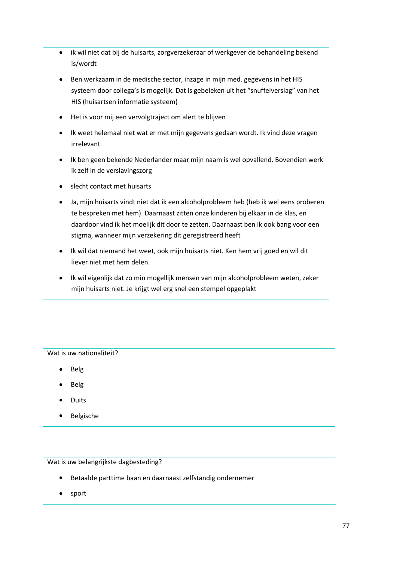- ik wil niet dat bij de huisarts, zorgverzekeraar of werkgever de behandeling bekend is/wordt
- Ben werkzaam in de medische sector, inzage in mijn med. gegevens in het HIS systeem door collega's is mogelijk. Dat is gebeleken uit het "snuffelverslag" van het HIS (huisartsen informatie systeem)
- Het is voor mij een vervolgtraject om alert te blijven
- Ik weet helemaal niet wat er met mijn gegevens gedaan wordt. Ik vind deze vragen irrelevant.
- Ik ben geen bekende Nederlander maar mijn naam is wel opvallend. Bovendien werk ik zelf in de verslavingszorg
- slecht contact met huisarts
- Ja, mijn huisarts vindt niet dat ik een alcoholprobleem heb (heb ik wel eens proberen te bespreken met hem). Daarnaast zitten onze kinderen bij elkaar in de klas, en daardoor vind ik het moelijk dit door te zetten. Daarnaast ben ik ook bang voor een stigma, wanneer mijn verzekering dit geregistreerd heeft
- Ik wil dat niemand het weet, ook mijn huisarts niet. Ken hem vrij goed en wil dit liever niet met hem delen.
- Ik wil eigenlijk dat zo min mogellijk mensen van mijn alcoholprobleem weten, zeker mijn huisarts niet. Je krijgt wel erg snel een stempel opgeplakt

Wat is uw nationaliteit?

- Belg  $\bullet$
- Belg
- Duits
- Belgische

Wat is uw belangrijkste dagbesteding?

- Betaalde parttime baan en daarnaast zelfstandig ondernemer
- sport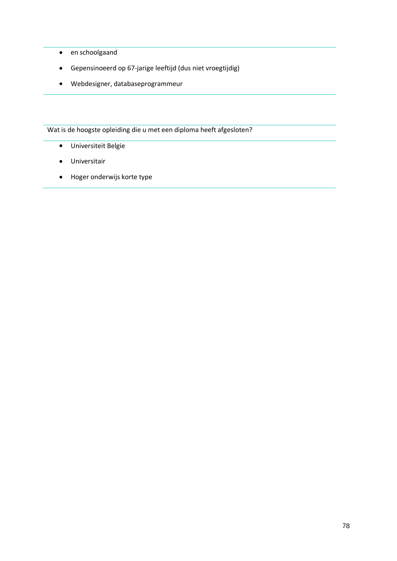- en schoolgaand
- Gepensinoeerd op 67-jarige leeftijd (dus niet vroegtijdig)
- Webdesigner, databaseprogrammeur

Wat is de hoogste opleiding die u met een diploma heeft afgesloten?

- Universiteit Belgie
- Universitair
- Hoger onderwijs korte type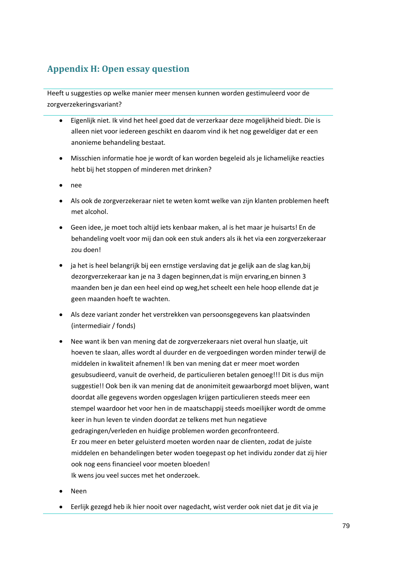## **Appendix H: Open essay question**

Heeft u suggesties op welke manier meer mensen kunnen worden gestimuleerd voor de zorgverzekeringsvariant?

- Eigenlijk niet. Ik vind het heel goed dat de verzerkaar deze mogelijkheid biedt. Die is  $\bullet$ alleen niet voor iedereen geschikt en daarom vind ik het nog geweldiger dat er een anonieme behandeling bestaat.
- Misschien informatie hoe je wordt of kan worden begeleid als je lichamelijke reacties hebt bij het stoppen of minderen met drinken?
- nee
- Als ook de zorgverzekeraar niet te weten komt welke van zijn klanten problemen heeft met alcohol.
- Geen idee, je moet toch altijd iets kenbaar maken, al is het maar je huisarts! En de behandeling voelt voor mij dan ook een stuk anders als ik het via een zorgverzekeraar zou doen!
- ja het is heel belangrijk bij een ernstige verslaving dat je gelijk aan de slag kan,bij dezorgverzekeraar kan je na 3 dagen beginnen,dat is mijn ervaring,en binnen 3 maanden ben je dan een heel eind op weg,het scheelt een hele hoop ellende dat je geen maanden hoeft te wachten.
- Als deze variant zonder het verstrekken van persoonsgegevens kan plaatsvinden (intermediair / fonds)
- Nee want ik ben van mening dat de zorgverzekeraars niet overal hun slaatje, uit hoeven te slaan, alles wordt al duurder en de vergoedingen worden minder terwijl de middelen in kwaliteit afnemen! Ik ben van mening dat er meer moet worden gesubsudieerd, vanuit de overheid, de particulieren betalen genoeg!!! Dit is dus mijn suggestie!! Ook ben ik van mening dat de anonimiteit gewaarborgd moet blijven, want doordat alle gegevens worden opgeslagen krijgen particulieren steeds meer een stempel waardoor het voor hen in de maatschappij steeds moeilijker wordt de omme keer in hun leven te vinden doordat ze telkens met hun negatieve gedragingen/verleden en huidige problemen worden geconfronteerd. Er zou meer en beter geluisterd moeten worden naar de clienten, zodat de juiste middelen en behandelingen beter woden toegepast op het individu zonder dat zij hier ook nog eens financieel voor moeten bloeden! Ik wens jou veel succes met het onderzoek.
- Neen
- Eerlijk gezegd heb ik hier nooit over nagedacht, wist verder ook niet dat je dit via je